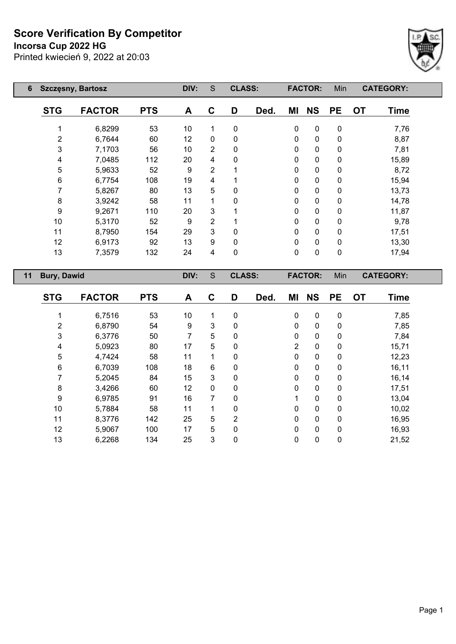**Incorsa Cup 2022 HG**



| 6  | <b>Szczęsny, Bartosz</b> |               |            | DIV: | S              | <b>CLASS:</b> |      |              | <b>FACTOR:</b> | Min          |           | <b>CATEGORY:</b> |
|----|--------------------------|---------------|------------|------|----------------|---------------|------|--------------|----------------|--------------|-----------|------------------|
|    | <b>STG</b>               | <b>FACTOR</b> | <b>PTS</b> | A    | C              | D             | Ded. | ΜI           | <b>NS</b>      | <b>PE</b>    | <b>OT</b> | <b>Time</b>      |
|    | 1                        | 6,8299        | 53         | 10   |                | 0             |      | $\mathbf 0$  | $\mathbf 0$    | 0            |           | 7,76             |
|    | $\overline{2}$           | 6,7644        | 60         | 12   | $\Omega$       | 0             |      | $\mathbf 0$  | $\mathbf 0$    | 0            |           | 8,87             |
|    | 3                        | 7,1703        | 56         | 10   | $\overline{2}$ | 0             |      | $\mathbf 0$  | $\mathbf 0$    | 0            |           | 7,81             |
|    | 4                        | 7,0485        | 112        | 20   | 4              | 0             |      | $\mathbf 0$  | $\mathbf 0$    | $\mathbf{0}$ |           | 15,89            |
|    | 5                        | 5,9633        | 52         | 9    | 2              |               |      | $\mathbf{0}$ | $\mathbf 0$    | 0            |           | 8,72             |
|    | 6                        | 6,7754        | 108        | 19   | 4              |               |      | $\mathbf 0$  | $\mathbf 0$    | 0            |           | 15,94            |
|    |                          | 5,8267        | 80         | 13   | 5              | 0             |      | $\Omega$     | $\mathbf 0$    | 0            |           | 13,73            |
|    | 8                        | 3,9242        | 58         | 11   |                | 0             |      | $\mathbf 0$  | $\mathbf 0$    | 0            |           | 14,78            |
|    | 9                        | 9,2671        | 110        | 20   | 3              |               |      | $\mathbf 0$  | $\mathbf 0$    | 0            |           | 11,87            |
|    | 10                       | 5,3170        | 52         | 9    | 2              |               |      | $\mathbf 0$  | $\mathbf 0$    | 0            |           | 9,78             |
|    | 11                       | 8,7950        | 154        | 29   | 3              | 0             |      | $\mathbf 0$  | $\mathbf 0$    | 0            |           | 17,51            |
|    | 12                       | 6,9173        | 92         | 13   | 9              | 0             |      | $\mathbf 0$  | $\mathbf 0$    | 0            |           | 13,30            |
|    | 13                       | 7,3579        | 132        | 24   | 4              | 0             |      | $\mathbf 0$  | $\mathbf 0$    | 0            |           | 17,94            |
| 11 | <b>Bury, Dawid</b>       |               |            | DIV: | S              | <b>CLASS:</b> |      |              | <b>FACTOR:</b> | Min          |           | <b>CATEGORY:</b> |

| <b>STG</b> | <b>FACTOR</b> | <b>PTS</b> | A  | C            | D              | Ded. | MI             | <b>NS</b>   | <b>PE</b>    | <b>OT</b> | <b>Time</b> |
|------------|---------------|------------|----|--------------|----------------|------|----------------|-------------|--------------|-----------|-------------|
|            |               |            |    |              |                |      |                |             |              |           |             |
|            | 6,7516        | 53         | 10 | 1            | $\mathbf{0}$   |      | 0              | 0           | $\mathbf 0$  |           | 7,85        |
| 2          | 6,8790        | 54         | 9  | 3            | $\mathbf 0$    |      | 0              | $\mathbf 0$ | 0            |           | 7,85        |
| 3          | 6,3776        | 50         | 7  | 5            | $\mathbf{0}$   |      | 0              | $\mathbf 0$ | $\mathbf{0}$ |           | 7,84        |
| 4          | 5,0923        | 80         | 17 | 5            | 0              |      | $\overline{2}$ | $\mathbf 0$ | 0            |           | 15,71       |
| 5          | 4,7424        | 58         | 11 | 1            | 0              |      | 0              | $\mathbf 0$ | 0            |           | 12,23       |
| 6          | 6,7039        | 108        | 18 | 6            | 0              |      | 0              | $\mathbf 0$ | 0            |           | 16,11       |
|            | 5,2045        | 84         | 15 | 3            | $\mathbf 0$    |      | 0              | $\mathbf 0$ | 0            |           | 16,14       |
| 8          | 3,4266        | 60         | 12 | $\mathbf 0$  | $\mathbf{0}$   |      | 0              | $\mathbf 0$ | 0            |           | 17,51       |
| 9          | 6,9785        | 91         | 16 | 7            | $\mathbf{0}$   |      | 1              | $\mathbf 0$ | $\mathbf 0$  |           | 13,04       |
| 10         | 5,7884        | 58         | 11 | 1            | 0              |      | 0              | $\mathbf 0$ | 0            |           | 10,02       |
| 11         | 8,3776        | 142        | 25 | 5            | $\overline{2}$ |      | 0              | $\mathbf 0$ | 0            |           | 16,95       |
| 12         | 5,9067        | 100        | 17 | 5            | $\Omega$       |      | 0              | $\mathbf 0$ | 0            |           | 16,93       |
| 13         | 6,2268        | 134        | 25 | $\mathbf{3}$ | 0              |      | 0              | $\mathbf 0$ | 0            |           | 21,52       |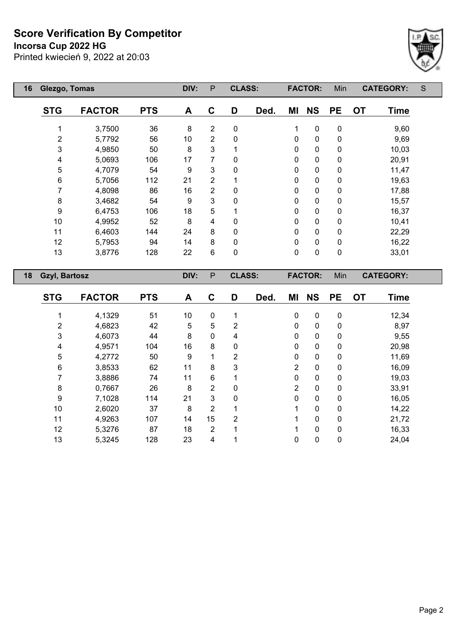**Incorsa Cup 2022 HG**



| 16<br>Glezgo, Tomas        |               |            | DIV: | P              | <b>CLASS:</b> |      |              | <b>FACTOR:</b> | Min       | <b>CATEGORY:</b>         | S |
|----------------------------|---------------|------------|------|----------------|---------------|------|--------------|----------------|-----------|--------------------------|---|
| <b>STG</b>                 | <b>FACTOR</b> | <b>PTS</b> | A    | $\mathbf{C}$   | D             | Ded. | ΜI           | <b>NS</b>      | <b>PE</b> | <b>OT</b><br><b>Time</b> |   |
|                            | 3,7500        | 36         | 8    | $\overline{2}$ | $\pmb{0}$     |      | 1            | $\pmb{0}$      | 0         | 9,60                     |   |
| $\overline{2}$             | 5,7792        | 56         | 10   | $\overline{2}$ | 0             |      | $\mathbf{0}$ | $\pmb{0}$      | $\pmb{0}$ | 9,69                     |   |
| 3                          | 4,9850        | 50         | 8    | 3              |               |      | 0            | $\pmb{0}$      | $\pmb{0}$ | 10,03                    |   |
| 4                          | 5,0693        | 106        | 17   | 7              | 0             |      | $\mathbf{0}$ | $\pmb{0}$      | $\pmb{0}$ | 20,91                    |   |
| 5                          | 4,7079        | 54         | 9    | 3              | $\mathbf{0}$  |      | $\mathbf{0}$ | $\mathbf 0$    | $\pmb{0}$ | 11,47                    |   |
| 6                          | 5,7056        | 112        | 21   | 2              |               |      | 0            | $\pmb{0}$      | 0         | 19,63                    |   |
| 7                          | 4,8098        | 86         | 16   | 2              | 0             |      | 0            | $\mathbf 0$    | 0         | 17,88                    |   |
| 8                          | 3,4682        | 54         | 9    | 3              | $\Omega$      |      | $\mathbf 0$  | $\mathbf 0$    | 0         | 15,57                    |   |
| 9                          | 6,4753        | 106        | 18   | 5              |               |      | 0            | $\pmb{0}$      | $\pmb{0}$ | 16,37                    |   |
| 10                         | 4,9952        | 52         | 8    | 4              | 0             |      | $\mathbf{0}$ | $\mathbf 0$    | $\pmb{0}$ | 10,41                    |   |
| 11                         | 6,4603        | 144        | 24   | 8              | 0             |      | $\mathbf{0}$ | $\mathbf 0$    | 0         | 22,29                    |   |
| 12                         | 5,7953        | 94         | 14   | 8              | 0             |      | $\mathbf{0}$ | $\mathbf 0$    | 0         | 16,22                    |   |
| 13                         | 3,8776        | 128        | 22   | 6              | 0             |      | $\mathbf 0$  | $\mathbf 0$    | $\pmb{0}$ | 33,01                    |   |
| 18<br><b>Gzyl, Bartosz</b> |               |            | DIV: | P              | <b>CLASS:</b> |      |              | <b>FACTOR:</b> | Min       | <b>CATEGORY:</b>         |   |
|                            |               |            |      |                |               |      |              |                |           |                          |   |

| <b>STG</b> | <b>FACTOR</b> | <b>PTS</b> | A  | C              | D | Ded. | ΜI           | <b>NS</b>    | <b>PE</b> | <b>OT</b> | <b>Time</b> |
|------------|---------------|------------|----|----------------|---|------|--------------|--------------|-----------|-----------|-------------|
|            |               |            |    |                |   |      |              |              |           |           |             |
|            | 4,1329        | 51         | 10 | 0              |   |      | $\mathbf 0$  | 0            | 0         |           | 12,34       |
| 2          | 4,6823        | 42         | 5  | 5              | 2 |      | $\Omega$     | $\mathbf{0}$ | 0         |           | 8,97        |
| 3          | 4,6073        | 44         | 8  | 0              | 4 |      | $\Omega$     | $\mathbf{0}$ | 0         |           | 9,55        |
| 4          | 4,9571        | 104        | 16 | 8              | 0 |      | $\mathbf{0}$ | 0            | 0         |           | 20,98       |
| 5          | 4,2772        | 50         | 9  | 1              | 2 |      | $\Omega$     | 0            | 0         |           | 11,69       |
| 6          | 3,8533        | 62         | 11 | 8              | 3 |      | 2            | $\mathbf{0}$ | 0         |           | 16,09       |
|            | 3,8886        | 74         | 11 | 6              |   |      | $\Omega$     | $\Omega$     | 0         |           | 19,03       |
| 8          | 0,7667        | 26         | 8  | $\overline{2}$ | 0 |      | 2            | $\mathbf{0}$ | 0         |           | 33,91       |
| 9          | 7,1028        | 114        | 21 | 3              | 0 |      | $\Omega$     | $\Omega$     | 0         |           | 16,05       |
| 10         | 2,6020        | 37         | 8  | $\overline{2}$ |   |      |              | $\mathbf{0}$ | 0         |           | 14,22       |
| 11         | 4,9263        | 107        | 14 | 15             | 2 |      |              | $\Omega$     | 0         |           | 21,72       |
| 12         | 5,3276        | 87         | 18 | $\overline{2}$ |   |      |              | $\mathbf{0}$ | 0         |           | 16,33       |
| 13         | 5,3245        | 128        | 23 | 4              |   |      | 0            | 0            | 0         |           | 24,04       |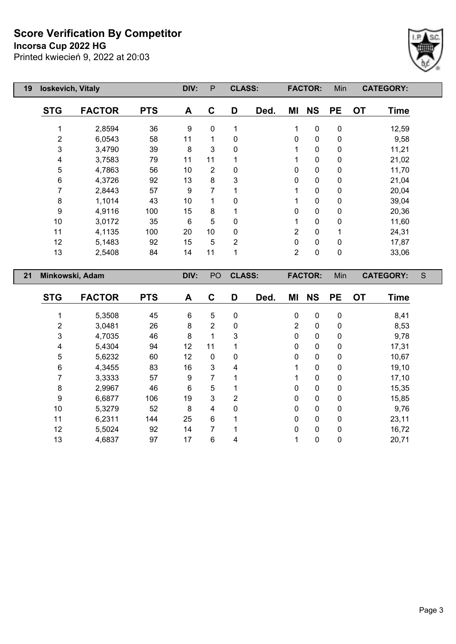**Incorsa Cup 2022 HG**

 $\mathbb{R}$ 



| 19 | loskevich, Vitaly |               |            | DIV: | P              | <b>CLASS:</b>  |      |                | <b>FACTOR:</b> | Min         |           | <b>CATEGORY:</b> |  |
|----|-------------------|---------------|------------|------|----------------|----------------|------|----------------|----------------|-------------|-----------|------------------|--|
|    | <b>STG</b>        | <b>FACTOR</b> | <b>PTS</b> | A    | C              | D              | Ded. | ΜI             | <b>NS</b>      | <b>PE</b>   | <b>OT</b> | <b>Time</b>      |  |
|    |                   | 2,8594        | 36         | 9    | $\mathbf 0$    | 1              |      | 1              | $\mathbf 0$    | $\mathbf 0$ |           | 12,59            |  |
|    | 2                 | 6,0543        | 58         | 11   |                | $\mathbf{0}$   |      | $\mathbf{0}$   | $\mathbf 0$    | 0           |           | 9,58             |  |
|    | 3                 | 3,4790        | 39         | 8    | 3              | $\mathbf{0}$   |      | 1              | $\mathbf 0$    | $\mathbf 0$ |           | 11,21            |  |
|    | 4                 | 3,7583        | 79         | 11   | 11             |                |      | 1              | $\mathbf 0$    | 0           |           | 21,02            |  |
|    | 5                 | 4,7863        | 56         | 10   | $\overline{2}$ | 0              |      | $\mathbf{0}$   | $\mathbf 0$    | 0           |           | 11,70            |  |
|    | 6                 | 4,3726        | 92         | 13   | 8              | 3              |      | $\mathbf 0$    | $\mathbf 0$    | $\mathbf 0$ |           | 21,04            |  |
|    | 7                 | 2,8443        | 57         | 9    | 7              |                |      | 1              | $\mathbf 0$    | 0           |           | 20,04            |  |
|    | 8                 | 1,1014        | 43         | 10   |                | 0              |      | 1              | $\mathbf 0$    | $\pmb{0}$   |           | 39,04            |  |
|    | 9                 | 4,9116        | 100        | 15   | 8              |                |      | $\mathbf 0$    | $\mathbf 0$    | $\mathbf 0$ |           | 20,36            |  |
|    | 10                | 3,0172        | 35         | 6    | 5              | 0              |      | 1              | $\mathbf 0$    | 0           |           | 11,60            |  |
|    | 11                | 4,1135        | 100        | 20   | 10             | 0              |      | $\overline{2}$ | $\mathbf 0$    |             |           | 24,31            |  |
|    | 12                | 5,1483        | 92         | 15   | 5              | $\overline{2}$ |      | $\mathbf 0$    | $\mathbf 0$    | $\mathbf 0$ |           | 17,87            |  |
|    | 13                | 2,5408        | 84         | 14   | 11             | 1              |      | $\overline{2}$ | $\mathbf 0$    | $\pmb{0}$   |           | 33,06            |  |

| 21 |            | Minkowski, Adam |            | DIV: | P <sub>O</sub> | <b>CLASS:</b>  |      |    | <b>FACTOR:</b> | Min          |           | <b>CATEGORY:</b> | S |
|----|------------|-----------------|------------|------|----------------|----------------|------|----|----------------|--------------|-----------|------------------|---|
|    | <b>STG</b> | <b>FACTOR</b>   | <b>PTS</b> | A    | $\mathbf C$    | D              | Ded. | ΜI | <b>NS</b>      | <b>PE</b>    | <b>OT</b> | <b>Time</b>      |   |
|    |            | 5,3508          | 45         | 6    | 5              | 0              |      | 0  | $\mathbf 0$    | 0            |           | 8,41             |   |
|    | 2          | 3,0481          | 26         | 8    | 2              | 0              |      | 2  | $\mathbf 0$    | 0            |           | 8,53             |   |
|    | 3          | 4,7035          | 46         | 8    | 1              | 3              |      | 0  | $\mathbf 0$    | 0            |           | 9,78             |   |
|    | 4          | 5,4304          | 94         | 12   | 11             |                |      | 0  | 0              | 0            |           | 17,31            |   |
|    | 5          | 5,6232          | 60         | 12   | $\mathbf 0$    | 0              |      | 0  | 0              | 0            |           | 10,67            |   |
|    | 6          | 4,3455          | 83         | 16   | 3              | 4              |      | 1  | $\mathbf{0}$   | 0            |           | 19,10            |   |
|    |            | 3,3333          | 57         | 9    |                |                |      | 1  | $\mathbf{0}$   | 0            |           | 17,10            |   |
|    | 8          | 2,9967          | 46         | 6    | 5              |                |      | 0  | 0              | 0            |           | 15,35            |   |
|    | 9          | 6,6877          | 106        | 19   | 3              | $\overline{2}$ |      | 0  | 0              | 0            |           | 15,85            |   |
|    | 10         | 5,3279          | 52         | 8    | 4              | 0              |      | 0  | 0              | 0            |           | 9,76             |   |
|    | 11         | 6,2311          | 144        | 25   | 6              |                |      | 0  | $\mathbf{0}$   | $\mathbf{0}$ |           | 23,11            |   |
|    | 12         | 5,5024          | 92         | 14   | 7              |                |      | 0  | $\mathbf{0}$   | 0            |           | 16,72            |   |
|    | 13         | 4,6837          | 97         | 17   | 6              | 4              |      |    | 0              | 0            |           | 20,71            |   |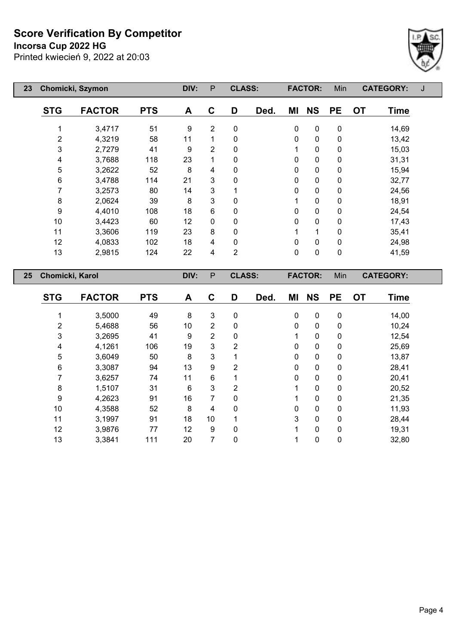**Incorsa Cup 2022 HG**

Printed kwiecień 9, 2022 at 20:03



| 23 |                 | Chomicki, Szymon |            | DIV: | P | <b>CLASS:</b>  |      |              | <b>FACTOR:</b> | Min       | <b>CATEGORY:</b>         | J |
|----|-----------------|------------------|------------|------|---|----------------|------|--------------|----------------|-----------|--------------------------|---|
|    | <b>STG</b>      | <b>FACTOR</b>    | <b>PTS</b> | A    | C | D              | Ded. | ΜI           | <b>NS</b>      | <b>PE</b> | <b>OT</b><br><b>Time</b> |   |
|    | 1               | 3,4717           | 51         | 9    | 2 | $\mathbf 0$    |      | $\mathbf 0$  | $\pmb{0}$      | $\pmb{0}$ | 14,69                    |   |
|    | $\overline{c}$  | 4,3219           | 58         | 11   | 1 | 0              |      | 0            | 0              | 0         | 13,42                    |   |
|    | 3               | 2,7279           | 41         | 9    | 2 | 0              |      | 1            | $\pmb{0}$      | 0         | 15,03                    |   |
|    | 4               | 3,7688           | 118        | 23   | 1 | 0              |      | $\mathbf{0}$ | $\pmb{0}$      | 0         | 31,31                    |   |
|    | 5               | 3,2622           | 52         | 8    | 4 | 0              |      | 0            | 0              | 0         | 15,94                    |   |
|    | 6               | 3,4788           | 114        | 21   | 3 | 0              |      | 0            | $\pmb{0}$      | 0         | 32,77                    |   |
|    | 7               | 3,2573           | 80         | 14   | 3 |                |      | 0            | 0              | 0         | 24,56                    |   |
|    | 8               | 2,0624           | 39         | 8    | 3 | 0              |      | 1            | 0              | 0         | 18,91                    |   |
|    | 9               | 4,4010           | 108        | 18   | 6 | 0              |      | 0            | 0              | 0         | 24,54                    |   |
|    | 10              | 3,4423           | 60         | 12   | 0 | $\mathbf 0$    |      | 0            | 0              | 0         | 17,43                    |   |
|    | 11              | 3,3606           | 119        | 23   | 8 | $\mathbf 0$    |      | 1            | 1              | 0         | 35,41                    |   |
|    | 12              | 4,0833           | 102        | 18   | 4 | $\mathbf 0$    |      | 0            | 0              | 0         | 24,98                    |   |
|    | 13              | 2,9815           | 124        | 22   | 4 | $\overline{2}$ |      | 0            | $\pmb{0}$      | $\pmb{0}$ | 41,59                    |   |
| 25 | Chomicki, Karol |                  |            | DIV: | P | <b>CLASS:</b>  |      |              | <b>FACTOR:</b> | Min       | <b>CATEGORY:</b>         |   |
|    | <b>STG</b>      | <b>FACTOR</b>    | <b>PTS</b> | A    | C | D              | Ded. | ΜI           | <b>NS</b>      | <b>PE</b> | <b>OT</b><br><b>Time</b> |   |

 3,5000 49 8 3 0 0 0 0 14,00 5,4688 56 10 2 0 0 0 0 10,24 3,2695 41 9 2 0 1 0 0 12,54 4,1261 106 19 3 2 0 0 0 25,69 3,6049 50 8 3 1 0 0 0 13,87 3,3087 94 13 9 2 0 0 0 28,41 3,6257 74 11 6 1 0 0 0 20,41 1,5107 31 6 3 2 1 0 0 20,52 4,2623 91 16 7 0 1 0 0 21,35 4,3588 52 8 4 0 0 0 0 11,93 3,1997 91 18 10 1 3 0 0 28,44 3,9876 77 12 9 0 1 0 0 19,31 3,3841 111 20 7 0 1 0 0 32,80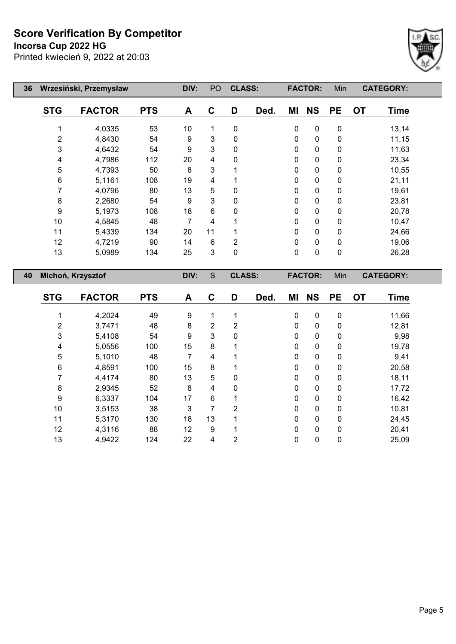**Incorsa Cup 2022 HG**



| 36 | Wrzesiński, Przemysław |                   |            | DIV:           | PO | <b>CLASS:</b>  |      |             | <b>FACTOR:</b> | Min         | <b>CATEGORY:</b>         |  |
|----|------------------------|-------------------|------------|----------------|----|----------------|------|-------------|----------------|-------------|--------------------------|--|
|    | <b>STG</b>             | <b>FACTOR</b>     | <b>PTS</b> | A              | C  | D              | Ded. | ΜI          | <b>NS</b>      | <b>PE</b>   | <b>OT</b><br><b>Time</b> |  |
|    |                        | 4,0335            | 53         | 10             | 1  | 0              |      | $\mathbf 0$ | $\pmb{0}$      | $\pmb{0}$   | 13,14                    |  |
|    | 2                      | 4,8430            | 54         | 9              | 3  | 0              |      | 0           | $\pmb{0}$      | 0           | 11,15                    |  |
|    | 3                      | 4,6432            | 54         | 9              | 3  | 0              |      | 0           | $\pmb{0}$      | $\pmb{0}$   | 11,63                    |  |
|    | 4                      | 4,7986            | 112        | 20             | 4  | 0              |      | 0           | $\pmb{0}$      | $\mathbf 0$ | 23,34                    |  |
|    | 5                      | 4,7393            | 50         | 8              | 3  |                |      | 0           | $\pmb{0}$      | $\pmb{0}$   | 10,55                    |  |
|    | 6                      | 5,1161            | 108        | 19             | 4  |                |      | 0           | $\pmb{0}$      | $\mathbf 0$ | 21,11                    |  |
|    | 7                      | 4,0796            | 80         | 13             | 5  | 0              |      | 0           | $\pmb{0}$      | $\pmb{0}$   | 19,61                    |  |
|    | 8                      | 2,2680            | 54         | 9              | 3  | 0              |      | 0           | $\pmb{0}$      | $\mathbf 0$ | 23,81                    |  |
|    | $\boldsymbol{9}$       | 5,1973            | 108        | 18             | 6  | 0              |      | 0           | $\mathbf 0$    | 0           | 20,78                    |  |
|    | 10                     | 4,5845            | 48         | $\overline{7}$ | 4  |                |      | 0           | $\pmb{0}$      | $\pmb{0}$   | 10,47                    |  |
|    | 11                     | 5,4339            | 134        | 20             | 11 |                |      | 0           | $\mathbf 0$    | $\pmb{0}$   | 24,66                    |  |
|    | 12                     | 4,7219            | 90         | 14             | 6  | $\overline{2}$ |      | 0           | $\pmb{0}$      | $\pmb{0}$   | 19,06                    |  |
|    | 13                     | 5,0989            | 134        | 25             | 3  | 0              |      | 0           | $\mathbf 0$    | $\mathbf 0$ | 26,28                    |  |
| 40 |                        | Michoń, Krzysztof |            | DIV:           | S  | <b>CLASS:</b>  |      |             | <b>FACTOR:</b> | Min         | <b>CATEGORY:</b>         |  |
|    | <b>STG</b>             | <b>FACTOR</b>     | <b>PTS</b> | A              | C  | D              | Ded. | ΜI          | <b>NS</b>      | PE          | <b>OT</b><br><b>Time</b> |  |

| <b>v</b> 1 v | ייט וא | ט ו | A  | ັ  | ◡ | DGU. | 171 L | טוו      | . .          | ◡ | סווווי |
|--------------|--------|-----|----|----|---|------|-------|----------|--------------|---|--------|
|              |        |     |    |    |   |      |       |          |              |   |        |
|              | 4,2024 | 49  | 9  | 1  |   |      | 0     | 0        | 0            |   | 11,66  |
| 2            | 3,7471 | 48  | 8  | 2  | 2 |      | 0     | 0        | 0            |   | 12,81  |
| 3            | 5,4108 | 54  | 9  | 3  | 0 |      | 0     | 0        | 0            |   | 9,98   |
| 4            | 5,0556 | 100 | 15 | 8  |   |      | 0     | $\Omega$ | $\mathbf{0}$ |   | 19,78  |
| 5            | 5,1010 | 48  | 7  | 4  |   |      | 0     | 0        | 0            |   | 9,41   |
| 6            | 4,8591 | 100 | 15 | 8  |   |      | 0     | 0        | 0            |   | 20,58  |
|              | 4,4174 | 80  | 13 | 5  | 0 |      | 0     | 0        | $\mathbf{0}$ |   | 18,11  |
| 8            | 2,9345 | 52  | 8  | 4  | 0 |      | 0     | $\Omega$ | $\mathbf{0}$ |   | 17,72  |
| 9            | 6,3337 | 104 | 17 | 6  |   |      | 0     | 0        | 0            |   | 16,42  |
| 10           | 3,5153 | 38  | 3  | 7  | 2 |      | 0     | $\Omega$ | $\mathbf{0}$ |   | 10,81  |
| 11           | 5,3170 | 130 | 18 | 13 |   |      | 0     | $\Omega$ | $\mathbf{0}$ |   | 24,45  |
| 12           | 4,3116 | 88  | 12 | 9  |   |      | 0     | 0        | 0            |   | 20,41  |
| 13           | 4,9422 | 124 | 22 | 4  | 2 |      | 0     | 0        | 0            |   | 25,09  |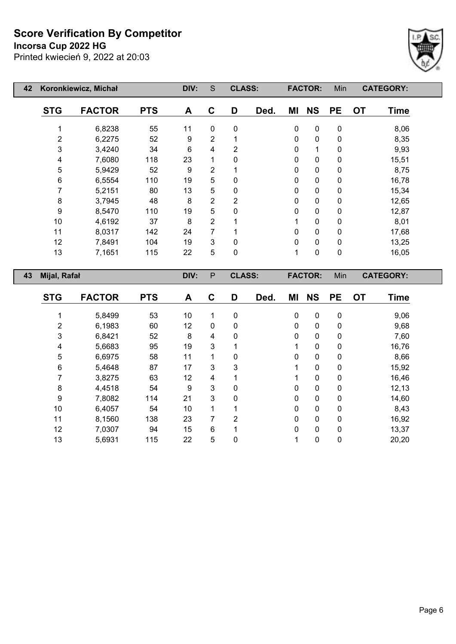**Incorsa Cup 2022 HG**

Printed kwiecień 9, 2022 at 20:03



| 42 |                         | Koronkiewicz, Michał |            | DIV: | $\mathbf S$    | <b>CLASS:</b>  |      |              | <b>FACTOR:</b> | Min       |           | <b>CATEGORY:</b> |  |
|----|-------------------------|----------------------|------------|------|----------------|----------------|------|--------------|----------------|-----------|-----------|------------------|--|
|    | <b>STG</b>              | <b>FACTOR</b>        | <b>PTS</b> | A    | C              | D              | Ded. | ΜI           | <b>NS</b>      | <b>PE</b> | <b>OT</b> | <b>Time</b>      |  |
|    | 1                       | 6,8238               | 55         | 11   | $\mathbf 0$    | $\mathbf 0$    |      | $\pmb{0}$    | $\pmb{0}$      | $\pmb{0}$ |           | 8,06             |  |
|    | $\overline{\mathbf{c}}$ | 6,2275               | 52         | 9    | $\overline{2}$ |                |      | $\pmb{0}$    | $\pmb{0}$      | $\pmb{0}$ |           | 8,35             |  |
|    | 3                       | 3,4240               | 34         | 6    | 4              | $\overline{2}$ |      | 0            | $\mathbf{1}$   | $\pmb{0}$ |           | 9,93             |  |
|    | 4                       | 7,6080               | 118        | 23   | 1              | $\mathbf 0$    |      | 0            | $\pmb{0}$      | $\pmb{0}$ |           | 15,51            |  |
|    | 5                       | 5,9429               | 52         | 9    | $\overline{2}$ |                |      | 0            | $\pmb{0}$      | $\pmb{0}$ |           | 8,75             |  |
|    | 6                       | 6,5554               | 110        | 19   | 5              | $\Omega$       |      | 0            | $\pmb{0}$      | $\pmb{0}$ |           | 16,78            |  |
|    | 7                       | 5,2151               | 80         | 13   | 5              | 0              |      | 0            | $\pmb{0}$      | $\pmb{0}$ |           | 15,34            |  |
|    | 8                       | 3,7945               | 48         | 8    | $\overline{2}$ | $\overline{2}$ |      | 0            | $\pmb{0}$      | $\pmb{0}$ |           | 12,65            |  |
|    | $\boldsymbol{9}$        | 8,5470               | 110        | 19   | 5              | $\mathbf 0$    |      | 0            | $\pmb{0}$      | $\pmb{0}$ |           | 12,87            |  |
|    | 10                      | 4,6192               | 37         | 8    | $\overline{2}$ |                |      | 1            | $\pmb{0}$      | $\pmb{0}$ |           | 8,01             |  |
|    | 11                      | 8,0317               | 142        | 24   | 7              |                |      | 0            | $\pmb{0}$      | $\pmb{0}$ |           | 17,68            |  |
|    | 12                      | 7,8491               | 104        | 19   | 3              | 0              |      | $\pmb{0}$    | $\pmb{0}$      | $\pmb{0}$ |           | 13,25            |  |
|    | 13                      | 7,1651               | 115        | 22   | 5              | 0              |      | $\mathbf{1}$ | $\pmb{0}$      | $\pmb{0}$ |           | 16,05            |  |
| 43 | Mijal, Rafał            |                      |            | DIV: | $\mathsf{P}$   | <b>CLASS:</b>  |      |              | <b>FACTOR:</b> | Min       |           | <b>CATEGORY:</b> |  |
|    | <b>STG</b>              | <b>FACTOR</b>        | <b>PTS</b> | A    | C              | D              | Ded. | ΜI           | <b>NS</b>      | <b>PE</b> | <b>OT</b> | <b>Time</b>      |  |
|    | 1                       | 5,8499               | 53         | 10   | 1              | 0              |      | $\pmb{0}$    | 0              | $\pmb{0}$ |           | 9,06             |  |
|    | 2                       | 6,1983               | 60         | 12   | $\mathbf 0$    | 0              |      | 0            | $\pmb{0}$      | $\pmb{0}$ |           | 9,68             |  |
|    | 3                       | 6,8421               | 52         | 8    | 4              | 0              |      | $\pmb{0}$    | $\pmb{0}$      | 0         |           | 7,60             |  |

 5,6683 95 19 3 1 1 0 0 16,76 6,6975 58 11 1 0 0 0 0 8,66 5,4648 87 17 3 3 1 0 0 15,92 3,8275 63 12 4 1 1 0 0 16,46 4,4518 54 9 3 0 0 0 0 12,13 7,8082 114 21 3 0 0 0 0 14,60 6,4057 54 10 1 1 0 0 0 8,43 8,1560 138 23 7 2 0 0 0 16,92 7,0307 94 15 6 1 0 0 0 13,37 5,6931 115 22 5 0 1 0 0 20,20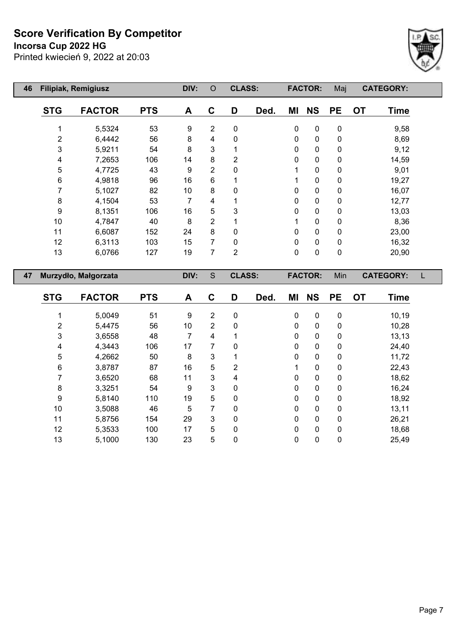**Incorsa Cup 2022 HG**

Printed kwiecień 9, 2022 at 20:03



| 46 |                         | Filipiak, Remigiusz  |            | DIV:             | $\circ$        | <b>CLASS:</b>  |      |             | <b>FACTOR:</b> | Maj       |           | <b>CATEGORY:</b> |  |
|----|-------------------------|----------------------|------------|------------------|----------------|----------------|------|-------------|----------------|-----------|-----------|------------------|--|
|    | <b>STG</b>              | <b>FACTOR</b>        | <b>PTS</b> | A                | $\mathbf C$    | D              | Ded. | ΜI          | <b>NS</b>      | <b>PE</b> | <b>OT</b> | <b>Time</b>      |  |
|    | 1                       | 5,5324               | 53         | $\boldsymbol{9}$ | $\overline{2}$ | $\mathbf 0$    |      | $\pmb{0}$   | $\pmb{0}$      | $\pmb{0}$ |           | 9,58             |  |
|    | 2                       | 6,4442               | 56         | 8                | 4              | 0              |      | 0           | $\pmb{0}$      | 0         |           | 8,69             |  |
|    | 3                       | 5,9211               | 54         | 8                | 3              | 1              |      | $\mathbf 0$ | $\pmb{0}$      | 0         |           | 9,12             |  |
|    | 4                       | 7,2653               | 106        | 14               | 8              | 2              |      | 0           | $\pmb{0}$      | 0         |           | 14,59            |  |
|    | 5                       | 4,7725               | 43         | 9                | $\overline{2}$ | 0              |      |             | $\pmb{0}$      | $\pmb{0}$ |           | 9,01             |  |
|    | 6                       | 4,9818               | 96         | 16               | 6              | 1              |      | 1           | $\pmb{0}$      | $\pmb{0}$ |           | 19,27            |  |
|    | 7                       | 5,1027               | 82         | 10               | 8              | 0              |      | 0           | $\pmb{0}$      | 0         |           | 16,07            |  |
|    | $\,8\,$                 | 4,1504               | 53         | $\overline{7}$   | 4              |                |      | 0           | $\pmb{0}$      | 0         |           | 12,77            |  |
|    | 9                       | 8,1351               | 106        | 16               | 5              | 3              |      | 0           | $\pmb{0}$      | 0         |           | 13,03            |  |
|    | 10                      | 4,7847               | 40         | 8                | $\overline{2}$ | 1              |      | 1           | $\pmb{0}$      | $\pmb{0}$ |           | 8,36             |  |
|    | 11                      | 6,6087               | 152        | 24               | 8              | 0              |      | 0           | $\pmb{0}$      | $\pmb{0}$ |           | 23,00            |  |
|    | 12                      | 6,3113               | 103        | 15               | 7              | $\mathbf 0$    |      | 0           | $\pmb{0}$      | $\pmb{0}$ |           | 16,32            |  |
|    | 13                      | 6,0766               | 127        | 19               | $\overline{7}$ | $\overline{2}$ |      | 0           | $\pmb{0}$      | $\pmb{0}$ |           | 20,90            |  |
| 47 |                         | Murzydło, Małgorzata |            | DIV:             | $\mathsf S$    | <b>CLASS:</b>  |      |             | <b>FACTOR:</b> | Min       |           | <b>CATEGORY:</b> |  |
|    | <b>STG</b>              | <b>FACTOR</b>        | <b>PTS</b> | A                | C              | D              | Ded. | ΜI          | <b>NS</b>      | <b>PE</b> | <b>OT</b> | <b>Time</b>      |  |
|    | 1                       | 5,0049               | 51         | 9                | $\overline{2}$ | $\mathbf 0$    |      | $\mathbf 0$ | $\pmb{0}$      | $\pmb{0}$ |           | 10,19            |  |
|    | $\overline{\mathbf{c}}$ | 5,4475               | 56         | 10               | $\overline{2}$ | 0              |      | 0           | $\pmb{0}$      | $\pmb{0}$ |           | 10,28            |  |
|    | 3                       | 3,6558               | 48         | $\overline{7}$   | 4              | 1              |      | $\pmb{0}$   | $\pmb{0}$      | $\pmb{0}$ |           | 13, 13           |  |
|    | 4                       | 4,3443               | 106        | 17               | 7              | 0              |      | $\mathbf 0$ | $\pmb{0}$      | $\pmb{0}$ |           | 24,40            |  |
|    | 5                       | 4,2662               | 50         | 8                | 3              | 1              |      | 0           | $\pmb{0}$      | 0         |           | 11,72            |  |

 3,8787 87 16 5 2 1 0 0 22,43 3,6520 68 11 3 4 0 0 0 18,62 3,3251 54 9 3 0 0 0 0 16,24 5,8140 110 19 5 0 0 0 0 18,92 3,5088 46 5 7 0 0 0 0 13,11 5,8756 154 29 3 0 0 0 0 26,21 5,3533 100 17 5 0 0 0 0 18,68 5,1000 130 23 5 0 0 0 0 25,49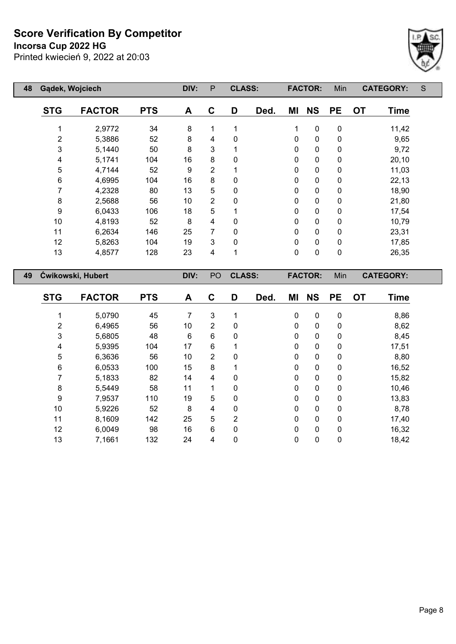**Incorsa Cup 2022 HG**



| 48 | Gądek, Wojciech |                          |            | DIV: | P  | <b>CLASS:</b> |      |    | <b>FACTOR:</b> | Min       |           | <b>CATEGORY:</b> | S |
|----|-----------------|--------------------------|------------|------|----|---------------|------|----|----------------|-----------|-----------|------------------|---|
|    | <b>STG</b>      | <b>FACTOR</b>            | <b>PTS</b> | A    | C  | D             | Ded. | ΜI | <b>NS</b>      | <b>PE</b> | <b>OT</b> | <b>Time</b>      |   |
|    |                 | 2,9772                   | 34         | 8    |    |               |      | 1  | $\mathbf 0$    | 0         |           | 11,42            |   |
|    | $\overline{2}$  | 5,3886                   | 52         | 8    | 4  | 0             |      | 0  | $\mathbf 0$    | 0         |           | 9,65             |   |
|    | 3               | 5,1440                   | 50         | 8    | 3  |               |      | 0  | $\mathbf 0$    | 0         |           | 9,72             |   |
|    | 4               | 5,1741                   | 104        | 16   | 8  | 0             |      | 0  | $\mathbf 0$    | 0         |           | 20,10            |   |
|    | 5               | 4,7144                   | 52         | 9    | 2  |               |      | 0  | 0              | 0         |           | 11,03            |   |
|    | 6               | 4,6995                   | 104        | 16   | 8  | 0             |      | 0  | $\mathbf{0}$   | 0         |           | 22,13            |   |
|    |                 | 4,2328                   | 80         | 13   | 5  | 0             |      | 0  | $\mathbf{0}$   | 0         |           | 18,90            |   |
|    | 8               | 2,5688                   | 56         | 10   | 2  | 0             |      | 0  | 0              | 0         |           | 21,80            |   |
|    | 9               | 6,0433                   | 106        | 18   | 5  |               |      | 0  | 0              | 0         |           | 17,54            |   |
|    | 10              | 4,8193                   | 52         | 8    | 4  | 0             |      | 0  | 0              | 0         |           | 10,79            |   |
|    | 11              | 6,2634                   | 146        | 25   | 7  | 0             |      | 0  | 0              | 0         |           | 23,31            |   |
|    | 12              | 5,8263                   | 104        | 19   | 3  | 0             |      | 0  | 0              | 0         |           | 17,85            |   |
|    | 13              | 4,8577                   | 128        | 23   | 4  | 1             |      | 0  | 0              | 0         |           | 26,35            |   |
| 49 |                 | <b>Cwikowski, Hubert</b> |            | DIV: | PO | <b>CLASS:</b> |      |    | <b>FACTOR:</b> | Min       |           | <b>CATEGORY:</b> |   |

| <b>STG</b>     | <b>FACTOR</b> | <b>PTS</b> | A  | C              | D              | Ded. | ΜI           | <b>NS</b>   | <b>PE</b>    | <b>OT</b> | <b>Time</b> |
|----------------|---------------|------------|----|----------------|----------------|------|--------------|-------------|--------------|-----------|-------------|
|                | 5,0790        | 45         | 7  | 3              |                |      | $\mathbf 0$  | $\mathbf 0$ | $\mathbf 0$  |           | 8,86        |
| $\overline{2}$ | 6,4965        | 56         | 10 | $\overline{2}$ | 0              |      | 0            | 0           | 0            |           | 8,62        |
| 3              | 5,6805        | 48         | 6  | 6              | 0              |      | 0            | 0           | $\mathbf{0}$ |           | 8,45        |
| 4              | 5,9395        | 104        | 17 | 6              |                |      | 0            | 0           | $\mathbf 0$  |           | 17,51       |
| 5              | 6,3636        | 56         | 10 | $\overline{2}$ | 0              |      | $\mathbf{0}$ | $\mathbf 0$ | $\Omega$     |           | 8,80        |
| $\,6$          | 6,0533        | 100        | 15 | 8              |                |      | 0            | $\mathbf 0$ | $\mathbf{0}$ |           | 16,52       |
|                | 5,1833        | 82         | 14 | 4              | 0              |      | 0            | $\mathbf 0$ | $\mathbf{0}$ |           | 15,82       |
| 8              | 5,5449        | 58         | 11 | 4              | 0              |      | $\mathbf{0}$ | $\mathbf 0$ | $\mathbf{0}$ |           | 10,46       |
| 9              | 7,9537        | 110        | 19 | 5              | 0              |      | 0            | $\mathbf 0$ | $\mathbf 0$  |           | 13,83       |
| 10             | 5,9226        | 52         | 8  | 4              | 0              |      | $\mathbf{0}$ | $\mathbf 0$ | $\Omega$     |           | 8,78        |
| 11             | 8,1609        | 142        | 25 | $\sqrt{5}$     | $\overline{2}$ |      | 0            | $\mathbf 0$ | $\mathbf{0}$ |           | 17,40       |
| 12             | 6,0049        | 98         | 16 | 6              | 0              |      | 0            | $\mathbf 0$ | $\Omega$     |           | 16,32       |
| 13             | 7,1661        | 132        | 24 | 4              | 0              |      | $\pmb{0}$    | 0           | 0            |           | 18,42       |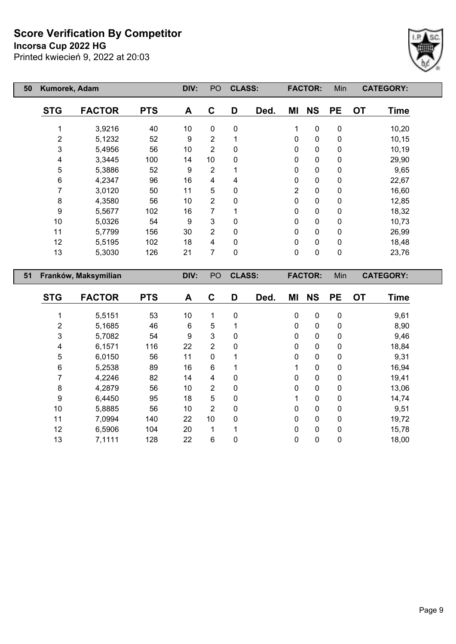**Incorsa Cup 2022 HG**



| 50 | Kumorek, Adam        |               |            | DIV: | PO             | <b>CLASS:</b> |      |                | <b>FACTOR:</b> | Min              | <b>CATEGORY:</b>         |  |
|----|----------------------|---------------|------------|------|----------------|---------------|------|----------------|----------------|------------------|--------------------------|--|
|    | <b>STG</b>           | <b>FACTOR</b> | <b>PTS</b> | A    | C              | D             | Ded. | ΜI             | <b>NS</b>      | <b>PE</b>        | <b>Time</b><br><b>OT</b> |  |
|    |                      | 3,9216        | 40         | 10   | $\mathbf 0$    | $\mathbf 0$   |      | 1              | $\mathbf 0$    | 0                | 10,20                    |  |
|    | $\overline{2}$       | 5,1232        | 52         | 9    | $\overline{2}$ |               |      | 0              | 0              | 0                | 10,15                    |  |
|    | 3                    | 5,4956        | 56         | 10   | $\overline{2}$ | 0             |      | 0              | 0              | $\mathbf 0$      | 10,19                    |  |
|    | 4                    | 3,3445        | 100        | 14   | 10             | 0             |      | 0              | 0              | 0                | 29,90                    |  |
|    | 5                    | 5,3886        | 52         | 9    | 2              |               |      | $\Omega$       | 0              | 0                | 9,65                     |  |
|    | 6                    | 4,2347        | 96         | 16   | 4              | 4             |      | $\Omega$       | 0              | $\mathbf 0$      | 22,67                    |  |
|    | 7                    | 3,0120        | 50         | 11   | 5              | 0             |      | 2              | 0              | 0                | 16,60                    |  |
|    | 8                    | 4,3580        | 56         | 10   | 2              | $\mathbf{0}$  |      | $\Omega$       | 0              | $\mathbf 0$      | 12,85                    |  |
|    | 9                    | 5,5677        | 102        | 16   | 7              |               |      | $\Omega$       | 0              | 0                | 18,32                    |  |
|    | 10                   | 5,0326        | 54         | 9    | 3              | 0             |      | $\Omega$       | 0              | 0                | 10,73                    |  |
|    | 11                   | 5,7799        | 156        | 30   | 2              | 0             |      | $\Omega$       | 0              | 0                | 26,99                    |  |
|    | 12                   | 5,5195        | 102        | 18   | 4              | $\mathbf 0$   |      | $\Omega$       | 0              | $\mathbf 0$      | 18,48                    |  |
|    | 13                   | 5,3030        | 126        | 21   | $\overline{7}$ | $\mathbf 0$   |      | $\Omega$       | $\mathbf 0$    | $\mathbf 0$      | 23,76                    |  |
| 51 | Franków, Maksymilian |               | DIV:       | PO   | <b>CLASS:</b>  |               |      | <b>FACTOR:</b> | Min            | <b>CATEGORY:</b> |                          |  |

| <b>STG</b>     | <b>FACTOR</b> | <b>PTS</b> | A  | C              | D | Ded. | ΜI           | <b>NS</b>    | <b>PE</b>    | <b>OT</b> | <b>Time</b> |
|----------------|---------------|------------|----|----------------|---|------|--------------|--------------|--------------|-----------|-------------|
|                | 5,5151        | 53         | 10 | 1              | 0 |      | 0            | $\mathbf 0$  | 0            |           | 9,61        |
| $\overline{2}$ | 5,1685        | 46         | 6  | 5              |   |      | $\mathbf{0}$ | $\mathbf 0$  | 0            |           | 8,90        |
| 3              | 5,7082        | 54         | 9  | 3              | 0 |      | $\mathbf{0}$ | $\mathbf{0}$ | $\mathbf{0}$ |           | 9,46        |
| 4              | 6,1571        | 116        | 22 | $\overline{2}$ | 0 |      | $\mathbf 0$  | $\mathbf 0$  | 0            |           | 18,84       |
| 5              | 6,0150        | 56         | 11 | $\mathbf{0}$   | 1 |      | $\Omega$     | $\mathbf{0}$ | $\mathbf{0}$ |           | 9,31        |
| 6              | 5,2538        | 89         | 16 | 6              |   |      |              | 0            | 0            |           | 16,94       |
| 7              | 4,2246        | 82         | 14 | 4              | 0 |      | $\Omega$     | $\mathbf 0$  | $\mathbf{0}$ |           | 19,41       |
| 8              | 4,2879        | 56         | 10 | $\overline{2}$ | 0 |      | $\mathbf{0}$ | $\mathbf 0$  | $\mathbf{0}$ |           | 13,06       |
| 9              | 6,4450        | 95         | 18 | 5              | 0 |      |              | $\mathbf 0$  | 0            |           | 14,74       |
| 10             | 5,8885        | 56         | 10 | $\overline{2}$ | 0 |      | $\Omega$     | $\mathbf 0$  | $\Omega$     |           | 9,51        |
| 11             | 7,0994        | 140        | 22 | 10             | 0 |      | $\mathbf{0}$ | $\mathbf 0$  | 0            |           | 19,72       |
| 12             | 6,5906        | 104        | 20 | 1              | 1 |      | $\Omega$     | $\mathbf{0}$ | $\mathbf{0}$ |           | 15,78       |
| 13             | 7,1111        | 128        | 22 | 6              | 0 |      | 0            | $\mathbf 0$  | 0            |           | 18,00       |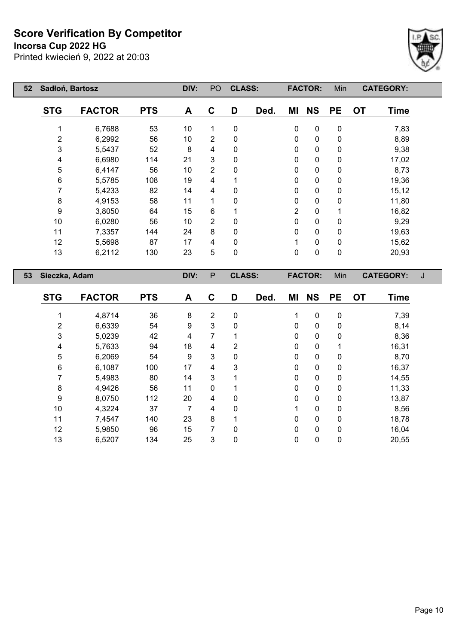**Incorsa Cup 2022 HG**



| 52 | Sadłoń, Bartosz  |               |            | DIV: | PO             | <b>CLASS:</b> |      |                | <b>FACTOR:</b> | Min         | <b>CATEGORY:</b>         |   |
|----|------------------|---------------|------------|------|----------------|---------------|------|----------------|----------------|-------------|--------------------------|---|
|    | <b>STG</b>       | <b>FACTOR</b> | <b>PTS</b> | A    | C              | D             | Ded. | ΜI             | <b>NS</b>      | <b>PE</b>   | <b>OT</b><br>Time        |   |
|    | 1                | 6,7688        | 53         | 10   | 1              | 0             |      | 0              | $\pmb{0}$      | 0           | 7,83                     |   |
|    | $\overline{2}$   | 6,2992        | 56         | 10   | $\overline{2}$ | 0             |      | $\mathbf 0$    | $\pmb{0}$      | 0           | 8,89                     |   |
|    | 3                | 5,5437        | 52         | 8    | 4              | 0             |      | 0              | 0              | 0           | 9,38                     |   |
|    | 4                | 6,6980        | 114        | 21   | 3              | 0             |      | 0              | 0              | 0           | 17,02                    |   |
|    | 5                | 6,4147        | 56         | 10   | 2              | 0             |      | 0              | $\pmb{0}$      | $\pmb{0}$   | 8,73                     |   |
|    | $\,6$            | 5,5785        | 108        | 19   | 4              |               |      | 0              | $\pmb{0}$      | 0           | 19,36                    |   |
|    | 7                | 5,4233        | 82         | 14   | 4              | 0             |      | 0              | 0              | 0           | 15, 12                   |   |
|    | 8                | 4,9153        | 58         | 11   | 1              | 0             |      | 0              | 0              | 0           | 11,80                    |   |
|    | $\boldsymbol{9}$ | 3,8050        | 64         | 15   | 6              |               |      | $\overline{2}$ | 0              | 1           | 16,82                    |   |
|    | 10               | 6,0280        | 56         | 10   | $\overline{2}$ | 0             |      | 0              | $\mathbf 0$    | 0           | 9,29                     |   |
|    | 11               | 7,3357        | 144        | 24   | 8              | 0             |      | 0              | 0              | 0           | 19,63                    |   |
|    | 12               | 5,5698        | 87         | 17   | 4              | 0             |      | 1              | $\mathbf 0$    | $\mathbf 0$ | 15,62                    |   |
|    | 13               | 6,2112        | 130        | 23   | 5              | 0             |      | $\mathbf 0$    | 0              | 0           | 20,93                    |   |
| 53 | Sieczka, Adam    |               |            | DIV: | $\mathsf{P}$   | <b>CLASS:</b> |      |                | <b>FACTOR:</b> | Min         | <b>CATEGORY:</b>         | J |
|    | <b>STG</b>       | <b>FACTOR</b> | <b>PTS</b> | A    | C              | D             | Ded. | ΜI             | <b>NS</b>      | <b>PE</b>   | <b>OT</b><br><b>Time</b> |   |

| <b>VIV</b> | ייטרע  | <u>гіч</u> | $\mathbf{\mathsf{m}}$ | v           | ◡            | Dca. | IVII     | טוו         | г н | ◡ | סוווו |
|------------|--------|------------|-----------------------|-------------|--------------|------|----------|-------------|-----|---|-------|
|            | 4,8714 | 36         | 8                     | 2           | $\mathbf{0}$ |      | 1        | 0           | 0   |   | 7,39  |
|            |        |            |                       |             |              |      |          |             |     |   |       |
| 2          | 6,6339 | 54         | 9                     | 3           | 0            |      | 0        | 0           | 0   |   | 8,14  |
| 3          | 5,0239 | 42         | 4                     | 7           |              |      | 0        | 0           | 0   |   | 8,36  |
| 4          | 5,7633 | 94         | 18                    | 4           | 2            |      | $\Omega$ | 0           |     |   | 16,31 |
| 5          | 6,2069 | 54         | 9                     | 3           | $\mathbf{0}$ |      | $\Omega$ | 0           | 0   |   | 8,70  |
| 6          | 6,1087 | 100        | 17                    | 4           | 3            |      | 0        | 0           | 0   |   | 16,37 |
| 7          | 5,4983 | 80         | 14                    | 3           |              |      | $\Omega$ | 0           | 0   |   | 14,55 |
| 8          | 4,9426 | 56         | 11                    | $\mathbf 0$ |              |      | $\Omega$ | 0           | 0   |   | 11,33 |
| 9          | 8,0750 | 112        | 20                    | 4           | $\mathbf{0}$ |      | 0        | 0           | 0   |   | 13,87 |
| 10         | 4,3224 | 37         | 7                     | 4           | $\Omega$     |      |          | 0           | 0   |   | 8,56  |
| 11         | 7,4547 | 140        | 23                    | 8           |              |      | 0        | 0           | 0   |   | 18,78 |
| 12         | 5,9850 | 96         | 15                    | 7           | $\Omega$     |      | 0        | $\mathbf 0$ | 0   |   | 16,04 |
| 13         | 6,5207 | 134        | 25                    | 3           | 0            |      | 0        | 0           | 0   |   | 20,55 |
|            |        |            |                       |             |              |      |          |             |     |   |       |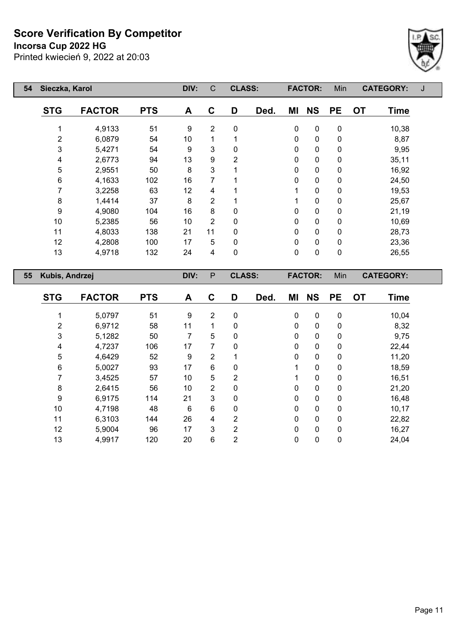**Incorsa Cup 2022 HG**



| 54 | Sieczka, Karol |               |            | DIV: | C              | <b>CLASS:</b>  |      |             | <b>FACTOR:</b> | Min         | <b>CATEGORY:</b>         | J |
|----|----------------|---------------|------------|------|----------------|----------------|------|-------------|----------------|-------------|--------------------------|---|
|    | <b>STG</b>     | <b>FACTOR</b> | <b>PTS</b> | A    | C              | D              | Ded. | ΜI          | <b>NS</b>      | <b>PE</b>   | <b>OT</b><br><b>Time</b> |   |
|    | 1              | 4,9133        | 51         | 9    | $\overline{2}$ | 0              |      | 0           | 0              | $\mathbf 0$ | 10,38                    |   |
|    | $\overline{2}$ | 6,0879        | 54         | 10   | 1              |                |      | $\Omega$    | $\mathbf 0$    | $\mathbf 0$ | 8,87                     |   |
|    | 3              | 5,4271        | 54         | 9    | 3              | 0              |      | $\mathbf 0$ | $\mathbf 0$    | $\mathbf 0$ | 9,95                     |   |
|    | 4              | 2,6773        | 94         | 13   | 9              | $\overline{2}$ |      | 0           | 0              | 0           | 35,11                    |   |
|    | 5              | 2,9551        | 50         | 8    | 3              |                |      | 0           | 0              | 0           | 16,92                    |   |
|    | 6              | 4,1633        | 102        | 16   | 7              |                |      | 0           | $\mathbf 0$    | 0           | 24,50                    |   |
|    | 7              | 3,2258        | 63         | 12   | 4              |                |      | 1           | $\mathbf 0$    | $\mathbf 0$ | 19,53                    |   |
|    | 8              | 1,4414        | 37         | 8    | $\overline{2}$ |                |      |             | $\mathbf 0$    | 0           | 25,67                    |   |
|    | 9              | 4,9080        | 104        | 16   | 8              | 0              |      | $\Omega$    | $\mathbf 0$    | $\mathbf 0$ | 21,19                    |   |
|    | 10             | 5,2385        | 56         | 10   | $\overline{2}$ | 0              |      | $\Omega$    | $\mathbf 0$    | 0           | 10,69                    |   |
|    | 11             | 4,8033        | 138        | 21   | 11             | 0              |      | $\Omega$    | $\mathbf 0$    | $\mathbf 0$ | 28,73                    |   |
|    | 12             | 4,2808        | 100        | 17   | 5              | $\mathbf{0}$   |      | $\Omega$    | $\mathbf 0$    | 0           | 23,36                    |   |
|    | 13             | 4,9718        | 132        | 24   | $\overline{4}$ | $\mathbf 0$    |      | 0           | $\mathbf 0$    | $\mathbf 0$ | 26,55                    |   |
| 55 | Kubis, Andrzej |               |            | DIV: | P              | <b>CLASS:</b>  |      |             | <b>FACTOR:</b> | Min         | <b>CATEGORY:</b>         |   |

| <b>STG</b> | <b>FACTOR</b> | <b>PTS</b> | A  | C              | D              | Ded. | ΜI | <b>NS</b>    | <b>PE</b>   | <b>OT</b> | <b>Time</b> |
|------------|---------------|------------|----|----------------|----------------|------|----|--------------|-------------|-----------|-------------|
|            |               |            |    |                |                |      |    |              |             |           |             |
|            | 5,0797        | 51         | 9  | $\overline{2}$ | $\mathbf 0$    |      | 0  | 0            | 0           |           | 10,04       |
| 2          | 6,9712        | 58         | 11 |                | $\Omega$       |      | 0  | 0            | 0           |           | 8,32        |
| 3          | 5,1282        | 50         | 7  | 5              | 0              |      | 0  | $\mathbf{0}$ | 0           |           | 9,75        |
| 4          | 4,7237        | 106        | 17 | 7              | $\mathbf{0}$   |      | 0  | 0            | 0           |           | 22,44       |
| 5          | 4,6429        | 52         | 9  | $\overline{2}$ |                |      | 0  | 0            | 0           |           | 11,20       |
| 6          | 5,0027        | 93         | 17 | 6              | $\mathbf{0}$   |      |    | 0            | 0           |           | 18,59       |
|            | 3,4525        | 57         | 10 | 5              | $\overline{2}$ |      |    | $\mathbf{0}$ | 0           |           | 16,51       |
| 8          | 2,6415        | 56         | 10 | $\overline{2}$ | $\mathbf{0}$   |      | 0  | $\mathbf{0}$ | 0           |           | 21,20       |
| 9          | 6,9175        | 114        | 21 | 3              | $\mathbf{0}$   |      | 0  | $\mathbf{0}$ | 0           |           | 16,48       |
| 10         | 4,7198        | 48         | 6  | 6              | $\mathbf{0}$   |      | 0  | 0            | 0           |           | 10,17       |
| 11         | 6,3103        | 144        | 26 | 4              | $\overline{2}$ |      | 0  | $\mathbf{0}$ | 0           |           | 22,82       |
| 12         | 5,9004        | 96         | 17 | 3              | 2              |      | 0  | $\mathbf{0}$ | $\mathbf 0$ |           | 16,27       |
| 13         | 4,9917        | 120        | 20 | 6              | 2              |      | 0  | 0            | 0           |           | 24,04       |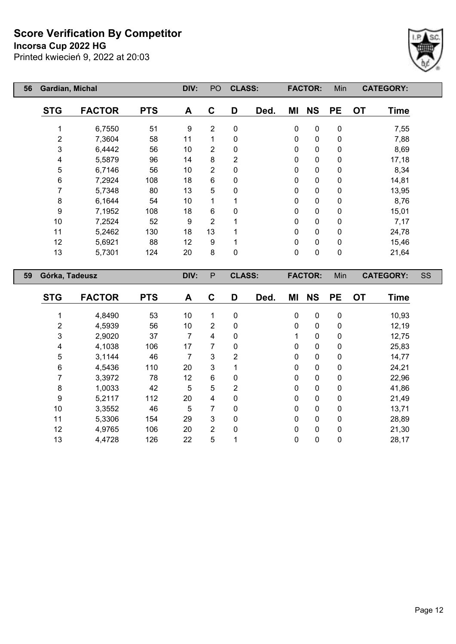**Incorsa Cup 2022 HG**



| 56 | Gardian, Michal    |               |            | DIV: | PO             | <b>CLASS:</b> |      |              | <b>FACTOR:</b> | Min       | <b>CATEGORY:</b>         |    |
|----|--------------------|---------------|------------|------|----------------|---------------|------|--------------|----------------|-----------|--------------------------|----|
|    | <b>STG</b>         | <b>FACTOR</b> | <b>PTS</b> | A    | C              | D             | Ded. | ΜI           | <b>NS</b>      | <b>PE</b> | <b>OT</b><br><b>Time</b> |    |
|    |                    | 6,7550        | 51         | 9    | 2              | 0             |      | 0            | $\pmb{0}$      | 0         | 7,55                     |    |
|    | 2                  | 7,3604        | 58         | 11   | 1              | 0             |      | 0            | 0              | 0         | 7,88                     |    |
|    | 3                  | 6,4442        | 56         | 10   | $\overline{2}$ | 0             |      | 0            | $\mathbf 0$    | 0         | 8,69                     |    |
|    | 4                  | 5,5879        | 96         | 14   | 8              | 2             |      | 0            | 0              | 0         | 17,18                    |    |
|    | 5                  | 6,7146        | 56         | 10   | $\overline{2}$ | 0             |      | 0            | 0              | 0         | 8,34                     |    |
|    | 6<br>7,2924<br>108 |               | 18         | 6    | 0              |               | 0    | 0            | 0              | 14,81     |                          |    |
|    | 7                  | 5,7348        | 80         | 13   | 5              | 0             |      | 0            | 0              | 0         | 13,95                    |    |
|    | 8                  | 6,1644        | 54         | 10   | 1              |               |      | 0            | 0              | 0         | 8,76                     |    |
|    | 9                  | 7,1952        | 108        | 18   | 6              | 0             |      | 0            | 0              | 0         | 15,01                    |    |
|    | 10                 | 7,2524        | 52         | 9    | 2              |               |      | 0            | 0              | 0         | 7,17                     |    |
|    | 11                 | 5,2462        | 130        | 18   | 13             |               |      | $\mathbf{0}$ | 0              | 0         | 24,78                    |    |
|    | 12                 | 5,6921        | 88         | 12   | 9              |               |      | 0            | 0              | $\pmb{0}$ | 15,46                    |    |
|    | 13                 | 5,7301        | 124        | 20   | 8              | 0             |      | $\mathbf 0$  | 0              | 0         | 21,64                    |    |
| 59 | Górka, Tadeusz     |               |            | DIV: | $\mathsf{P}$   | <b>CLASS:</b> |      |              | <b>FACTOR:</b> | Min       | <b>CATEGORY:</b>         | SS |
|    | <b>STG</b>         | <b>FACTOR</b> | <b>PTS</b> | A    | C              | D             | Ded. | ΜI           | <b>NS</b>      | <b>PE</b> | <b>OT</b><br><b>Time</b> |    |

| <b>STG</b> | <b>FACTOR</b> | <b>PTS</b> | A  | C | D              | Ded. | ΜI | <b>NS</b>   | <b>PE</b> | <b>OT</b> | <b>Time</b> |
|------------|---------------|------------|----|---|----------------|------|----|-------------|-----------|-----------|-------------|
|            | 4,8490        | 53         | 10 | 1 | $\mathbf 0$    |      | 0  | 0           | 0         |           | 10,93       |
|            |               |            |    |   |                |      |    |             |           |           |             |
| 2          | 4,5939        | 56         | 10 | 2 | $\mathbf 0$    |      | 0  | $\mathbf 0$ | 0         |           | 12,19       |
| 3          | 2,9020        | 37         | 7  | 4 | $\mathbf 0$    |      |    | 0           | 0         |           | 12,75       |
| 4          | 4,1038        | 106        | 17 | 7 | $\mathbf 0$    |      | 0  | 0           | 0         |           | 25,83       |
| 5          | 3,1144        | 46         | 7  | 3 | 2              |      | 0  | 0           | 0         |           | 14,77       |
| 6          | 4,5436        | 110        | 20 | 3 | 4              |      | 0  | $\pmb{0}$   | 0         |           | 24,21       |
|            | 3,3972        | 78         | 12 | 6 | $\mathbf 0$    |      | 0  | $\mathbf 0$ | 0         |           | 22,96       |
| 8          | 1,0033        | 42         | 5  | 5 | $\overline{2}$ |      | 0  | $\mathbf 0$ | 0         |           | 41,86       |
| 9          | 5,2117        | 112        | 20 | 4 | $\mathbf{0}$   |      | 0  | 0           | 0         |           | 21,49       |
| 10         | 3,3552        | 46         | 5  | 7 | $\mathbf 0$    |      | 0  | 0           | 0         |           | 13,71       |
| 11         | 5,3306        | 154        | 29 | 3 | $\mathbf{0}$   |      | 0  | $\mathbf 0$ | 0         |           | 28,89       |
| 12         | 4,9765        | 106        | 20 | 2 | $\mathbf 0$    |      | 0  | $\mathbf 0$ | 0         |           | 21,30       |
| 13         | 4,4728        | 126        | 22 | 5 |                |      | 0  | 0           | 0         |           | 28,17       |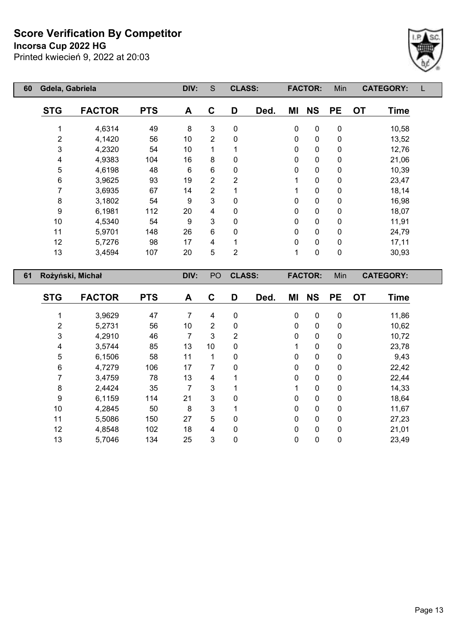**Incorsa Cup 2022 HG**



| 60 | Gdela, Gabriela |                  |            | DIV: | S              | <b>CLASS:</b>  |      |    | <b>FACTOR:</b> | Min       | <b>CATEGORY:</b>         |  |
|----|-----------------|------------------|------------|------|----------------|----------------|------|----|----------------|-----------|--------------------------|--|
|    | <b>STG</b>      | <b>FACTOR</b>    | <b>PTS</b> | A    | C              | D              | Ded. | ΜI | <b>NS</b>      | <b>PE</b> | <b>OT</b><br><b>Time</b> |  |
|    |                 | 4,6314           | 49         | 8    | 3              | 0              |      | 0  | $\pmb{0}$      | 0         | 10,58                    |  |
|    | $\overline{2}$  | 4,1420           | 56         | 10   | $\overline{2}$ | 0              |      | 0  | $\pmb{0}$      | $\pmb{0}$ | 13,52                    |  |
|    | 3               | 4,2320           | 54         | 10   | 1              |                |      | 0  | $\mathbf 0$    | 0         | 12,76                    |  |
|    | 4               | 4,9383           | 104        | 16   | 8              | 0              |      | 0  | $\pmb{0}$      | 0         | 21,06                    |  |
|    | 5               | 4,6198           | 48         | 6    | 6              | 0              |      | 0  | $\mathbf 0$    | 0         | 10,39                    |  |
|    | 6               | 3,9625           | 93         | 19   | 2              | 2              |      | 1  | $\mathbf 0$    | 0         | 23,47                    |  |
|    | 7               | 3,6935           | 67         | 14   | 2              |                |      | 1  | 0              | 0         | 18,14                    |  |
|    | 8               | 3,1802           | 54         | 9    | 3              | 0              |      | 0  | $\pmb{0}$      | 0         | 16,98                    |  |
|    | 9               | 6,1981           | 112        | 20   | 4              | 0              |      | 0  | $\pmb{0}$      | 0         | 18,07                    |  |
|    | 10              | 4,5340           | 54         | 9    | 3              | 0              |      | 0  | $\pmb{0}$      | 0         | 11,91                    |  |
|    | 11              | 5,9701           | 148        | 26   | 6              | 0              |      | 0  | $\pmb{0}$      | 0         | 24,79                    |  |
|    | 12              | 5,7276           | 98         | 17   | 4              |                |      | 0  | $\pmb{0}$      | 0         | 17,11                    |  |
|    | 13              | 3,4594           | 107        | 20   | 5              | $\overline{2}$ |      | 1  | $\pmb{0}$      | 0         | 30,93                    |  |
| 61 |                 | Rożyński, Michał |            | DIV: | PO             | <b>CLASS:</b>  |      |    | <b>FACTOR:</b> | Min       | <b>CATEGORY:</b>         |  |

| <b>STG</b> | <b>FACTOR</b> | <b>PTS</b> | A  | $\mathbf c$    | D | Ded. | ΜI           | <b>NS</b>   | <b>PE</b>    | <b>OT</b> | <b>Time</b> |
|------------|---------------|------------|----|----------------|---|------|--------------|-------------|--------------|-----------|-------------|
|            | 3,9629        | 47         | 7  | 4              | 0 |      | $\mathbf{0}$ | $\mathbf 0$ | $\mathbf{0}$ |           | 11,86       |
| 2          | 5,2731        | 56         | 10 | $\overline{2}$ | 0 |      | 0            | 0           | 0            |           | 10,62       |
| 3          | 4,2910        | 46         | 7  | 3              | 2 |      | $\mathbf{0}$ | 0           | $\mathbf{0}$ |           | 10,72       |
| 4          | 3,5744        | 85         | 13 | 10             | 0 |      | 1            | 0           | $\mathbf{0}$ |           | 23,78       |
| 5          | 6,1506        | 58         | 11 | 1              | 0 |      | 0            | 0           | $\mathbf{0}$ |           | 9,43        |
| 6          | 4,7279        | 106        | 17 | 7              | 0 |      | $\mathbf{0}$ | 0           | $\Omega$     |           | 22,42       |
|            | 3,4759        | 78         | 13 | 4              |   |      | 0            | 0           | $\mathbf{0}$ |           | 22,44       |
| 8          | 2,4424        | 35         | 7  | 3              |   |      | 1            | 0           | $\Omega$     |           | 14,33       |
| 9          | 6,1159        | 114        | 21 | 3              | 0 |      | 0            | 0           | 0            |           | 18,64       |
| 10         | 4,2845        | 50         | 8  | 3              | 1 |      | $\mathbf{0}$ | 0           | $\Omega$     |           | 11,67       |
| 11         | 5,5086        | 150        | 27 | 5              | 0 |      | $\mathbf{0}$ | 0           | 0            |           | 27,23       |
| 12         | 4,8548        | 102        | 18 | 4              | 0 |      | $\mathbf{0}$ | 0           | $\Omega$     |           | 21,01       |
| 13         | 5,7046        | 134        | 25 | 3              | 0 |      | 0            | 0           | 0            |           | 23,49       |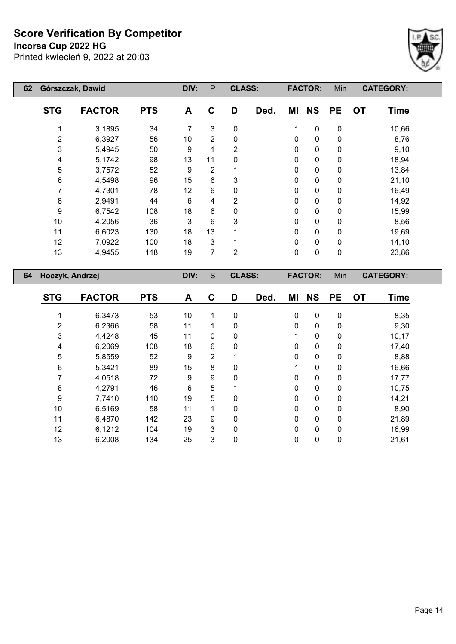**Incorsa Cup 2022 HG**



| 62 |                         | Górszczak, Dawid |            | DIV: | P              | <b>CLASS:</b>  |              |              | <b>FACTOR:</b> | Min         | <b>CATEGORY:</b>         |  |
|----|-------------------------|------------------|------------|------|----------------|----------------|--------------|--------------|----------------|-------------|--------------------------|--|
|    | <b>STG</b>              | <b>FACTOR</b>    | <b>PTS</b> | A    | C              | D              | Ded.         | ΜI           | <b>NS</b>      | <b>PE</b>   | <b>OT</b><br><b>Time</b> |  |
|    |                         | 3,1895           | 34         | 7    | 3              | $\mathbf 0$    |              | 1            | $\pmb{0}$      | $\mathbf 0$ | 10,66                    |  |
|    | $\overline{2}$          | 6,3927           | 56         | 10   | $\overline{2}$ | 0              |              | $\mathbf{0}$ | $\pmb{0}$      | $\mathbf 0$ | 8,76                     |  |
|    | 3                       | 5,4945           | 50         | 9    | 1              | $\overline{2}$ |              | $\mathbf{0}$ | $\pmb{0}$      | $\mathbf 0$ | 9,10                     |  |
|    | 4                       | 5,1742           | 98         | 13   | 11             | $\mathbf{0}$   |              | $\mathbf{0}$ | $\mathbf 0$    | $\mathbf 0$ | 18,94                    |  |
|    | 5                       | 3,7572           | 52         | 9    | 2              |                |              | $\mathbf{0}$ | $\mathbf 0$    | 0           | 13,84                    |  |
|    | $\,6\,$<br>4,5498<br>96 |                  | 15         | 6    | 3              |                | $\mathbf{0}$ | $\mathbf 0$  | 0              | 21,10       |                          |  |
|    | 7<br>4,7301<br>78       |                  | 12         | 6    | 0              |                | $\mathbf 0$  | $\mathbf 0$  | $\mathbf 0$    | 16,49       |                          |  |
|    | 8                       | 2,9491           | 44         | 6    | 4              | 2              |              | $\mathbf 0$  | $\mathbf 0$    | $\mathbf 0$ | 14,92                    |  |
|    | 9                       | 6,7542           | 108        | 18   | 6              | 0              |              | $\mathbf 0$  | $\mathbf 0$    | $\mathbf 0$ | 15,99                    |  |
|    | 10                      | 4,2056           | 36         | 3    | 6              | 3              |              | $\mathbf 0$  | $\mathbf 0$    | $\mathbf 0$ | 8,56                     |  |
|    | 11                      | 6,6023           | 130        | 18   | 13             |                |              | $\mathbf 0$  | $\pmb{0}$      | $\mathbf 0$ | 19,69                    |  |
|    | 12                      | 7,0922           | 100        | 18   | 3              |                |              | $\mathbf 0$  | $\pmb{0}$      | 0           | 14,10                    |  |
|    | 13                      | 4,9455           | 118        | 19   | 7              | $\overline{2}$ |              | $\mathbf 0$  | $\mathbf 0$    | $\mathbf 0$ | 23,86                    |  |
| 64 | Hoczyk, Andrzej         |                  |            | DIV: | S              | <b>CLASS:</b>  |              |              | <b>FACTOR:</b> | Min         | <b>CATEGORY:</b>         |  |

| <b>STG</b> | <b>FACTOR</b> | <b>PTS</b> | A  | C              | D            | Ded. | ΜI       | <b>NS</b>    | <b>PE</b>    | <b>OT</b> | <b>Time</b> |
|------------|---------------|------------|----|----------------|--------------|------|----------|--------------|--------------|-----------|-------------|
|            | 6,3473        | 53         | 10 | 1              | 0            |      | 0        | 0            | 0            |           | 8,35        |
| 2          | 6,2366        | 58         | 11 | 1              | 0            |      | $\Omega$ | 0            | $\mathbf{0}$ |           | 9,30        |
| 3          | 4,4248        | 45         | 11 | 0              | 0            |      | 1        | 0            | 0            |           | 10,17       |
| 4          | 6,2069        | 108        | 18 | 6              | $\mathbf{0}$ |      | 0        | 0            | 0            |           | 17,40       |
| 5          | 5,8559        | 52         | 9  | $\overline{2}$ |              |      | 0        | 0            | 0            |           | 8,88        |
| 6          | 5,3421        | 89         | 15 | 8              | $\mathbf{0}$ |      | 1        | $\mathbf{0}$ | $\Omega$     |           | 16,66       |
| 7          | 4,0518        | 72         | 9  | 9              | 0            |      | 0        | 0            | 0            |           | 17,77       |
| 8          | 4,2791        | 46         | 6  | 5              | 4            |      | 0        | 0            | 0            |           | 10,75       |
| 9          | 7,7410        | 110        | 19 | 5              | 0            |      | 0        | $\mathbf 0$  | 0            |           | 14,21       |
| 10         | 6,5169        | 58         | 11 | 1              | $\Omega$     |      | $\Omega$ | 0            | 0            |           | 8,90        |
| 11         | 6,4870        | 142        | 23 | 9              | 0            |      | 0        | 0            | 0            |           | 21,89       |
| 12         | 6,1212        | 104        | 19 | 3              | $\mathbf{0}$ |      | $\Omega$ | 0            | $\mathbf{0}$ |           | 16,99       |
| 13         | 6,2008        | 134        | 25 | 3              | 0            |      | 0        | 0            | 0            |           | 21,61       |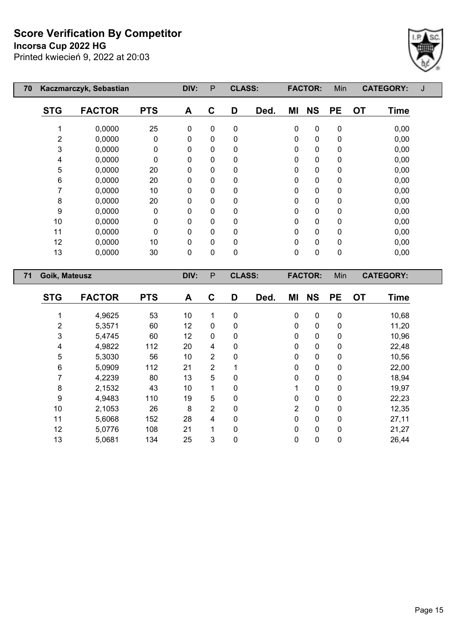**Incorsa Cup 2022 HG**

 $\mathsf{I}$ 

 $\overline{\phantom{a}}$ 



| 70 |                | Kaczmarczyk, Sebastian |            | DIV:         | P            | <b>CLASS:</b> |      |    | <b>FACTOR:</b> | Min       | <b>CATEGORY:</b>         |  |
|----|----------------|------------------------|------------|--------------|--------------|---------------|------|----|----------------|-----------|--------------------------|--|
|    | <b>STG</b>     | <b>FACTOR</b>          | <b>PTS</b> | A            | C            | D             | Ded. | ΜI | <b>NS</b>      | <b>PE</b> | <b>OT</b><br><b>Time</b> |  |
|    |                | 0,0000                 | 25         | 0            | 0            | 0             |      | 0  | $\mathbf 0$    | 0         | 0,00                     |  |
|    | $\overline{c}$ | 0,0000                 | 0          | 0            | 0            | 0             |      | 0  | 0              | 0         | 0,00                     |  |
|    | 3              | 0,0000                 | 0          | 0            | 0            | 0             |      | 0  | 0              | 0         | 0,00                     |  |
|    | 4              | 0,0000                 | 0          | 0            | $\mathbf{0}$ | 0             |      | 0  | 0              | 0         | 0,00                     |  |
|    | 5              | 0,0000                 | 20         | 0            | 0            | $\Omega$      |      | 0  | 0              | 0         | 0,00                     |  |
|    | 6              | 0,0000                 | 20         | 0            | 0            | 0             |      | 0  | 0              | 0         | 0,00                     |  |
|    |                | 0,0000                 | 10         | 0            | 0            | 0             |      | 0  | 0              | 0         | 0,00                     |  |
|    | 8              | 0,0000                 | 20         | 0            | 0            | 0             |      | 0  | 0              | 0         | 0,00                     |  |
|    | 9              | 0,0000                 | 0          | 0            | 0            | 0             |      | 0  | 0              | 0         | 0,00                     |  |
|    | 10             | 0,0000                 | 0          | 0            | 0            | 0             |      | 0  | 0              | 0         | 0,00                     |  |
|    | 11             | 0,0000                 | 0          | $\mathbf{0}$ | $\mathbf{0}$ | 0             |      | 0  | 0              | 0         | 0,00                     |  |
|    | 12             | 0,0000                 | 10         | 0            | $\Omega$     | 0             |      | 0  | 0              | 0         | 0,00                     |  |
|    | 13             | 0,0000                 | 30         | 0            | 0            | 0             |      | 0  | 0              | 0         | 0,00                     |  |
| 71 | Goik, Mateusz  |                        |            | DIV:         | $\mathsf{P}$ | <b>CLASS:</b> |      |    | <b>FACTOR:</b> | Min       | <b>CATEGORY:</b>         |  |
|    |                |                        |            |              |              |               |      |    |                |           |                          |  |

| <b>STG</b> | <b>FACTOR</b> | <b>PTS</b> | A  | С              | D | Ded. | ΜI | <b>NS</b>   | <b>PE</b>    | <b>OT</b> | <b>Time</b> |
|------------|---------------|------------|----|----------------|---|------|----|-------------|--------------|-----------|-------------|
|            | 4,9625        | 53         | 10 | 1              | 0 |      | 0  | 0           | 0            |           | 10,68       |
| 2          | 5,3571        | 60         | 12 | 0              | 0 |      | 0  | 0           | 0            |           | 11,20       |
| 3          | 5,4745        | 60         | 12 | 0              | 0 |      | 0  | 0           | 0            |           | 10,96       |
| 4          | 4,9822        | 112        | 20 | 4              | 0 |      | 0  | 0           | 0            |           | 22,48       |
| 5          | 5,3030        | 56         | 10 | $\overline{2}$ | 0 |      | 0  | 0           | $\Omega$     |           | 10,56       |
| 6          | 5,0909        | 112        | 21 | $\overline{2}$ |   |      | 0  | 0           | 0            |           | 22,00       |
|            | 4,2239        | 80         | 13 | 5              | 0 |      | 0  | 0           | 0            |           | 18,94       |
| 8          | 2,1532        | 43         | 10 | 1              | 0 |      |    | 0           | 0            |           | 19,97       |
| 9          | 4,9483        | 110        | 19 | 5              | 0 |      | 0  | 0           | $\Omega$     |           | 22,23       |
| 10         | 2,1053        | 26         | 8  | 2              | 0 |      | 2  | $\mathbf 0$ | $\mathbf{0}$ |           | 12,35       |
| 11         | 5,6068        | 152        | 28 | 4              | 0 |      | 0  | 0           | $\Omega$     |           | 27,11       |
| 12         | 5,0776        | 108        | 21 | 1              | 0 |      | 0  | 0           | $\mathbf{0}$ |           | 21,27       |
| 13         | 5,0681        | 134        | 25 | 3              | 0 |      | 0  | 0           | 0            |           | 26,44       |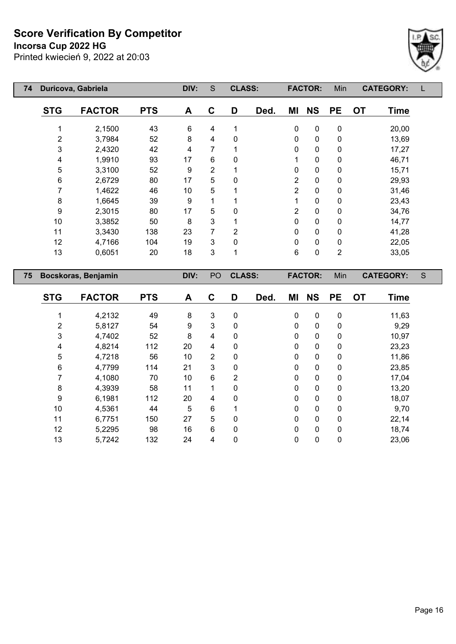**Incorsa Cup 2022 HG**

Printed kwiecień 9, 2022 at 20:03



| 74 |                         | Duricova, Gabriela  |            | DIV: | S              | <b>CLASS:</b>  |      |                  | <b>FACTOR:</b> | Min            |           | <b>CATEGORY:</b> |   |
|----|-------------------------|---------------------|------------|------|----------------|----------------|------|------------------|----------------|----------------|-----------|------------------|---|
|    | <b>STG</b>              | <b>FACTOR</b>       | <b>PTS</b> | A    | $\mathbf{C}$   | D              | Ded. | ΜI               | <b>NS</b>      | <b>PE</b>      | <b>OT</b> | <b>Time</b>      |   |
|    | 1                       | 2,1500              | 43         | 6    | 4              | 1              |      | $\boldsymbol{0}$ | 0              | $\pmb{0}$      |           | 20,00            |   |
|    | $\overline{\mathbf{c}}$ | 3,7984              | 52         | 8    | 4              | 0              |      | 0                | $\pmb{0}$      | 0              |           | 13,69            |   |
|    | 3                       | 2,4320              | 42         | 4    | 7              | 1              |      | $\mathbf 0$      | $\pmb{0}$      | $\pmb{0}$      |           | 17,27            |   |
|    | 4                       | 1,9910              | 93         | 17   | 6              | $\mathbf{0}$   |      | 1                | $\pmb{0}$      | $\pmb{0}$      |           | 46,71            |   |
|    | 5                       | 3,3100              | 52         | 9    | $\overline{2}$ |                |      | 0                | $\pmb{0}$      | $\pmb{0}$      |           | 15,71            |   |
|    | 6                       | 2,6729              | 80         | 17   | 5              | 0              |      | $\overline{2}$   | $\pmb{0}$      | $\pmb{0}$      |           | 29,93            |   |
|    | 7                       | 1,4622              | 46         | 10   | 5              | 1              |      | 2                | $\pmb{0}$      | $\pmb{0}$      |           | 31,46            |   |
|    | 8                       | 1,6645              | 39         | 9    | 1              |                |      | 1                | $\pmb{0}$      | 0              |           | 23,43            |   |
|    | 9                       | 2,3015              | 80         | 17   | 5              | 0              |      | $\overline{2}$   | $\pmb{0}$      | 0              |           | 34,76            |   |
|    | 10                      | 3,3852              | 50         | 8    | 3              | 1              |      | $\mathbf 0$      | $\pmb{0}$      | 0              |           | 14,77            |   |
|    | 11                      | 3,3430              | 138        | 23   | 7              | $\overline{2}$ |      | 0                | $\pmb{0}$      | $\pmb{0}$      |           | 41,28            |   |
|    | 12                      | 4,7166              | 104        | 19   | 3              | 0              |      | 0                | $\pmb{0}$      | $\pmb{0}$      |           | 22,05            |   |
|    | 13                      | 0,6051              | 20         | 18   | 3              | 1              |      | $\,6\,$          | $\pmb{0}$      | $\overline{2}$ |           | 33,05            |   |
| 75 |                         | Bocskoras, Benjamin |            | DIV: | PO             | <b>CLASS:</b>  |      |                  | <b>FACTOR:</b> | Min            |           | <b>CATEGORY:</b> | S |
|    | <b>STG</b>              | <b>FACTOR</b>       | <b>PTS</b> | A    | $\mathbf c$    | D              | Ded. | MI               | <b>NS</b>      | <b>PE</b>      | <b>OT</b> | <b>Time</b>      |   |
|    | 1                       | 4,2132              | 49         | 8    | 3              | 0              |      | $\mathbf 0$      | $\pmb{0}$      | $\pmb{0}$      |           | 11,63            |   |
|    | 2                       | 5,8127              | 54         | 9    | 3              | 0              |      | 0                | $\pmb{0}$      | $\pmb{0}$      |           | 9,29             |   |
|    | 3                       | 4,7402              | 52         | 8    | 4              | 0              |      | 0                | $\pmb{0}$      | $\pmb{0}$      |           | 10,97            |   |
|    | 4                       | 4,8214              | 112        | 20   | 4              | 0              |      | 0                | $\mathbf 0$    | 0              |           | 23,23            |   |

 4,7218 56 10 2 0 0 0 0 11,86 4,7799 114 21 3 0 0 0 0 23,85 4,1080 70 10 6 2 0 0 0 17,04 4,3939 58 11 1 0 0 0 0 13,20 6,1981 112 20 4 0 0 0 0 18,07 4,5361 44 5 6 1 0 0 0 9,70 6,7751 150 27 5 0 0 0 0 22,14 5,2295 98 16 6 0 0 0 0 18,74 5,7242 132 24 4 0 0 0 0 23,06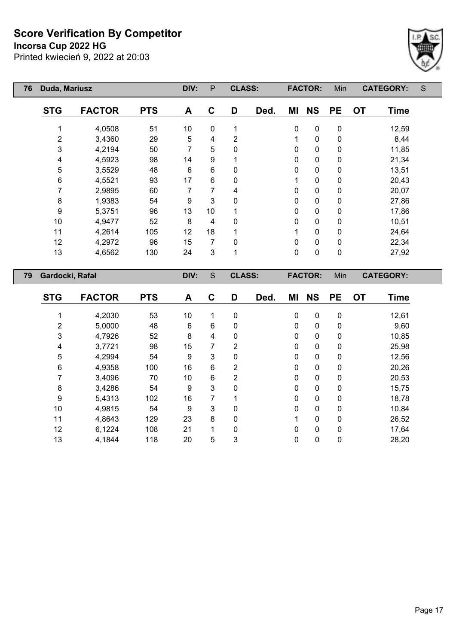**Incorsa Cup 2022 HG**



| 76 | Duda, Mariusz   |               |            | DIV: | P  | <b>CLASS:</b>  |      |          | <b>FACTOR:</b> | Min       | <b>CATEGORY:</b>         | S |
|----|-----------------|---------------|------------|------|----|----------------|------|----------|----------------|-----------|--------------------------|---|
|    | <b>STG</b>      | <b>FACTOR</b> | <b>PTS</b> | A    | C  | D              | Ded. | MI       | <b>NS</b>      | <b>PE</b> | <b>OT</b><br><b>Time</b> |   |
|    | 1               | 4,0508        | 51         | 10   | 0  | 1              |      | 0        | 0              | 0         | 12,59                    |   |
|    | $\overline{2}$  | 3,4360        | 29         | 5    | 4  | $\overline{2}$ |      | 1        | $\pmb{0}$      | 0         | 8,44                     |   |
|    | 3               | 4,2194        | 50         | 7    | 5  | 0              |      | $\Omega$ | $\mathbf 0$    | 0         | 11,85                    |   |
|    | 4               | 4,5923        | 98         | 14   | 9  | 1              |      | $\Omega$ | $\mathbf 0$    | 0         | 21,34                    |   |
|    | 5               | 3,5529        | 48         | 6    | 6  | 0              |      | 0        | $\pmb{0}$      | 0         | 13,51                    |   |
|    | 6               | 4,5521        | 93         | 17   | 6  | 0              |      | 1        | $\pmb{0}$      | 0         | 20,43                    |   |
|    | 7               | 2,9895        | 60         | 7    | 7  | 4              |      | 0        | $\mathbf 0$    | 0         | 20,07                    |   |
|    | 8               | 1,9383        | 54         | 9    | 3  | 0              |      | 0        | $\pmb{0}$      | 0         | 27,86                    |   |
|    | 9               | 5,3751        | 96         | 13   | 10 |                |      | 0        | $\pmb{0}$      | 0         | 17,86                    |   |
|    | 10              | 4,9477        | 52         | 8    | 4  | 0              |      | 0        | $\mathbf 0$    | 0         | 10,51                    |   |
|    | 11              | 4,2614        | 105        | 12   | 18 |                |      | 1        | $\mathbf 0$    | 0         | 24,64                    |   |
|    | 12              | 4,2972        | 96         | 15   | 7  | 0              |      | 0        | 0              | 0         | 22,34                    |   |
|    | 13              | 4,6562        | 130        | 24   | 3  | 1              |      | 0        | 0              | 0         | 27,92                    |   |
| 79 | Gardocki, Rafał |               |            | DIV: | S  | <b>CLASS:</b>  |      |          | <b>FACTOR:</b> | Min       | <b>CATEGORY:</b>         |   |

| <b>STG</b> | <b>FACTOR</b> | <b>PTS</b> | A  | C | D            | Ded. | ΜI | <b>NS</b>   | <b>PE</b>    | <b>OT</b> | <b>Time</b> |
|------------|---------------|------------|----|---|--------------|------|----|-------------|--------------|-----------|-------------|
|            | 4,2030        | 53         | 10 | 1 | 0            |      | 0  | 0           | $\mathbf 0$  |           | 12,61       |
| 2          | 5,0000        | 48         | 6  | 6 | 0            |      | 0  | 0           | 0            |           | 9,60        |
| 3          | 4,7926        | 52         | 8  | 4 | 0            |      | 0  | 0           | 0            |           | 10,85       |
| 4          | 3,7721        | 98         | 15 | 7 | 2            |      | 0  | 0           | 0            |           | 25,98       |
| 5          | 4,2994        | 54         | 9  | 3 | 0            |      | 0  | 0           | 0            |           | 12,56       |
| 6          | 4,9358        | 100        | 16 | 6 | 2            |      | 0  | 0           | 0            |           | 20,26       |
| 7          | 3,4096        | 70         | 10 | 6 | 2            |      | 0  | $\mathbf 0$ | 0            |           | 20,53       |
| 8          | 3,4286        | 54         | 9  | 3 | 0            |      | 0  | 0           | 0            |           | 15,75       |
| 9          | 5,4313        | 102        | 16 | 7 | 1            |      | 0  | 0           | 0            |           | 18,78       |
| 10         | 4,9815        | 54         | 9  | 3 | 0            |      | 0  | 0           | $\mathbf{0}$ |           | 10,84       |
| 11         | 4,8643        | 129        | 23 | 8 | 0            |      | 1  | 0           | 0            |           | 26,52       |
| 12         | 6,1224        | 108        | 21 | 1 | $\mathbf{0}$ |      | 0  | 0           | $\mathbf{0}$ |           | 17,64       |
| 13         | 4,1844        | 118        | 20 | 5 | 3            |      | 0  | 0           | 0            |           | 28,20       |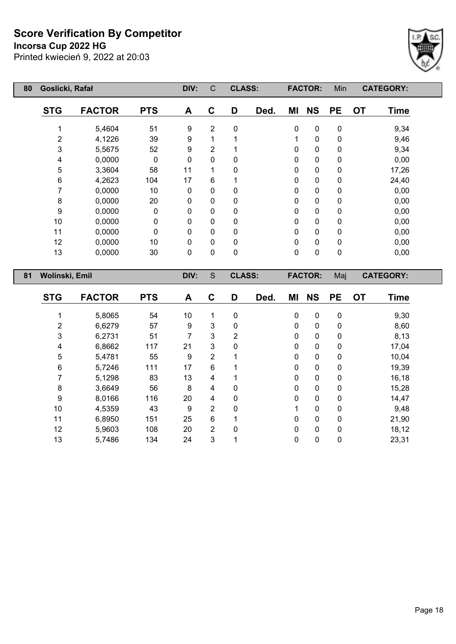**Incorsa Cup 2022 HG**

Printed kwiecień 9, 2022 at 20:03



| 80 | Goslicki, Rafał  |               | DIV:        | $\mathsf{C}$ | <b>CLASS:</b>  |               |      | <b>FACTOR:</b> | Min            |           | <b>CATEGORY:</b> |                  |
|----|------------------|---------------|-------------|--------------|----------------|---------------|------|----------------|----------------|-----------|------------------|------------------|
|    | <b>STG</b>       | <b>FACTOR</b> | <b>PTS</b>  | A            | C              | D             | Ded. | ΜI             | <b>NS</b>      | <b>PE</b> | <b>OT</b>        | <b>Time</b>      |
|    |                  | 5,4604        | 51          | 9            | $\overline{2}$ | $\pmb{0}$     |      | 0              | 0              | 0         |                  | 9,34             |
|    | $\overline{2}$   | 4,1226        | 39          | 9            | 1              |               |      | 1              | 0              | 0         |                  | 9,46             |
|    | 3                | 5,5675        | 52          | 9            | 2              |               |      | 0              | 0              | 0         |                  | 9,34             |
|    | 4                | 0,0000        | $\mathbf 0$ | $\Omega$     | 0              | 0             |      | 0              | 0              | 0         |                  | 0,00             |
|    | 5                | 3,3604        | 58          | 11           |                | 0             |      | 0              | 0              | 0         |                  | 17,26            |
|    | $\,6\,$          | 4,2623        | 104         | 17           | 6              |               |      | 0              | 0              | 0         |                  | 24,40            |
|    | 7                | 0,0000        | 10          | 0            | $\mathbf 0$    | 0             |      | 0              | 0              | 0         |                  | 0,00             |
|    | $\bf 8$          | 0,0000        | 20          | 0            | 0              | 0             |      | 0              | 0              | 0         |                  | 0,00             |
|    | $\boldsymbol{9}$ | 0,0000        | 0           | 0            | 0              | 0             |      | 0              | 0              | 0         |                  | 0,00             |
|    | 10               | 0,0000        | 0           | 0            | 0              | 0             |      | 0              | 0              | 0         |                  | 0,00             |
|    | 11               | 0,0000        | 0           | 0            | $\mathbf 0$    | 0             |      | 0              | 0              | 0         |                  | 0,00             |
|    | 12               | 0,0000        | 10          | 0            | 0              | 0             |      | 0              | 0              | 0         |                  | 0,00             |
|    | 13               | 0,0000        | 30          | 0            | 0              | 0             |      | 0              | 0              | 0         |                  | 0,00             |
|    |                  |               |             |              |                |               |      |                |                |           |                  |                  |
| 81 | Wolinski, Emil   |               |             | DIV:         | S              | <b>CLASS:</b> |      |                | <b>FACTOR:</b> | Maj       |                  | <b>CATEGORY:</b> |
|    | <b>STG</b>       | <b>FACTOR</b> | <b>PTS</b>  | A            | $\mathbf c$    | D             | Ded. | ΜI             | <b>NS</b>      | <b>PE</b> | <b>OT</b>        | <b>Time</b>      |
|    |                  | 5,8065        | 54          | 10           | 1              | $\mathbf 0$   |      | $\pmb{0}$      | $\pmb{0}$      | 0         |                  | 9,30             |
|    | $\overline{2}$   | 6,6279        | 57          | 9            | 3              | 0             |      | 0              | 0              | 0         |                  | 8,60             |

 6,2731 51 7 3 2 0 0 0 8,13 6,8662 117 21 3 0 0 0 0 17,04 5,4781 55 9 2 1 0 0 0 10,04 5,7246 111 17 6 1 0 0 0 19,39 5,1298 83 13 4 1 0 0 0 16,18 3,6649 56 8 4 0 0 0 0 15,28 8,0166 116 20 4 0 0 0 0 14,47 4,5359 43 9 2 0 1 0 0 9,48 6,8950 151 25 6 1 0 0 0 21,90 5,9603 108 20 2 0 0 0 0 18,12 5,7486 134 24 3 1 0 0 0 23,31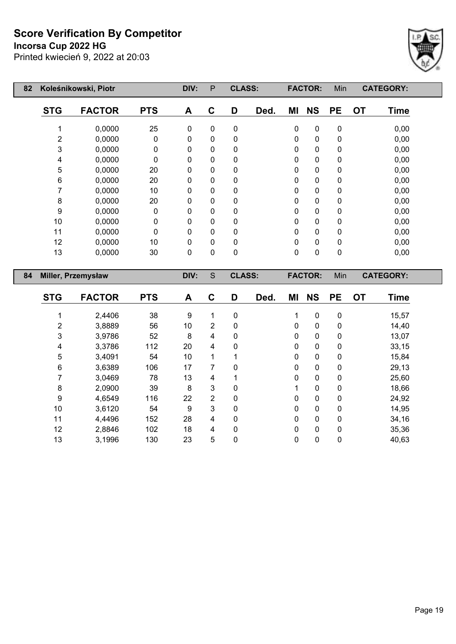**Incorsa Cup 2022 HG**

Printed kwiecień 9, 2022 at 20:03



| 82 |                | Koleśnikowski, Piotr |            | DIV:         | P            | <b>CLASS:</b> |      |    | <b>FACTOR:</b> | Min       |           | <b>CATEGORY:</b> |
|----|----------------|----------------------|------------|--------------|--------------|---------------|------|----|----------------|-----------|-----------|------------------|
|    | <b>STG</b>     | <b>FACTOR</b>        | <b>PTS</b> | A            | C            | D             | Ded. | ΜI | <b>NS</b>      | <b>PE</b> | <b>OT</b> | <b>Time</b>      |
|    |                | 0,0000               | 25         | $\mathbf 0$  | $\mathbf 0$  | $\mathbf 0$   |      | 0  | 0              | $\pmb{0}$ |           | 0,00             |
|    | $\overline{2}$ | 0,0000               | 0          | $\mathbf 0$  | 0            | 0             |      | 0  | 0              | 0         |           | 0,00             |
|    | 3              | 0,0000               | 0          | 0            | 0            | 0             |      | 0  | 0              | 0         |           | 0,00             |
|    | 4              | 0,0000               | 0          | 0            | 0            | 0             |      | 0  | 0              | 0         |           | 0,00             |
|    | 5              | 0,0000               | 20         | $\mathbf{0}$ | $\Omega$     | 0             |      | 0  | 0              | 0         |           | 0,00             |
|    | $\,6\,$        | 0,0000               | 20         | $\mathbf{0}$ | $\Omega$     | 0             |      | 0  | 0              | 0         |           | 0,00             |
|    | 7              | 0,0000               | 10         | $\mathbf{0}$ | 0            | 0             |      | 0  | 0              | 0         |           | 0,00             |
|    | $\bf 8$        | 0,0000               | 20         | 0            | 0            | 0             |      | 0  | 0              | 0         |           | 0,00             |
|    | 9              | 0,0000               | 0          | 0            | 0            | 0             |      | 0  | 0              | 0         |           | 0,00             |
|    | 10             | 0,0000               | 0          | 0            | 0            | 0             |      | 0  | 0              | 0         |           | 0,00             |
|    | 11             | 0,0000               | $\Omega$   | $\mathbf{0}$ | $\Omega$     | 0             |      | 0  | 0              | 0         |           | 0,00             |
|    | 12             | 0,0000               | 10         | 0            | 0            | 0             |      | 0  | 0              | 0         |           | 0,00             |
|    | 13             | 0,0000               | 30         | $\mathbf 0$  | 0            | 0             |      | 0  | 0              | 0         |           | 0,00             |
| 84 |                | Miller, Przemysław   |            | DIV:         | S            | <b>CLASS:</b> |      |    | <b>FACTOR:</b> | Min       |           | <b>CATEGORY:</b> |
|    | <b>STG</b>     | <b>FACTOR</b>        | <b>PTS</b> | A            | $\mathbf{C}$ | D             | Ded. | ΜI | <b>NS</b>      | <b>PE</b> | <b>OT</b> | <b>Time</b>      |
|    | 1              | 2,4406               | 38         | 9            | 1            | $\mathbf 0$   |      | 1  | 0              | $\pmb{0}$ |           | 15,57            |
|    | 2              | 3,8889               | 56         | 10           | 2            | 0             |      | 0  | 0              | 0         |           | 14,40            |
|    | 3              | 3,9786               | 52         | 8            | 4            | 0             |      | 0  | 0              | 0         |           | 13,07            |

 3,3786 112 20 4 0 0 0 0 33,15 3,4091 54 10 1 1 0 0 0 15,84 3,6389 106 17 7 0 0 0 0 29,13 3,0469 78 13 4 1 0 0 0 25,60 2,0900 39 8 3 0 1 0 0 18,66 4,6549 116 22 2 0 0 0 0 24,92 3,6120 54 9 3 0 0 0 0 14,95 4,4496 152 28 4 0 0 0 0 34,16 2,8846 102 18 4 0 0 0 0 35,36 3,1996 130 23 5 0 0 0 0 40,63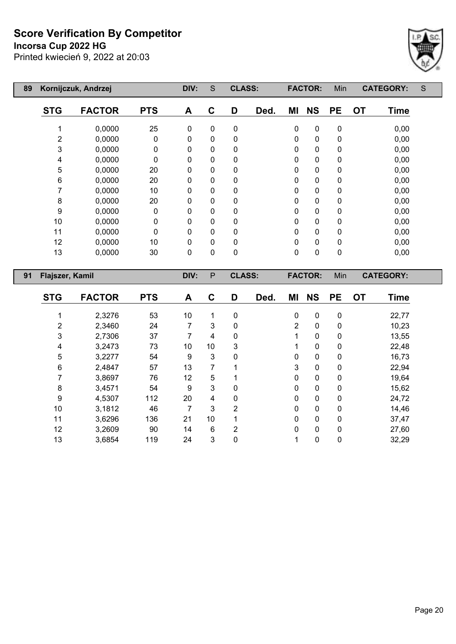**Incorsa Cup 2022 HG**

 $\mathsf{I}$ 



| 89 |                 | Kornijczuk, Andrzej |              | DIV:        | S            | <b>CLASS:</b> |      |    | <b>FACTOR:</b> | Min       | <b>CATEGORY:</b>         | S |
|----|-----------------|---------------------|--------------|-------------|--------------|---------------|------|----|----------------|-----------|--------------------------|---|
|    | <b>STG</b>      | <b>FACTOR</b>       | <b>PTS</b>   | A           | C            | D             | Ded. | ΜI | <b>NS</b>      | <b>PE</b> | <b>OT</b><br><b>Time</b> |   |
|    |                 | 0,0000              | 25           | 0           | 0            | 0             |      | 0  | $\mathbf 0$    | 0         | 0,00                     |   |
|    | 2               | 0,0000              | 0            | 0           | 0            | 0             |      | 0  | $\mathbf{0}$   | 0         | 0,00                     |   |
|    | 3               | 0,0000              | 0            | 0           | 0            | 0             |      | 0  | 0              | 0         | 0,00                     |   |
|    | 4               | 0,0000              | $\mathbf{0}$ | 0           | 0            | 0             |      | 0  | 0              | 0         | 0,00                     |   |
|    | 5               | 0,0000              | 20           | $\Omega$    | $\Omega$     | 0             |      | 0  | 0              | 0         | 0,00                     |   |
|    | 6               | 0,0000              | 20           | 0           | 0            | 0             |      | 0  | 0              | 0         | 0,00                     |   |
|    |                 | 0,0000              | 10           | 0           | $\mathbf{0}$ | 0             |      | 0  | 0              | 0         | 0,00                     |   |
|    | 8               | 0,0000              | 20           | 0           | 0            | 0             |      | 0  | 0              | 0         | 0,00                     |   |
|    | 9               | 0,0000              | 0            | 0           | 0            | 0             |      | 0  | 0              | 0         | 0,00                     |   |
|    | 10              | 0,0000              | 0            | 0           | 0            | 0             |      | 0  | 0              | 0         | 0,00                     |   |
|    | 11              | 0,0000              | 0            | 0           | $\mathbf{0}$ | 0             |      | 0  | 0              | 0         | 0,00                     |   |
|    | 12              | 0,0000              | 10           | $\mathbf 0$ | $\Omega$     | 0             |      | 0  | 0              | 0         | 0,00                     |   |
|    | 13              | 0,0000              | 30           | 0           | 0            | 0             |      | 0  | 0              | 0         | 0,00                     |   |
| 91 | Flajszer, Kamil |                     |              | DIV:        | P            | <b>CLASS:</b> |      |    | <b>FACTOR:</b> | Min       | <b>CATEGORY:</b>         |   |

| <b>STG</b> | <b>FACTOR</b> | <b>PTS</b> | A  | C  | D              | Ded. | ΜI             | <b>NS</b>    | <b>PE</b>    | <b>OT</b> | <b>Time</b> |
|------------|---------------|------------|----|----|----------------|------|----------------|--------------|--------------|-----------|-------------|
|            |               |            |    |    |                |      |                |              |              |           |             |
|            | 2,3276        | 53         | 10 |    | 0              |      | $\mathbf 0$    | $\mathbf 0$  | $\mathbf 0$  |           | 22,77       |
| 2          | 2,3460        | 24         | 7  | 3  | $\mathbf 0$    |      | $\overline{2}$ | $\mathbf{0}$ | 0            |           | 10,23       |
| 3          | 2,7306        | 37         | 7  | 4  | 0              |      |                | $\mathbf 0$  | 0            |           | 13,55       |
| 4          | 3,2473        | 73         | 10 | 10 | 3              |      |                | 0            | 0            |           | 22,48       |
| 5          | 3,2277        | 54         | 9  | 3  | 0              |      | 0              | $\mathbf 0$  | $\mathbf{0}$ |           | 16,73       |
| 6          | 2,4847        | 57         | 13 | 7  |                |      | 3              | $\mathbf 0$  | 0            |           | 22,94       |
| 7          | 3,8697        | 76         | 12 | 5  | 1              |      | 0              | 0            | $\mathbf{0}$ |           | 19,64       |
| 8          | 3,4571        | 54         | 9  | 3  | 0              |      | $\Omega$       | $\mathbf 0$  | $\mathbf{0}$ |           | 15,62       |
| 9          | 4,5307        | 112        | 20 | 4  | 0              |      | 0              | $\mathbf 0$  | 0            |           | 24,72       |
| 10         | 3,1812        | 46         | 7  | 3  | 2              |      | 0              | $\mathbf 0$  | $\mathbf{0}$ |           | 14,46       |
| 11         | 3,6296        | 136        | 21 | 10 |                |      | 0              | 0            | 0            |           | 37,47       |
| 12         | 3,2609        | 90         | 14 | 6  | $\overline{2}$ |      | 0              | $\mathbf 0$  | $\mathbf{0}$ |           | 27,60       |
| 13         | 3,6854        | 119        | 24 | 3  | 0              |      | 1              | 0            | 0            |           | 32,29       |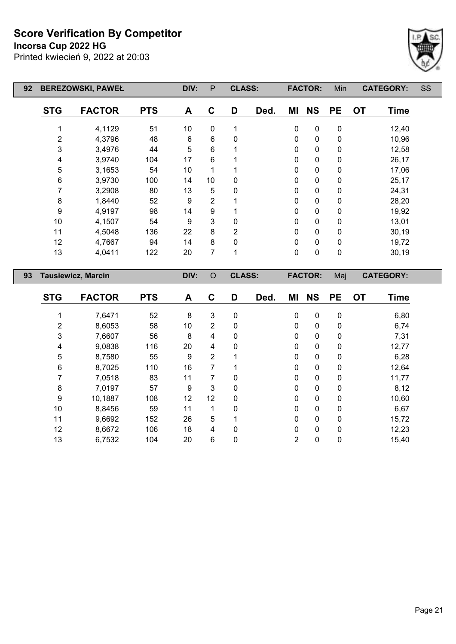**Incorsa Cup 2022 HG**

Printed kwiecień 9, 2022 at 20:03



| 92 |                | <b>BEREZOWSKI, PAWEŁ</b>  |            | DIV:             | $\mathsf{P}$   | <b>CLASS:</b>  |      |             | <b>FACTOR:</b> | Min         |           | <b>CATEGORY:</b> | SS |
|----|----------------|---------------------------|------------|------------------|----------------|----------------|------|-------------|----------------|-------------|-----------|------------------|----|
|    | <b>STG</b>     | <b>FACTOR</b>             | <b>PTS</b> | A                | $\mathbf{C}$   | D              | Ded. | MI          | <b>NS</b>      | <b>PE</b>   | <b>OT</b> | <b>Time</b>      |    |
|    |                | 4,1129                    | 51         | 10 <sup>°</sup>  | $\mathbf 0$    | 1              |      | 0           | $\pmb{0}$      | $\pmb{0}$   |           | 12,40            |    |
|    | $\overline{c}$ | 4,3796                    | 48         | 6                | 6              | 0              |      | 0           | $\mathbf 0$    | $\mathbf 0$ |           | 10,96            |    |
|    | 3              | 3,4976                    | 44         | 5                | 6              |                |      | 0           | $\mathbf 0$    | $\mathbf 0$ |           | 12,58            |    |
|    | 4              | 3,9740                    | 104        | 17               | 6              |                |      | 0           | 0              | $\mathbf 0$ |           | 26,17            |    |
|    | 5              | 3,1653                    | 54         | 10               | 1              |                |      | 0           | $\pmb{0}$      | $\pmb{0}$   |           | 17,06            |    |
|    | 6              | 3,9730                    | 100        | 14               | 10             | 0              |      | 0           | $\pmb{0}$      | $\pmb{0}$   |           | 25,17            |    |
|    | 7              | 3,2908                    | 80         | 13               | 5              | $\Omega$       |      | 0           | $\pmb{0}$      | $\pmb{0}$   |           | 24,31            |    |
|    | 8              | 1,8440                    | 52         | $\boldsymbol{9}$ | $\overline{2}$ |                |      | 0           | $\pmb{0}$      | $\pmb{0}$   |           | 28,20            |    |
|    | 9              | 4,9197                    | 98         | 14               | 9              |                |      | 0           | $\pmb{0}$      | $\pmb{0}$   |           | 19,92            |    |
|    | 10             | 4,1507                    | 54         | 9                | 3              | 0              |      | 0           | $\mathbf 0$    | $\mathbf 0$ |           | 13,01            |    |
|    | 11             | 4,5048                    | 136        | 22               | 8              | $\overline{2}$ |      | $\mathbf 0$ | $\pmb{0}$      | $\pmb{0}$   |           | 30,19            |    |
|    | 12             | 4,7667                    | 94         | 14               | 8              | 0              |      | $\pmb{0}$   | $\pmb{0}$      | $\pmb{0}$   |           | 19,72            |    |
|    | 13             | 4,0411                    | 122        | 20               | $\overline{7}$ | 1              |      | 0           | $\pmb{0}$      | $\pmb{0}$   |           | 30,19            |    |
| 93 |                | <b>Tausiewicz, Marcin</b> |            | DIV:             | $\circ$        | <b>CLASS:</b>  |      |             | <b>FACTOR:</b> | Maj         |           | <b>CATEGORY:</b> |    |
|    | <b>STG</b>     | <b>FACTOR</b>             | <b>PTS</b> | A                | $\mathbf{C}$   | D              | Ded. | ΜI          | <b>NS</b>      | <b>PE</b>   | <b>OT</b> | <b>Time</b>      |    |
|    |                | 7,6471                    | 52         | 8                | 3              | $\mathbf 0$    |      | $\mathbf 0$ | $\pmb{0}$      | $\pmb{0}$   |           | 6,80             |    |
|    | 2              | 8,6053                    | 58         | 10               | $\overline{2}$ | 0              |      | 0           | $\pmb{0}$      | $\pmb{0}$   |           | 6,74             |    |
|    | 3              | 7,6607                    | 56         | 8                | 4              | 0              |      | 0           | $\mathbf 0$    | 0           |           | 7,31             |    |

 9,0838 116 20 4 0 0 0 0 12,77 8,7580 55 9 2 1 0 0 0 6,28 8,7025 110 16 7 1 0 0 0 12,64 7,0518 83 11 7 0 0 0 0 11,77 7,0197 57 9 3 0 0 0 0 8,12 10,1887 108 12 12 0 0 0 0 10,60 8,8456 59 11 1 0 0 0 0 6,67 9,6692 152 26 5 1 0 0 0 15,72 8,6672 106 18 4 0 0 0 0 12,23 6,7532 104 20 6 0 2 0 0 15,40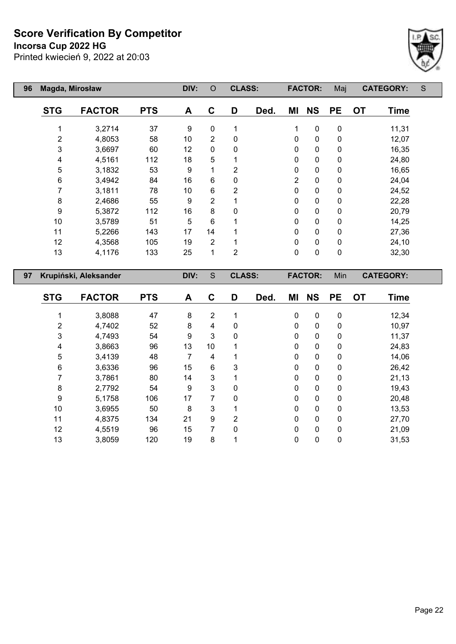**Incorsa Cup 2022 HG**



| 96 | Magda, Mirosław |                       |            | DIV: | $\circ$        | <b>CLASS:</b>  |      |                | <b>FACTOR:</b> | Maj         | <b>CATEGORY:</b> |             | S |
|----|-----------------|-----------------------|------------|------|----------------|----------------|------|----------------|----------------|-------------|------------------|-------------|---|
|    | <b>STG</b>      | <b>FACTOR</b>         | <b>PTS</b> | A    | C              | D              | Ded. | ΜI             | <b>NS</b>      | <b>PE</b>   | <b>OT</b>        | <b>Time</b> |   |
|    | 1               | 3,2714                | 37         | 9    | 0              | 1              |      | 1              | $\pmb{0}$      | 0           |                  | 11,31       |   |
|    | $\overline{2}$  | 4,8053                | 58         | 10   | $\overline{2}$ | 0              |      | $\mathbf 0$    | $\pmb{0}$      | $\mathbf 0$ |                  | 12,07       |   |
|    | 3               | 3,6697                | 60         | 12   | 0              | 0              |      | 0              | $\pmb{0}$      | $\pmb{0}$   |                  | 16,35       |   |
|    | 4               | 4,5161                | 112        | 18   | 5              |                |      | $\mathbf 0$    | $\pmb{0}$      | $\mathbf 0$ |                  | 24,80       |   |
|    | 5               | 3,1832                | 53         | 9    | 1              | 2              |      | 0              | $\pmb{0}$      | $\pmb{0}$   |                  | 16,65       |   |
|    | 6               | 3,4942                | 84         | 16   | 6              | 0              |      | $\overline{2}$ | $\pmb{0}$      | $\mathbf 0$ |                  | 24,04       |   |
|    | 7               | 3,1811                | 78         | 10   | 6              | $\overline{2}$ |      | $\mathbf 0$    | $\mathbf 0$    | $\mathbf 0$ |                  | 24,52       |   |
|    | 8               | 2,4686                | 55         | 9    | $\overline{2}$ |                |      | 0              | $\pmb{0}$      | $\pmb{0}$   |                  | 22,28       |   |
|    | 9               | 5,3872                | 112        | 16   | 8              | 0              |      | $\mathbf 0$    | $\pmb{0}$      | $\mathbf 0$ |                  | 20,79       |   |
|    | 10              | 3,5789                | 51         | 5    | 6              |                |      | $\mathbf 0$    | $\pmb{0}$      | $\pmb{0}$   |                  | 14,25       |   |
|    | 11              | 5,2266                | 143        | 17   | 14             |                |      | $\mathbf 0$    | $\pmb{0}$      | $\mathbf 0$ |                  | 27,36       |   |
|    | 12              | 4,3568                | 105        | 19   | $\overline{2}$ |                |      | $\mathbf 0$    | $\mathbf 0$    | $\mathbf 0$ |                  | 24,10       |   |
|    | 13              | 4,1176                | 133        | 25   | $\mathbf{1}$   | $\overline{2}$ |      | $\mathbf 0$    | $\mathbf 0$    | $\mathbf 0$ |                  | 32,30       |   |
| 97 |                 | Krupiński, Aleksander |            | DIV: | S              | <b>CLASS:</b>  |      |                | <b>FACTOR:</b> | Min         | <b>CATEGORY:</b> |             |   |
|    | <b>STG</b>      | <b>FACTOR</b>         | <b>PTS</b> | A    | C              | D              | Ded. | ΜI             | <b>NS</b>      | <b>PE</b>   | <b>OT</b>        | Time        |   |

|    | 3,8088 | 47  | 8  | 2  |             | 0            | $\mathbf{0}$ | $\mathbf{0}$ | 12,34 |
|----|--------|-----|----|----|-------------|--------------|--------------|--------------|-------|
| 2  | 4,7402 | 52  | 8  | 4  | 0           | 0            | $\mathbf{0}$ | 0            | 10,97 |
| 3  | 4,7493 | 54  | 9  | 3  | 0           | 0            | $\mathbf{0}$ | 0            | 11,37 |
| 4  | 3,8663 | 96  | 13 | 10 |             | 0            | $\mathbf{0}$ | $\mathbf{0}$ | 24,83 |
| 5  | 3,4139 | 48  |    | 4  |             | $\mathbf{0}$ | $\mathbf{0}$ | $\mathbf{0}$ | 14,06 |
| 6  | 3,6336 | 96  | 15 | 6  | 3           | 0            | $\mathbf{0}$ | $\mathbf{0}$ | 26,42 |
| 7  | 3,7861 | 80  | 14 | 3  |             | 0            | $\mathbf{0}$ | $\mathbf{0}$ | 21,13 |
| 8  | 2,7792 | 54  | 9  | 3  | 0           | 0            | $\mathbf{0}$ | $\Omega$     | 19,43 |
| 9  | 5,1758 | 106 | 17 | 7  | $\mathbf 0$ | 0            | $\mathbf{0}$ | $\mathbf{0}$ | 20,48 |
| 10 | 3,6955 | 50  | 8  | 3  |             | 0            | $\mathbf{0}$ | $\mathbf{0}$ | 13,53 |
| 11 | 4,8375 | 134 | 21 | 9  | 2           | 0            | $\mathbf{0}$ | $\mathbf{0}$ | 27,70 |
| 12 | 4,5519 | 96  | 15 | 7  | 0           | 0            | $\mathbf{0}$ | $\Omega$     | 21,09 |
| 13 | 3,8059 | 120 | 19 | 8  |             | 0            | $\mathbf{0}$ | 0            | 31,53 |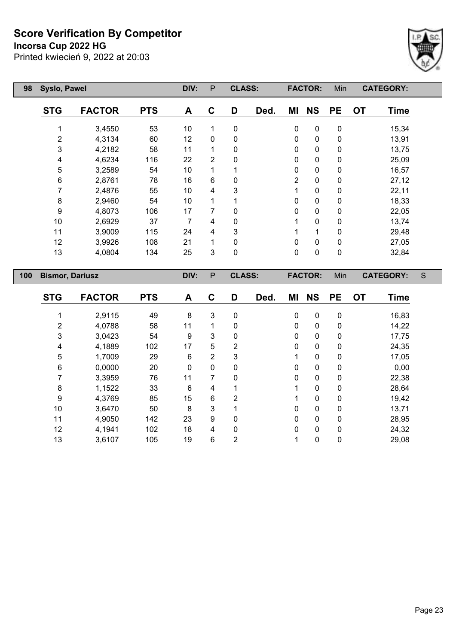**Incorsa Cup 2022 HG**



| 98  | Syslo, Pawel           |               |            | DIV: | P              | <b>CLASS:</b> |      |                | <b>FACTOR:</b> | Min       |           | <b>CATEGORY:</b> |   |
|-----|------------------------|---------------|------------|------|----------------|---------------|------|----------------|----------------|-----------|-----------|------------------|---|
|     | <b>STG</b>             | <b>FACTOR</b> | <b>PTS</b> | A    | $\mathbf C$    | D             | Ded. | ΜI             | <b>NS</b>      | <b>PE</b> | <b>OT</b> | <b>Time</b>      |   |
|     |                        | 3,4550        | 53         | 10   | 1              | $\mathbf 0$   |      | 0              | $\pmb{0}$      | 0         |           | 15,34            |   |
|     | 2                      | 4,3134        | 60         | 12   | $\mathbf{0}$   | 0             |      | 0              | $\pmb{0}$      | 0         |           | 13,91            |   |
|     | 3                      | 4,2182        | 58         | 11   | 1              | 0             |      | 0              | 0              | 0         |           | 13,75            |   |
|     | 4                      | 4,6234        | 116        | 22   | $\overline{2}$ | 0             |      | 0              | 0              | 0         |           | 25,09            |   |
|     | 5                      | 3,2589        | 54         | 10   | 1              |               |      | 0              | 0              | 0         |           | 16,57            |   |
|     | 6                      | 2,8761        | 78         | 16   | 6              | 0             |      | $\overline{2}$ | 0              | 0         |           | 27,12            |   |
|     | 7                      | 2,4876        | 55         | 10   | 4              | 3             |      | 1              | 0              | 0         |           | 22,11            |   |
|     | 8                      | 2,9460        | 54         | 10   | 1              |               |      | 0              | 0              | 0         |           | 18,33            |   |
|     | 9                      | 4,8073        | 106        | 17   | 7              | 0             |      | 0              | 0              | 0         |           | 22,05            |   |
|     | 10                     | 2,6929        | 37         | 7    | 4              | 0             |      |                | 0              | 0         |           | 13,74            |   |
|     | 11                     | 3,9009        | 115        | 24   | 4              | 3             |      |                | 1              | 0         |           | 29,48            |   |
|     | 12                     | 3,9926        | 108        | 21   | 1              | 0             |      | 0              | $\mathbf 0$    | 0         |           | 27,05            |   |
|     | 13                     | 4,0804        | 134        | 25   | 3              | $\pmb{0}$     |      | $\mathbf 0$    | $\pmb{0}$      | $\pmb{0}$ |           | 32,84            |   |
| 100 | <b>Bismor, Dariusz</b> |               |            | DIV: | $\mathsf{P}$   | <b>CLASS:</b> |      |                | <b>FACTOR:</b> | Min       |           | <b>CATEGORY:</b> | S |
|     | <b>STG</b>             | <b>FACTOR</b> | <b>PTS</b> | A    | C              | D             | Ded. | ΜI             | <b>NS</b>      | <b>PE</b> | <b>OT</b> | <b>Time</b>      |   |

| <b>STG</b> | <b>FACTOR</b> | <b>PTS</b> | A            | С | D              | Ded. | ΜI | <b>NS</b>    | <b>PE</b> | <b>OT</b> | Time  |
|------------|---------------|------------|--------------|---|----------------|------|----|--------------|-----------|-----------|-------|
|            | 2,9115        | 49         | 8            | 3 | 0              |      | 0  | $\Omega$     | 0         |           | 16,83 |
| 2          | 4,0788        | 58         | 11           |   | 0              |      | 0  | 0            | 0         |           | 14,22 |
| 3          | 3,0423        | 54         | 9            | 3 | 0              |      | 0  | $\mathbf{0}$ | 0         |           | 17,75 |
| 4          | 4,1889        | 102        | 17           | 5 | 2              |      | 0  | $\mathbf{0}$ | 0         |           | 24,35 |
| 5          | 1,7009        | 29         | 6            | 2 | 3              |      |    | 0            | 0         |           | 17,05 |
| 6          | 0,0000        | 20         | $\mathbf{0}$ | 0 | 0              |      | 0  | 0            | 0         |           | 0,00  |
|            | 3,3959        | 76         | 11           | 7 | 0              |      | 0  | $\mathbf{0}$ | 0         |           | 22,38 |
| 8          | 1,1522        | 33         | 6            | 4 | 1              |      |    | $\mathbf{0}$ | 0         |           | 28,64 |
| 9          | 4,3769        | 85         | 15           | 6 | 2              |      |    | $\Omega$     | 0         |           | 19,42 |
| 10         | 3,6470        | 50         | 8            | 3 |                |      | 0  | $\mathbf{0}$ | 0         |           | 13,71 |
| 11         | 4,9050        | 142        | 23           | 9 | 0              |      | 0  | $\Omega$     | 0         |           | 28,95 |
| 12         | 4,1941        | 102        | 18           | 4 | 0              |      | 0  | $\mathbf{0}$ | 0         |           | 24,32 |
| 13         | 3,6107        | 105        | 19           | 6 | $\overline{2}$ |      |    | 0            | 0         |           | 29,08 |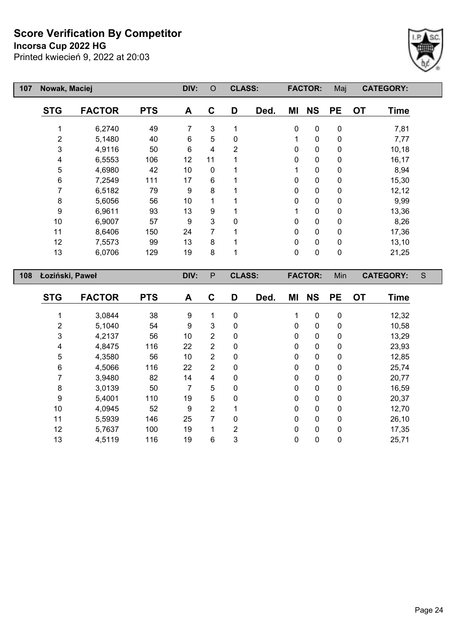**Incorsa Cup 2022 HG**



| 107 | Nowak, Maciej   |                                                    |            | DIV: | $\circ$      | <b>CLASS:</b> |           |             | <b>FACTOR:</b> | Maj         |           | <b>CATEGORY:</b> |   |
|-----|-----------------|----------------------------------------------------|------------|------|--------------|---------------|-----------|-------------|----------------|-------------|-----------|------------------|---|
|     | <b>STG</b>      | <b>FACTOR</b>                                      | <b>PTS</b> | A    | C            | D             | Ded.      | ΜI          | <b>NS</b>      | <b>PE</b>   | <b>OT</b> | <b>Time</b>      |   |
|     |                 | 6,2740                                             | 49         | 7    | 3            |               |           | 0           | $\mathbf 0$    | 0           |           | 7,81             |   |
|     | $\overline{2}$  | 5,1480                                             | 40         | 6    | 5            | $\mathbf{0}$  |           | 1           | $\mathbf 0$    | 0           |           | 7,77             |   |
|     | 3               | 4,9116                                             | 50         | 6    | 4            | 2             |           | 0           | $\mathbf 0$    | 0           |           | 10,18            |   |
|     | 4               | 6,5553                                             | 106        | 12   | 11           |               |           | 0           | $\mathbf 0$    | 0           |           | 16,17            |   |
|     | 5               | 4,6980                                             | 42         | 10   | $\mathbf{0}$ |               |           | 1           | $\pmb{0}$      | 0           |           | 8,94             |   |
|     | 6               | 7,2549                                             | 111        | 17   | 6            |               |           | 0           | $\mathbf 0$    | 0           |           | 15,30            |   |
|     | 7               | 6,5182                                             | 79         | 9    | 8            |               |           | 0           | $\mathbf 0$    | 0           |           | 12,12            |   |
|     | 8               | 5,6056                                             | 56         | 10   |              |               |           | 0           | 0              | 0           |           | 9,99             |   |
|     | 9               | 6,9611                                             | 93         | 13   | 9            |               |           | 1           | $\pmb{0}$      | 0           |           | 13,36            |   |
|     | 10              | 6,9007                                             | 57         | 9    | 3            | $\Omega$      |           | 0           | $\pmb{0}$      | 0           |           | 8,26             |   |
|     | 11              | 8,6406                                             | 150        | 24   | 7            |               |           | 0           | $\mathbf 0$    | 0           |           | 17,36            |   |
|     | 12              | 7,5573                                             | 99         | 13   | 8            |               |           | 0           | $\mathbf 0$    | $\mathbf 0$ |           | 13,10            |   |
|     | 13              | 6,0706                                             | 129        | 19   | 8            |               |           | 0           | $\pmb{0}$      | $\pmb{0}$   |           | 21,25            |   |
| 108 | Łoziński, Paweł |                                                    |            | DIV: | $\mathsf{P}$ | <b>CLASS:</b> |           |             | <b>FACTOR:</b> | Min         |           | <b>CATEGORY:</b> | S |
|     | <b>STG</b>      | <b>PTS</b><br><b>FACTOR</b><br>C<br>Ded.<br>D<br>A |            | ΜI   | <b>NS</b>    | <b>PE</b>     | <b>OT</b> | <b>Time</b> |                |             |           |                  |   |

| <b>STG</b> | <b>FACTOR</b> | <b>PTS</b> | A  | C              | D              | Ded. | ΜI           | <b>NS</b>    | <b>PE</b> | <b>OT</b> | Time  |
|------------|---------------|------------|----|----------------|----------------|------|--------------|--------------|-----------|-----------|-------|
|            | 3,0844        | 38         | 9  |                | 0              |      | 1            | $\mathbf 0$  | 0         |           | 12,32 |
| 2          | 5,1040        | 54         | 9  | 3              | 0              |      | 0            | 0            | 0         |           | 10,58 |
| 3          | 4,2137        | 56         | 10 | 2              | 0              |      | 0            | 0            | 0         |           | 13,29 |
| 4          | 4,8475        | 116        | 22 | $\overline{2}$ | 0              |      | 0            | $\mathbf{0}$ | 0         |           | 23,93 |
| 5          | 4,3580        | 56         | 10 | $\overline{2}$ | 0              |      | 0            | 0            | 0         |           | 12,85 |
| 6          | 4,5066        | 116        | 22 | $\overline{2}$ | 0              |      | $\mathbf{0}$ | $\mathbf{0}$ | 0         |           | 25,74 |
|            | 3,9480        | 82         | 14 | 4              | 0              |      | 0            | 0            | 0         |           | 20,77 |
| 8          | 3,0139        | 50         | 7  | 5              | 0              |      | $\Omega$     | 0            | 0         |           | 16,59 |
| 9          | 5,4001        | 110        | 19 | 5              | 0              |      | $\mathbf{0}$ | $\mathbf{0}$ | 0         |           | 20,37 |
| 10         | 4,0945        | 52         | 9  | $\overline{2}$ |                |      | $\mathbf{0}$ | 0            | 0         |           | 12,70 |
| 11         | 5,5939        | 146        | 25 | 7              | 0              |      | $\Omega$     | $\mathbf{0}$ | $\Omega$  |           | 26,10 |
| 12         | 5,7637        | 100        | 19 |                | $\overline{2}$ |      | 0            | 0            | 0         |           | 17,35 |
| 13         | 4,5119        | 116        | 19 | 6              | 3              |      | 0            | 0            | 0         |           | 25,71 |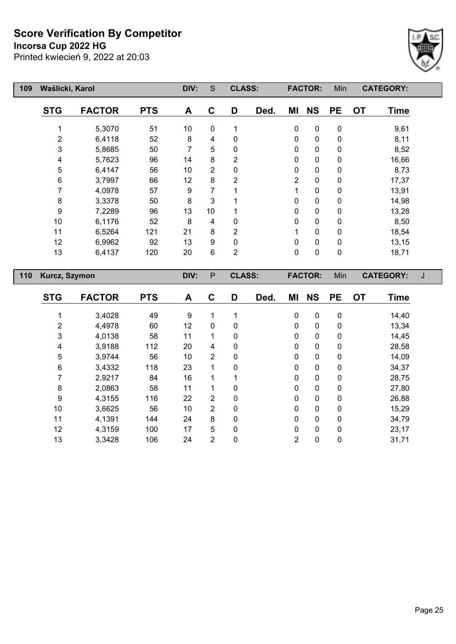**Incorsa Cup 2022 HG**



| 109 | Waślicki, Karol |               |            | DIV: | S           | <b>CLASS:</b>  |      |                | <b>FACTOR:</b> | Min          | <b>CATEGORY:</b>         |  |
|-----|-----------------|---------------|------------|------|-------------|----------------|------|----------------|----------------|--------------|--------------------------|--|
|     | <b>STG</b>      | <b>FACTOR</b> | <b>PTS</b> | A    | $\mathbf C$ | D              | Ded. | ΜI             | <b>NS</b>      | <b>PE</b>    | <b>OT</b><br><b>Time</b> |  |
|     |                 | 5,3070        | 51         | 10   | 0           | 1              |      | 0              | 0              | 0            | 9,61                     |  |
|     | 2               | 6,4118        | 52         | 8    | 4           | 0              |      | 0              | 0              | 0            | 8,11                     |  |
|     | 3               | 5,8685        | 50         | 7    | 5           | 0              |      | 0              | $\mathbf 0$    | 0            | 8,52                     |  |
|     | 4               | 5,7623        | 96         | 14   | 8           | 2              |      | $\mathbf 0$    | 0              | 0            | 16,66                    |  |
|     | 5               | 6,4147        | 56         | 10   | 2           | 0              |      | $\mathbf 0$    | 0              | 0            | 8,73                     |  |
|     | 6               | 3,7997        | 66         | 12   | 8           | $\overline{2}$ |      | $\overline{2}$ | $\mathbf 0$    | $\mathbf 0$  | 17,37                    |  |
|     | 7               | 4,0978        | 57         | 9    | 7           |                |      |                | 0              | 0            | 13,91                    |  |
|     | 8               | 3,3378        | 50         | 8    | 3           |                |      | 0              | $\mathbf 0$    | 0            | 14,98                    |  |
|     | 9               | 7,2289        | 96         | 13   | 10          |                |      | $\mathbf 0$    | $\mathbf 0$    | 0            | 13,28                    |  |
|     | 10              | 6,1176        | 52         | 8    | 4           | $\Omega$       |      | 0              | $\mathbf 0$    | 0            | 8,50                     |  |
|     | 11              | 6,5264        | 121        | 21   | 8           | 2              |      |                | $\mathbf{0}$   | $\mathbf{0}$ | 18,54                    |  |
|     | 12              | 6,9962        | 92         | 13   | 9           | $\Omega$       |      | 0              | 0              | 0            | 13,15                    |  |
|     | 13              | 6,4137        | 120        | 20   | 6           | $\overline{2}$ |      | $\pmb{0}$      | $\mathbf 0$    | $\pmb{0}$    | 18,71                    |  |
| 110 |                 | Kurcz, Szymon |            |      | P           | <b>CLASS:</b>  |      |                | <b>FACTOR:</b> | Min          | <b>CATEGORY:</b>         |  |

| <b>STG</b> | <b>FACTOR</b> | <b>PTS</b> | A  | C              | D | Ded. | ΜI | <b>NS</b>   | <b>PE</b>   | <b>OT</b> | <b>Time</b> |
|------------|---------------|------------|----|----------------|---|------|----|-------------|-------------|-----------|-------------|
|            |               |            |    |                |   |      |    |             |             |           |             |
|            | 3,4028        | 49         | 9  |                |   |      | 0  | $\mathbf 0$ | $\mathbf 0$ |           | 14,40       |
| 2          | 4,4978        | 60         | 12 | $\mathbf 0$    | 0 |      | 0  | 0           | 0           |           | 13,34       |
| 3          | 4,0138        | 58         | 11 | 1              | 0 |      | 0  | 0           | 0           |           | 14,45       |
| 4          | 3,9188        | 112        | 20 | 4              | 0 |      | 0  | 0           | 0           |           | 28,58       |
| 5          | 3,9744        | 56         | 10 | $\overline{2}$ | 0 |      | 0  | 0           | 0           |           | 14,09       |
| 6          | 3,4332        | 118        | 23 | 1              | 0 |      | 0  | 0           | 0           |           | 34,37       |
|            | 2,9217        | 84         | 16 | 1              |   |      | 0  | 0           | 0           |           | 28,75       |
| 8          | 2,0863        | 58         | 11 | 1              | 0 |      | 0  | 0           | 0           |           | 27,80       |
| 9          | 4,3155        | 116        | 22 | $\overline{2}$ | 0 |      | 0  | 0           | 0           |           | 26,88       |
| 10         | 3,6625        | 56         | 10 | $\overline{2}$ | 0 |      | 0  | 0           | 0           |           | 15,29       |
| 11         | 4,1391        | 144        | 24 | 8              | 0 |      | 0  | 0           | 0           |           | 34,79       |
| 12         | 4,3159        | 100        | 17 | 5              | 0 |      | 0  | 0           | 0           |           | 23,17       |
| 13         | 3,3428        | 106        | 24 | 2              | 0 |      | 2  | 0           | 0           |           | 31,71       |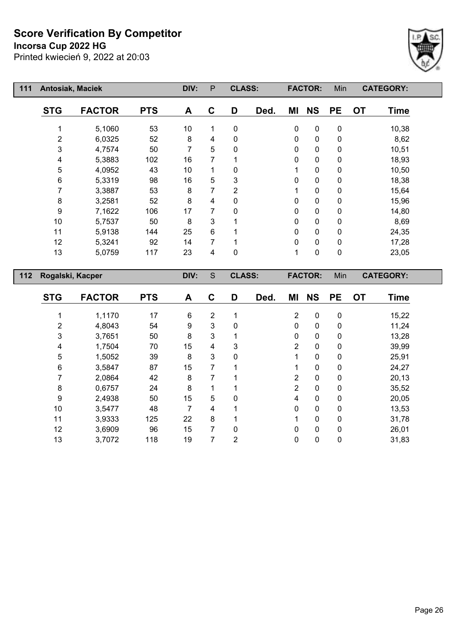**Incorsa Cup 2022 HG**



| 111 | <b>Antosiak, Maciek</b> |                  |            | DIV: | P | <b>CLASS:</b>  |      |              | <b>FACTOR:</b> | Min       |           | <b>CATEGORY:</b> |  |
|-----|-------------------------|------------------|------------|------|---|----------------|------|--------------|----------------|-----------|-----------|------------------|--|
|     | <b>STG</b>              | <b>FACTOR</b>    | <b>PTS</b> | A    | C | D              | Ded. | ΜI           | <b>NS</b>      | <b>PE</b> | <b>OT</b> | <b>Time</b>      |  |
|     |                         | 5,1060           | 53         | 10   | 1 | 0              |      | $\pmb{0}$    | $\pmb{0}$      | 0         |           | 10,38            |  |
|     | $\overline{2}$          | 6,0325           | 52         | 8    | 4 | 0              |      | $\mathbf 0$  | 0              | 0         |           | 8,62             |  |
|     | 3                       | 4,7574           | 50         | 7    | 5 | 0              |      | $\mathbf 0$  | 0              | 0         |           | 10,51            |  |
|     | 4                       | 5,3883           | 102        | 16   | 7 |                |      | 0            | 0              | 0         |           | 18,93            |  |
|     | 5                       | 4,0952           | 43         | 10   |   | 0              |      |              | 0              | 0         |           | 10,50            |  |
|     | 6                       | 5,3319           | 98         | 16   | 5 | 3              |      | $\mathbf 0$  | 0              | 0         |           | 18,38            |  |
|     | 7                       | 3,3887           | 53         | 8    | 7 | $\overline{2}$ |      |              | 0              | 0         |           | 15,64            |  |
|     | 8                       | 3,2581           | 52         | 8    | 4 | 0              |      | $\mathbf{0}$ | 0              | 0         |           | 15,96            |  |
|     | 9                       | 7,1622           | 106        | 17   | 7 | $\Omega$       |      | $\mathbf{0}$ | 0              | 0         |           | 14,80            |  |
|     | 10                      | 5,7537           | 50         | 8    | 3 |                |      | 0            | 0              | 0         |           | 8,69             |  |
|     | 11                      | 5,9138           | 144        | 25   | 6 |                |      | 0            | 0              | 0         |           | 24,35            |  |
|     | 12                      | 5,3241           | 92         | 14   |   |                |      | 0            | 0              | 0         |           | 17,28            |  |
|     | 13                      | 5,0759           | 117        | 23   | 4 | 0              |      | 1            | 0              | 0         |           | 23,05            |  |
| 112 |                         | Rogalski, Kacper |            | DIV: | S | <b>CLASS:</b>  |      |              | <b>FACTOR:</b> | Min       |           | <b>CATEGORY:</b> |  |

|            | <b>FACTOR</b> | <b>PTS</b> |    | C              | D            |      | ΜI             | <b>NS</b>    | <b>PE</b>    |           |             |
|------------|---------------|------------|----|----------------|--------------|------|----------------|--------------|--------------|-----------|-------------|
| <b>STG</b> |               |            | A  |                |              | Ded. |                |              |              | <b>OT</b> | <b>Time</b> |
|            | 1,1170        | 17         | 6  | $\overline{2}$ | 4            |      | $\overline{2}$ | $\mathbf 0$  | $\mathbf 0$  |           | 15,22       |
| 2          | 4,8043        | 54         | 9  | 3              | $\mathbf{0}$ |      | $\mathbf{0}$   | 0            | $\Omega$     |           | 11,24       |
| 3          | 3,7651        | 50         | 8  | 3              |              |      | 0              | 0            | $\mathbf 0$  |           | 13,28       |
| 4          | 1,7504        | 70         | 15 | 4              | 3            |      | $\overline{2}$ | 0            | 0            |           | 39,99       |
| 5          | 1,5052        | 39         | 8  | 3              | $\mathbf 0$  |      | 1              | $\mathbf 0$  | $\Omega$     |           | 25,91       |
| 6          | 3,5847        | 87         | 15 | 7              |              |      |                | 0            | $\mathbf 0$  |           | 24,27       |
| 7          | 2,0864        | 42         | 8  | 7              |              |      | $\overline{2}$ | $\mathbf 0$  | $\mathbf{0}$ |           | 20,13       |
| 8          | 0,6757        | 24         | 8  | 1              |              |      | $\overline{2}$ | 0            | $\mathbf{0}$ |           | 35,52       |
| 9          | 2,4938        | 50         | 15 | 5              | $\mathbf 0$  |      | 4              | $\mathbf 0$  | $\mathbf 0$  |           | 20,05       |
| 10         | 3,5477        | 48         | 7  | 4              | ◢            |      | $\Omega$       | $\mathbf{0}$ | $\Omega$     |           | 13,53       |
| 11         | 3,9333        | 125        | 22 | 8              |              |      | 1              | 0            | $\mathbf 0$  |           | 31,78       |
| 12         | 3,6909        | 96         | 15 | 7              | $\Omega$     |      | $\mathbf{0}$   | 0            | $\mathbf{0}$ |           | 26,01       |
| 13         | 3,7072        | 118        | 19 | 7              | 2            |      | 0              | 0            | 0            |           | 31,83       |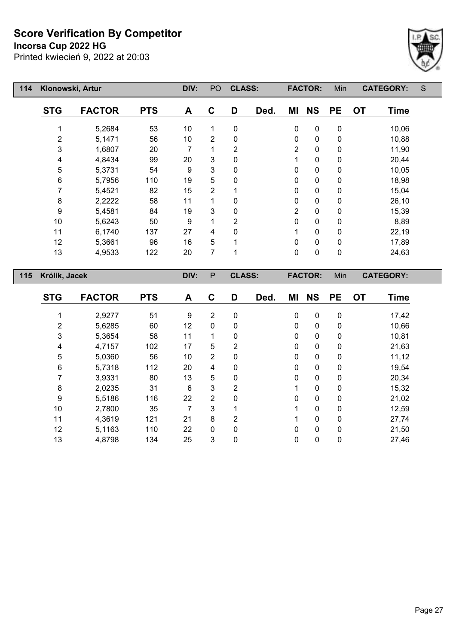**Incorsa Cup 2022 HG**

Printed kwiecień 9, 2022 at 20:03



| 114 | Klonowski, Artur          |               |                            | DIV: | PO             | <b>CLASS:</b> |      |                | <b>FACTOR:</b> | Min       |           | <b>CATEGORY:</b> | S |
|-----|---------------------------|---------------|----------------------------|------|----------------|---------------|------|----------------|----------------|-----------|-----------|------------------|---|
|     | <b>STG</b>                | <b>FACTOR</b> | <b>PTS</b>                 | A    | C              | D             | Ded. | ΜI             | <b>NS</b>      | <b>PE</b> | <b>OT</b> | <b>Time</b>      |   |
|     |                           | 5,2684        | 53                         | 10   | 1              | $\mathbf 0$   |      | $\mathbf 0$    | 0              | 0         |           | 10,06            |   |
|     | 2                         | 5,1471        | 56                         | 10   | $\overline{2}$ | 0             |      | 0              | $\pmb{0}$      | 0         |           | 10,88            |   |
|     | $\ensuremath{\mathsf{3}}$ | 1,6807        | 20                         | 7    | 1              | 2             |      | $\overline{2}$ | $\pmb{0}$      | 0         |           | 11,90            |   |
|     | 4                         | 4,8434        | 99                         | 20   | 3              | 0             |      | 1              | $\pmb{0}$      | 0         |           | 20,44            |   |
|     | 5                         | 5,3731        | 54                         | 9    | 3              | $\mathbf 0$   |      | 0              | $\pmb{0}$      | $\pmb{0}$ |           | 10,05            |   |
|     | 6                         | 5,7956        | 110                        | 19   | 5              | 0             |      | 0              | $\pmb{0}$      | 0         |           | 18,98            |   |
|     | 7                         | 5,4521        | $\overline{2}$<br>82<br>15 |      | 0              | $\pmb{0}$     | 0    |                | 15,04          |           |           |                  |   |
|     | 8                         | 2,2222        | 58                         | 11   | 1              | 0             |      | 0              | $\pmb{0}$      | 0         |           | 26,10            |   |
|     | 9                         | 5,4581        | 84                         | 19   | 3              | 0             |      | $\overline{2}$ | $\pmb{0}$      | 0         |           | 15,39            |   |
|     | 10                        | 5,6243        | 50                         | 9    | 1              | 2             |      | 0              | $\pmb{0}$      | 0         |           | 8,89             |   |
|     | 11                        | 6,1740        | 137                        | 27   | 4              | $\mathbf{0}$  |      | 1              | $\pmb{0}$      | 0         |           | 22,19            |   |
|     | 12                        | 5,3661        | 96                         | 16   | 5              |               |      | 0              | $\pmb{0}$      | 0         |           | 17,89            |   |
|     | 13                        | 4,9533        | 122                        | 20   | 7              |               |      | 0              | $\pmb{0}$      | $\pmb{0}$ |           | 24,63            |   |
| 115 | Królik, Jacek             |               |                            | DIV: | $\mathsf{P}$   | <b>CLASS:</b> |      |                | <b>FACTOR:</b> | Min       |           | <b>CATEGORY:</b> |   |
|     | <b>STG</b>                | <b>FACTOR</b> | <b>PTS</b>                 | A    | C              | D<br>Ded.     |      | ΜI             | <b>NS</b>      | <b>PE</b> | <b>OT</b> | <b>Time</b>      |   |
|     |                           | 2,9277        | 51                         | 9    | $\overline{2}$ | 0             |      | $\pmb{0}$      | $\mathbf 0$    | 0         |           | 17,42            |   |

 5,6285 60 12 0 0 0 0 0 10,66 5,3654 58 11 1 0 0 0 0 10,81 4,7157 102 17 5 2 0 0 0 21,63 5,0360 56 10 2 0 0 0 0 11,12 5,7318 112 20 4 0 0 0 0 19,54 3,9331 80 13 5 0 0 0 0 20,34 2,0235 31 6 3 2 1 0 0 15,32 5,5186 116 22 2 0 0 0 0 21,02

| 10 | 2,7800 | 35  | $7 \quad 3$ |   |   |              |              | $\mathbf 0$ | 12,59 |
|----|--------|-----|-------------|---|---|--------------|--------------|-------------|-------|
| 11 | 4,3619 | 121 | 21          | 8 | 2 | $\mathbf{1}$ | $\mathbf{0}$ | 0           | 27,74 |
| 12 | 5,1163 | 110 | 22          | 0 | 0 | $\Omega$     | 0            | 0           | 21,50 |
| 13 | 4,8798 | 134 | 25          | 3 | 0 | $\Omega$     | 0            | 0           | 27,46 |
|    |        |     |             |   |   |              |              |             |       |
|    |        |     |             |   |   |              |              |             |       |
|    |        |     |             |   |   |              |              |             |       |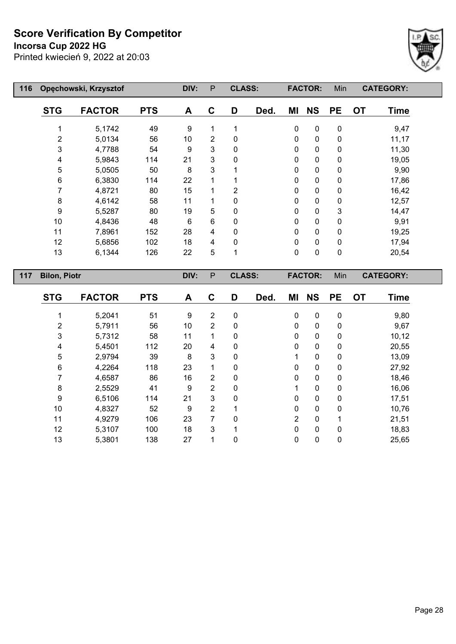**Incorsa Cup 2022 HG**



| 116 | Opęchowski, Krzysztof | DIV:          | $\mathsf{P}$ | <b>CLASS:</b> |                |               | <b>FACTOR:</b> | Min         |                | <b>CATEGORY:</b> |           |                  |  |
|-----|-----------------------|---------------|--------------|---------------|----------------|---------------|----------------|-------------|----------------|------------------|-----------|------------------|--|
|     | <b>STG</b>            | <b>FACTOR</b> | <b>PTS</b>   | A             | C              | D             | Ded.           | ΜI          | <b>NS</b>      | <b>PE</b>        | <b>OT</b> | <b>Time</b>      |  |
|     |                       | 5,1742        | 49           | 9             | 1              | 1             |                | $\mathbf 0$ | 0              | $\pmb{0}$        |           | 9,47             |  |
|     | $\overline{2}$        | 5,0134        | 56           | 10            | $\overline{2}$ | 0             |                | $\mathbf 0$ | 0              | $\pmb{0}$        |           | 11,17            |  |
|     | $\mathbf{3}$          | 4,7788        | 54           | 9             | 3              | 0             |                | $\mathbf 0$ | 0              | $\pmb{0}$        |           | 11,30            |  |
|     | 4                     | 5,9843        | 114          | 21            | 3              | 0             |                | 0           | 0              | $\pmb{0}$        |           | 19,05            |  |
|     | 5                     | 5,0505        | 50           | 8             | 3              |               |                | 0           | 0              | $\pmb{0}$        |           | 9,90             |  |
|     | 6                     | 6,3830        | 114          | 22            |                |               |                | $\mathbf 0$ | 0              | $\pmb{0}$        |           | 17,86            |  |
|     | 7                     | 4,8721        | 80           | 15            |                | 2             |                | $\pmb{0}$   | 0              | $\pmb{0}$        |           | 16,42            |  |
|     | 8                     | 4,6142        | 58           | 11            |                | 0             |                | 0           | 0              | $\pmb{0}$        |           | 12,57            |  |
|     | 9                     | 5,5287        | 80           | 19            | 5              | 0             |                | 0           | 0              | 3                |           | 14,47            |  |
|     | 10                    | 4,8436        | 48           | 6             | $6\phantom{1}$ | 0             |                | 0           | 0              | $\pmb{0}$        |           | 9,91             |  |
|     | 11                    | 7,8961        | 152          | 28            | 4              | 0             |                | 0           | 0              | $\pmb{0}$        |           | 19,25            |  |
|     | 12                    | 5,6856        | 102          | 18            | 4              | 0             |                | $\pmb{0}$   | 0              | $\pmb{0}$        |           | 17,94            |  |
|     | 13                    | 6,1344        | 126          | 22            | 5              | 1             |                | 0           | 0              | $\pmb{0}$        |           | 20,54            |  |
| 117 | <b>Bilon, Piotr</b>   |               |              | DIV:          | $\mathsf{P}$   | <b>CLASS:</b> |                |             | <b>FACTOR:</b> | Min              |           | <b>CATEGORY:</b> |  |
|     | <b>STG</b>            | <b>FACTOR</b> | <b>PTS</b>   | A             | С              | D             | Ded.           | ΜI          | <b>NS</b>      | <b>PE</b>        | <b>OT</b> | Time             |  |

| <b>STG</b> | <b>FACTOR</b> | <b>PTS</b> | A  | C              | D           | Ded. | MI             | <b>NS</b> | <b>PE</b>   | <b>OT</b> | Time   |
|------------|---------------|------------|----|----------------|-------------|------|----------------|-----------|-------------|-----------|--------|
|            | 5,2041        | 51         | 9  | 2              | 0           |      | 0              | 0         | 0           |           | 9,80   |
| 2          | 5,7911        | 56         | 10 | $\overline{2}$ | 0           |      | 0              | 0         | 0           |           | 9,67   |
| 3          | 5,7312        | 58         | 11 | 1              | 0           |      | 0              | 0         | 0           |           | 10, 12 |
| 4          | 5,4501        | 112        | 20 | 4              | 0           |      | 0              | 0         | 0           |           | 20,55  |
| 5          | 2,9794        | 39         | 8  | 3              | 0           |      |                | 0         | $\mathbf 0$ |           | 13,09  |
| 6          | 4,2264        | 118        | 23 |                | 0           |      | 0              | 0         | 0           |           | 27,92  |
| 7          | 4,6587        | 86         | 16 | $\overline{2}$ | 0           |      | $\Omega$       | 0         | 0           |           | 18,46  |
| 8          | 2,5529        | 41         | 9  | 2              | 0           |      |                | 0         | 0           |           | 16,06  |
| 9          | 6,5106        | 114        | 21 | 3              | 0           |      | 0              | 0         | $\mathbf 0$ |           | 17,51  |
| 10         | 4,8327        | 52         | 9  | 2              |             |      | 0              | 0         | 0           |           | 10,76  |
| 11         | 4,9279        | 106        | 23 | 7              | $\mathbf 0$ |      | $\overline{2}$ | 0         | 1           |           | 21,51  |
| 12         | 5,3107        | 100        | 18 | 3              | 1           |      | $\mathbf{0}$   | 0         | $\mathbf 0$ |           | 18,83  |
| 13         | 5,3801        | 138        | 27 | 1              | 0           |      | 0              | 0         | 0           |           | 25,65  |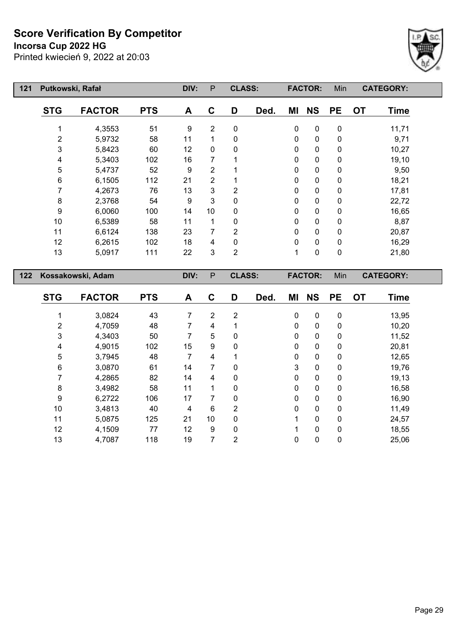**Incorsa Cup 2022 HG**

Printed kwiecień 9, 2022 at 20:03



| 121 | Putkowski, Rafał          |                   |            | DIV:                             | $\mathsf{P}$        | <b>CLASS:</b>    |      |                | <b>FACTOR:</b> | Min                    |           | <b>CATEGORY:</b> |  |
|-----|---------------------------|-------------------|------------|----------------------------------|---------------------|------------------|------|----------------|----------------|------------------------|-----------|------------------|--|
|     | <b>STG</b>                | <b>FACTOR</b>     | <b>PTS</b> | A                                | $\mathbf C$         | D                | Ded. | ΜI             | <b>NS</b>      | <b>PE</b>              | <b>OT</b> | <b>Time</b>      |  |
|     | 1                         | 4,3553            | 51         | 9                                | $\overline{2}$      | 0                |      | $\pmb{0}$      | 0              | $\pmb{0}$              |           | 11,71            |  |
|     | $\overline{\mathbf{c}}$   | 5,9732            | 58         | 11                               | 1                   | $\mathbf 0$      |      | 0              | $\mathbf 0$    | $\pmb{0}$              |           | 9,71             |  |
|     | $\ensuremath{\mathsf{3}}$ | 5,8423            | 60         | 12                               | $\mathbf 0$         | 0                |      | 0              | 0              | $\pmb{0}$              |           | 10,27            |  |
|     | $\overline{\mathbf{4}}$   | 5,3403            | 102        | 16                               | $\overline{7}$      | 1                |      | $\pmb{0}$      | $\pmb{0}$      | $\pmb{0}$              |           | 19,10            |  |
|     | 5                         | 5,4737            | 52         | 9                                | $\overline{2}$      | 1                |      | 0              | 0              | $\pmb{0}$              |           | 9,50             |  |
|     | $\,6$                     | 6,1505            | 112        | 21                               | $\overline{2}$      | 1                |      | 0              | 0              | $\pmb{0}$              |           | 18,21            |  |
|     | $\overline{7}$            | 4,2673            | 76         | 13                               | 3                   | $\overline{2}$   |      | 0              | 0              | $\pmb{0}$              |           | 17,81            |  |
|     | 8                         | 2,3768            | 54         | $\boldsymbol{9}$                 | 3                   | $\pmb{0}$        |      | 0              | 0              | $\pmb{0}$              |           | 22,72            |  |
|     | $\boldsymbol{9}$          | 6,0060            | 100        | 14                               | 10                  | 0                |      | 0              | 0              | $\pmb{0}$              |           | 16,65            |  |
|     | 10                        | 6,5389            | 58         | 11                               | $\mathbf{1}$        | 0                |      | 0              | 0              | 0                      |           | 8,87             |  |
|     | 11                        | 6,6124            | 138        | 23                               | $\overline{7}$      | $\overline{2}$   |      | $\mathbf 0$    | 0              | $\pmb{0}$              |           | 20,87            |  |
|     | 12                        | 6,2615            | 102        | 18                               | $\overline{4}$      | $\pmb{0}$        |      | $\pmb{0}$      | $\pmb{0}$      | $\pmb{0}$              |           | 16,29            |  |
|     | 13                        | 5,0917            | 111        | 22                               | 3                   | $\overline{2}$   |      | $\mathbf{1}$   | $\mathbf 0$    | $\pmb{0}$              |           | 21,80            |  |
|     |                           |                   |            |                                  |                     |                  |      |                |                |                        |           |                  |  |
|     |                           |                   |            |                                  |                     |                  |      |                |                |                        |           |                  |  |
| 122 |                           | Kossakowski, Adam |            | DIV:                             | ${\sf P}$           | <b>CLASS:</b>    |      |                | <b>FACTOR:</b> | Min                    |           | <b>CATEGORY:</b> |  |
|     | <b>STG</b>                | <b>FACTOR</b>     | <b>PTS</b> | A                                | $\mathbf C$         | D                | Ded. | MI             | <b>NS</b>      | <b>PE</b>              | <b>OT</b> | <b>Time</b>      |  |
|     |                           |                   |            |                                  |                     |                  |      |                |                |                        |           |                  |  |
|     | 1                         | 3,0824            | 43         | $\overline{7}$<br>$\overline{7}$ | $\overline{2}$      | $\boldsymbol{2}$ |      | $\pmb{0}$      | $\pmb{0}$      | $\pmb{0}$              |           | 13,95            |  |
|     | $\overline{c}$            | 4,7059            | 48<br>50   | $\overline{7}$                   | $\overline{4}$<br>5 | 1<br>$\pmb{0}$   |      | 0              | 0<br>$\pmb{0}$ | $\pmb{0}$              |           | 10,20            |  |
|     | 3<br>4                    | 4,3403<br>4,9015  | 102        | 15                               | 9                   | 0                |      | $\pmb{0}$<br>0 | 0              | $\pmb{0}$<br>$\pmb{0}$ |           | 11,52<br>20,81   |  |
|     |                           | 3,7945            | 48         | $\overline{7}$                   | 4                   | 1                |      | 0              | 0              | $\pmb{0}$              |           | 12,65            |  |
|     | 5<br>$\,6$                | 3,0870            | 61         | 14                               | 7                   | 0                |      | 3              | 0              | $\pmb{0}$              |           | 19,76            |  |
|     | $\overline{7}$            | 4,2865            | 82         | 14                               | 4                   | 0                |      | 0              | $\pmb{0}$      | $\pmb{0}$              |           | 19,13            |  |
|     | $\bf 8$                   | 3,4982            | 58         | 11                               | 1                   | 0                |      | 0              | 0              | $\pmb{0}$              |           | 16,58            |  |
|     | 9                         | 6,2722            | 106        | 17                               | 7                   | 0                |      | 0              | 0              | 0                      |           | 16,90            |  |
|     | 10                        | 3,4813            | 40         | 4                                | $6\phantom{1}$      | $\overline{2}$   |      | $\pmb{0}$      | 0              | $\pmb{0}$              |           | 11,49            |  |
|     | 11                        | 5,0875            | 125        | 21                               | 10                  | 0                |      | 1              | 0              | $\pmb{0}$              |           | 24,57            |  |

4,7087 118 19 7 2 0 0 0 25,06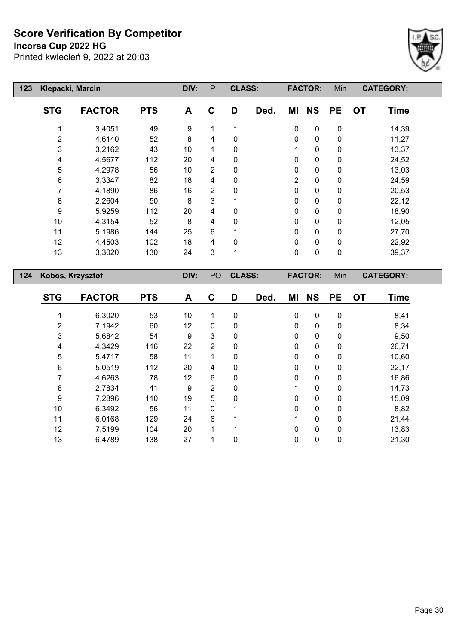**Incorsa Cup 2022 HG**



| 123 | Klepacki, Marcin |               |            | DIV: | P  | <b>CLASS:</b> |      |                | <b>FACTOR:</b> | Min       |           | <b>CATEGORY:</b> |
|-----|------------------|---------------|------------|------|----|---------------|------|----------------|----------------|-----------|-----------|------------------|
|     | <b>STG</b>       | <b>FACTOR</b> | <b>PTS</b> | A    | C  | D             | Ded. | ΜI             | <b>NS</b>      | <b>PE</b> | <b>OT</b> | <b>Time</b>      |
|     |                  | 3,4051        | 49         | 9    | 1  |               |      | 0              | 0              | 0         |           | 14,39            |
|     | $\overline{2}$   | 4,6140        | 52         | 8    | 4  | 0             |      | 0              | 0              | $\pmb{0}$ |           | 11,27            |
|     | 3                | 3,2162        | 43         | 10   | 1  | 0             |      |                | 0              | $\pmb{0}$ |           | 13,37            |
|     | 4                | 4,5677        | 112        | 20   | 4  | $\mathbf{0}$  |      | 0              | 0              | 0         |           | 24,52            |
|     | 5                | 4,2978        | 56         | 10   | 2  | $\mathbf{0}$  |      | 0              | 0              | 0         |           | 13,03            |
|     | 6                | 3,3347        | 82         | 18   | 4  | 0             |      | $\overline{2}$ | 0              | 0         |           | 24,59            |
|     | 7                | 4,1890        | 86         | 16   | 2  | 0             |      | 0              | 0              | 0         |           | 20,53            |
|     | 8                | 2,2604        | 50         | 8    | 3  |               |      | 0              | 0              | 0         |           | 22,12            |
|     | 9                | 5,9259        | 112        | 20   | 4  | 0             |      | 0              | 0              | 0         |           | 18,90            |
|     | 10               | 4,3154        | 52         | 8    | 4  | 0             |      | 0              | 0              | 0         |           | 12,05            |
|     | 11               | 5,1986        | 144        | 25   | 6  |               |      | 0              | 0              | 0         |           | 27,70            |
|     | 12               | 4,4503        | 102        | 18   | 4  | 0             |      | 0              | 0              | 0         |           | 22,92            |
|     | 13               | 3,3020        | 130        | 24   | 3  |               |      | 0              | 0              | 0         |           | 39,37            |
| 124 | Kobos, Krzysztof |               |            | DIV: | PO | <b>CLASS:</b> |      |                | <b>FACTOR:</b> | Min       |           | <b>CATEGORY:</b> |

| <b>STG</b>     | <b>FACTOR</b> | <b>PTS</b> | A  | C              | D            | Ded. | ΜI           | <b>NS</b>    | <b>PE</b>    | <b>OT</b> | <b>Time</b> |  |
|----------------|---------------|------------|----|----------------|--------------|------|--------------|--------------|--------------|-----------|-------------|--|
|                | 6,3020        | 53         | 10 |                | 0            |      | $\mathbf 0$  | $\mathbf 0$  | $\mathbf 0$  |           | 8,41        |  |
| $\overline{2}$ | 7,1942        | 60         | 12 | $\mathbf{0}$   | $\mathbf{0}$ |      | $\mathbf 0$  | $\mathbf{0}$ | $\mathbf{0}$ |           | 8,34        |  |
| 3              | 5,6842        | 54         | 9  | 3              | 0            |      | $\mathbf 0$  | $\mathbf 0$  | 0            |           | 9,50        |  |
| 4              | 4,3429        | 116        | 22 | $\overline{2}$ | $\mathbf{0}$ |      | $\mathbf{0}$ | 0            | $\mathbf{0}$ |           | 26,71       |  |
| 5              | 5,4717        | 58         | 11 | $\mathbf 1$    | 0            |      | $\mathbf{0}$ | 0            | $\mathbf{0}$ |           | 10,60       |  |
| 6              | 5,0519        | 112        | 20 | 4              | 0            |      | $\mathbf 0$  | 0            | 0            |           | 22,17       |  |
| 7              | 4,6263        | 78         | 12 | 6              | 0            |      | $\mathbf 0$  | $\mathbf{0}$ | $\mathbf{0}$ |           | 16,86       |  |
| 8              | 2,7834        | 41         | 9  | $\overline{2}$ | 0            |      |              | 0            | 0            |           | 14,73       |  |
| 9              | 7,2896        | 110        | 19 | 5              | 0            |      | 0            | 0            | 0            |           | 15,09       |  |
| 10             | 6,3492        | 56         | 11 | $\mathbf{0}$   | 1            |      | $\mathbf 0$  | $\mathbf 0$  | $\mathbf{0}$ |           | 8,82        |  |
| 11             | 6,0168        | 129        | 24 | 6              |              |      | 1            | 0            | 0            |           | 21,44       |  |
| 12             | 7,5199        | 104        | 20 | $\mathbf 1$    | 1            |      | $\mathbf 0$  | 0            | $\mathbf{0}$ |           | 13,83       |  |
| 13             | 6,4789        | 138        | 27 |                | 0            |      | $\mathbf 0$  | 0            | 0            |           | 21,30       |  |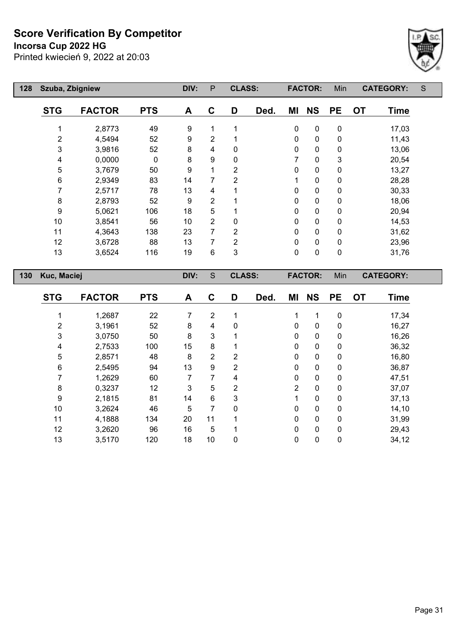**Incorsa Cup 2022 HG**

Printed kwiecień 9, 2022 at 20:03



| 128 | Szuba, Zbigniew |               |            | DIV:           | P              | <b>CLASS:</b>  |      |           | <b>FACTOR:</b> | Min       |           | <b>CATEGORY:</b> | S |
|-----|-----------------|---------------|------------|----------------|----------------|----------------|------|-----------|----------------|-----------|-----------|------------------|---|
|     | <b>STG</b>      | <b>FACTOR</b> | <b>PTS</b> | A              | $\mathbf C$    | D              | Ded. | ΜI        | <b>NS</b>      | <b>PE</b> | <b>OT</b> | Time             |   |
|     | 1               | 2,8773        | 49         | 9              | 1              | 1              |      | $\pmb{0}$ | $\mathbf 0$    | 0         |           | 17,03            |   |
|     | 2               | 4,5494        | 52         | 9              | $\overline{2}$ |                |      | 0         | $\mathbf 0$    | $\pmb{0}$ |           | 11,43            |   |
|     | 3               | 3,9816        | 52         | 8              | 4              | 0              |      | 0         | $\pmb{0}$      | $\pmb{0}$ |           | 13,06            |   |
|     | 4               | 0,0000        | 0          | 8              | 9              | $\mathbf 0$    |      | 7         | $\pmb{0}$      | 3         |           | 20,54            |   |
|     | 5               | 3,7679        | 50         | 9              | 1              | $\overline{2}$ |      | 0         | $\pmb{0}$      | $\pmb{0}$ |           | 13,27            |   |
|     | 6               | 2,9349        | 83         | 14             | 7              | $\overline{2}$ |      | 1         | $\pmb{0}$      | $\pmb{0}$ |           | 28,28            |   |
|     | 7               | 2,5717        | 78         | 13             | 4              |                |      | 0         | $\pmb{0}$      | $\pmb{0}$ |           | 30,33            |   |
|     | 8               | 2,8793        | 52         | 9              | $\overline{2}$ |                |      | 0         | $\pmb{0}$      | $\pmb{0}$ |           | 18,06            |   |
|     | 9               | 5,0621        | 106        | 18             | 5              |                |      | 0         | $\pmb{0}$      | $\pmb{0}$ |           | 20,94            |   |
|     | 10              | 3,8541        | 56         | 10             | $\overline{2}$ | $\mathbf 0$    |      | 0         | $\pmb{0}$      | $\pmb{0}$ |           | 14,53            |   |
|     | 11              | 4,3643        | 138        | 23             | 7              | $\overline{2}$ |      | 0         | $\pmb{0}$      | $\pmb{0}$ |           | 31,62            |   |
|     | 12              | 3,6728        | 88         | 13             | 7              | 2              |      | 0         | $\pmb{0}$      | $\pmb{0}$ |           | 23,96            |   |
|     | 13              | 3,6524        | 116        | 19             | 6              | 3              |      | $\pmb{0}$ | $\pmb{0}$      | $\pmb{0}$ |           | 31,76            |   |
| 130 | Kuc, Maciej     |               |            | DIV:           | S              | <b>CLASS:</b>  |      |           | <b>FACTOR:</b> | Min       |           | <b>CATEGORY:</b> |   |
|     | <b>STG</b>      | <b>FACTOR</b> | <b>PTS</b> | A              | C              | D              | Ded. | ΜI        | <b>NS</b>      | <b>PE</b> | <b>OT</b> | <b>Time</b>      |   |
|     |                 | 1,2687        | 22         | $\overline{7}$ | $\overline{2}$ | 1              |      | 1         | 1              | $\pmb{0}$ |           | 17,34            |   |
|     | 2               | 3,1961        | 52         | 8              | 4              | $\pmb{0}$      |      | 0         | $\pmb{0}$      | $\pmb{0}$ |           | 16,27            |   |
|     | 3               | 3,0750        | 50         | 8              | $\mathbf{3}$   |                |      | 0         | $\pmb{0}$      | $\pmb{0}$ |           | 16,26            |   |
|     | 4               | 2,7533        | 100        | 15             | 8              | 1              |      | 0         | 0              | 0         |           | 36,32            |   |

 2,8571 48 8 2 2 0 0 0 16,80 2,5495 94 13 9 2 0 0 0 36,87 1,2629 60 7 7 4 0 0 0 47,51 0,3237 12 3 5 2 2 0 0 37,07 2,1815 81 14 6 3 1 0 0 37,13 3,2624 46 5 7 0 0 0 0 14,10 4,1888 134 20 11 1 0 0 0 31,99 3,2620 96 16 5 1 0 0 0 29,43 3,5170 120 18 10 0 0 0 0 34,12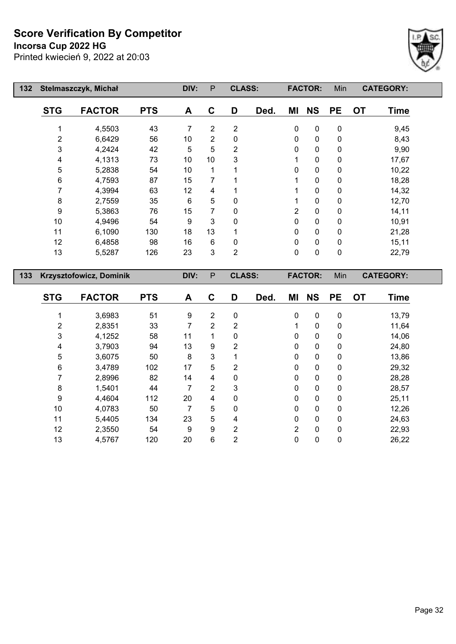**Incorsa Cup 2022 HG**

Printed kwiecień 9, 2022 at 20:03



| 132 |                          | Stelmaszczyk, Michał    |            | DIV:           | $\mathsf{P}$   | <b>CLASS:</b>  |      |                | <b>FACTOR:</b> | Min              |           | <b>CATEGORY:</b> |  |
|-----|--------------------------|-------------------------|------------|----------------|----------------|----------------|------|----------------|----------------|------------------|-----------|------------------|--|
|     | <b>STG</b>               | <b>FACTOR</b>           | <b>PTS</b> | A              | $\mathbf C$    | D              | Ded. | ΜI             | <b>NS</b>      | <b>PE</b>        | <b>OT</b> | <b>Time</b>      |  |
|     | 1                        | 4,5503                  | 43         | $\overline{7}$ | $\overline{2}$ | $\overline{2}$ |      | $\mathbf 0$    | $\pmb{0}$      | $\pmb{0}$        |           | 9,45             |  |
|     | $\overline{c}$           | 6,6429                  | 56         | 10             | $\overline{2}$ | 0              |      | 0              | $\pmb{0}$      | $\pmb{0}$        |           | 8,43             |  |
|     | 3                        | 4,2424                  | 42         | 5              | 5              | $\overline{c}$ |      | 0              | $\pmb{0}$      | $\pmb{0}$        |           | 9,90             |  |
|     | 4                        | 4,1313                  | 73         | 10             | 10             | 3              |      | 1              | $\pmb{0}$      | $\pmb{0}$        |           | 17,67            |  |
|     | 5                        | 5,2838                  | 54         | 10             | 1              |                |      | 0              | $\pmb{0}$      | $\pmb{0}$        |           | 10,22            |  |
|     | $\,6\,$                  | 4,7593                  | 87         | 15             | 7              |                |      | 1              | $\pmb{0}$      | $\pmb{0}$        |           | 18,28            |  |
|     | $\overline{7}$           | 4,3994                  | 63         | 12             | 4              |                |      | 1              | $\pmb{0}$      | 0                |           | 14,32            |  |
|     | $\bf 8$                  | 2,7559                  | 35         | $\,6$          | 5              | 0              |      | 1              | $\pmb{0}$      | $\pmb{0}$        |           | 12,70            |  |
|     | $\boldsymbol{9}$         | 5,3863                  | 76         | 15             | 7              | 0              |      | $\overline{2}$ | $\pmb{0}$      | $\pmb{0}$        |           | 14,11            |  |
|     | 10                       | 4,9496                  | 54         | 9              | 3              | 0              |      | $\pmb{0}$      | $\pmb{0}$      | $\pmb{0}$        |           | 10,91            |  |
|     | 11                       | 6,1090                  | 130        | 18             | 13             | 1              |      | $\pmb{0}$      | $\pmb{0}$      | $\pmb{0}$        |           | 21,28            |  |
|     | 12                       | 6,4858                  | 98         | 16             | $\,6$          | 0              |      | $\pmb{0}$      | $\pmb{0}$      | $\pmb{0}$        |           | 15,11            |  |
|     | 13                       | 5,5287                  | 126        | 23             | 3              | $\overline{2}$ |      | 0              | $\mathbf 0$    | $\pmb{0}$        |           | 22,79            |  |
|     |                          |                         |            |                |                |                |      |                |                |                  |           |                  |  |
| 133 |                          | Krzysztofowicz, Dominik |            | DIV:           | $\sf P$        | <b>CLASS:</b>  |      |                | <b>FACTOR:</b> | Min              |           | <b>CATEGORY:</b> |  |
|     | <b>STG</b>               | <b>FACTOR</b>           | <b>PTS</b> | A              | $\mathbf C$    | D              | Ded. | ΜI             | <b>NS</b>      | <b>PE</b>        | <b>OT</b> | <b>Time</b>      |  |
|     | 1                        | 3,6983                  | 51         | 9              | $\overline{2}$ | $\pmb{0}$      |      | $\pmb{0}$      | $\pmb{0}$      | $\pmb{0}$        |           | 13,79            |  |
|     | $\overline{\mathbf{c}}$  | 2,8351                  | 33         | $\overline{7}$ | $\overline{2}$ | 2              |      | 1              | $\mathbf 0$    | $\pmb{0}$        |           | 11,64            |  |
|     | 3                        | 4,1252                  | 58         | 11             | 1              | $\mathbf 0$    |      | 0              | $\pmb{0}$      | $\pmb{0}$        |           | 14,06            |  |
|     | $\overline{\mathcal{A}}$ | 3,7903                  | 94         | 13             | 9              | 2              |      | $\mathbf 0$    | $\pmb{0}$      | $\pmb{0}$        |           | 24,80            |  |
|     | 5                        | 3,6075                  | 50         | 8              | 3              | 1              |      | 0              | $\pmb{0}$      | $\pmb{0}$        |           | 13,86            |  |
|     | $\,6$                    | 3,4789                  | 102        | 17             | 5              | 2              |      | $\mathbf 0$    | $\pmb{0}$      | $\boldsymbol{0}$ |           | 29,32            |  |
|     | 7                        | 2,8996                  | 82         | 14             | 4              | 0              |      | 0              | $\pmb{0}$      | 0                |           | 28,28            |  |

 1,5401 44 7 2 3 0 0 0 28,57 4,4604 112 20 4 0 0 0 0 25,11 4,0783 50 7 5 0 0 0 0 12,26 5,4405 134 23 5 4 0 0 0 24,63 2,3550 54 9 9 2 2 0 0 22,93 4,5767 120 20 6 2 0 0 0 26,22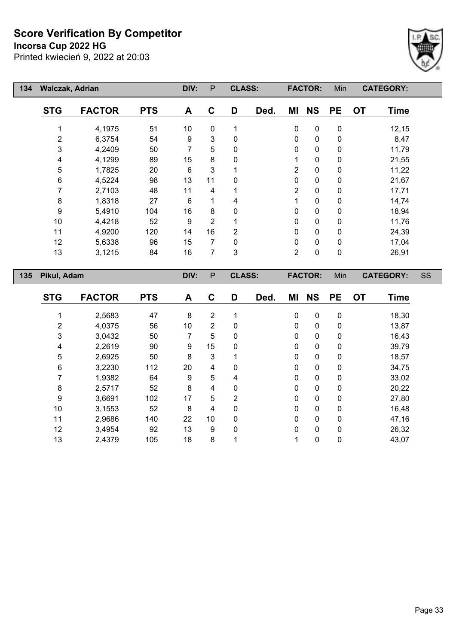**Incorsa Cup 2022 HG**



| 134 | <b>Walczak, Adrian</b> |               |            | DIV: | P              | <b>CLASS:</b>  |      |                | <b>FACTOR:</b> | Min         | <b>CATEGORY:</b>  |           |
|-----|------------------------|---------------|------------|------|----------------|----------------|------|----------------|----------------|-------------|-------------------|-----------|
|     | <b>STG</b>             | <b>FACTOR</b> | <b>PTS</b> | A    | C              | D              | Ded. | ΜI             | <b>NS</b>      | <b>PE</b>   | <b>OT</b><br>Time |           |
|     |                        | 4,1975        | 51         | 10   | $\mathbf 0$    |                |      | $\pmb{0}$      | $\mathbf 0$    | $\pmb{0}$   | 12,15             |           |
|     | 2                      | 6,3754        | 54         | 9    | 3              | $\mathbf 0$    |      | 0              | $\mathbf 0$    | 0           | 8,47              |           |
|     | $\mathbf{3}$           | 4,2409        | 50         | 7    | 5              | 0              |      | 0              | $\mathbf 0$    | $\mathbf 0$ | 11,79             |           |
|     | 4                      | 4,1299        | 89         | 15   | 8              | 0              |      | 1              | $\mathbf 0$    | 0           | 21,55             |           |
|     | 5                      | 1,7825        | 20         | 6    | 3              |                |      | $\overline{2}$ | $\mathbf 0$    | 0           | 11,22             |           |
|     | 6                      | 4,5224        | 98         | 13   | 11             | $\Omega$       |      | 0              | $\mathbf 0$    | 0           | 21,67             |           |
|     | 7                      | 2,7103        | 48         | 11   | 4              |                |      | $\overline{2}$ | $\mathbf 0$    | $\mathbf 0$ | 17,71             |           |
|     | 8                      | 1,8318        | 27         | 6    | 1              | 4              |      | 1              | 0              | $\mathbf 0$ | 14,74             |           |
|     | 9                      | 5,4910        | 104        | 16   | 8              | 0              |      | $\mathbf 0$    | $\mathbf 0$    | $\mathbf 0$ | 18,94             |           |
|     | 10                     | 4,4218        | 52         | 9    | $\overline{2}$ |                |      | 0              | $\pmb{0}$      | $\mathbf 0$ | 11,76             |           |
|     | 11                     | 4,9200        | 120        | 14   | 16             | $\overline{2}$ |      | 0              | $\mathbf 0$    | 0           | 24,39             |           |
|     | 12                     | 5,6338        | 96         | 15   | 7              | $\mathbf{0}$   |      | 0              | $\mathbf 0$    | 0           | 17,04             |           |
|     | 13                     | 3,1215        | 84         | 16   | $\overline{7}$ | 3              |      | $\overline{2}$ | $\mathbf 0$    | $\mathbf 0$ | 26,91             |           |
| 135 | Pikul, Adam            |               |            | DIV: | P              | <b>CLASS:</b>  |      |                | <b>FACTOR:</b> | Min         | <b>CATEGORY:</b>  | <b>SS</b> |
|     | <b>STG</b>             | <b>FACTOR</b> | <b>PTS</b> | A    | C              | D              | Ded. | ΜI             | <b>NS</b>      | <b>PE</b>   | <b>OT</b><br>Time |           |

| <b>STG</b> | <b>FACTOR</b> | <b>PTS</b> | A  | C              | D            | Ded. | MI           | <b>NS</b>   | <b>PE</b>    | <b>OT</b> | <b>Time</b> |
|------------|---------------|------------|----|----------------|--------------|------|--------------|-------------|--------------|-----------|-------------|
|            | 2,5683        | 47         | 8  | $\overline{2}$ |              |      | $\mathbf 0$  | $\mathbf 0$ | $\mathbf 0$  |           | 18,30       |
| 2          | 4,0375        | 56         | 10 | $\overline{2}$ | 0            |      | 0            | 0           | 0            |           | 13,87       |
| 3          | 3,0432        | 50         | 7  | 5              | 0            |      | 0            | 0           | 0            |           | 16,43       |
| 4          | 2,2619        | 90         | 9  | 15             | $\mathbf{0}$ |      | 0            | $\pmb{0}$   | 0            |           | 39,79       |
| 5          | 2,6925        | 50         | 8  | 3              |              |      | 0            | $\pmb{0}$   | 0            |           | 18,57       |
| 6          | 3,2230        | 112        | 20 | 4              | $\mathbf{0}$ |      | 0            | $\pmb{0}$   | 0            |           | 34,75       |
|            | 1,9382        | 64         | 9  | 5              | 4            |      | 0            | $\mathbf 0$ | 0            |           | 33,02       |
| 8          | 2,5717        | 52         | 8  | 4              | $\mathbf{0}$ |      | 0            | $\mathbf 0$ | 0            |           | 20,22       |
| 9          | 3,6691        | 102        | 17 | 5              | 2            |      | $\mathbf{0}$ | 0           | $\mathbf{0}$ |           | 27,80       |
| 10         | 3,1553        | 52         | 8  | 4              | 0            |      | 0            | 0           | 0            |           | 16,48       |
| 11         | 2,9686        | 140        | 22 | 10             | $\Omega$     |      | 0            | 0           | $\mathbf{0}$ |           | 47,16       |
| 12         | 3,4954        | 92         | 13 | 9              | $\mathbf{0}$ |      | 0            | 0           | 0            |           | 26,32       |
| 13         | 2,4379        | 105        | 18 | 8              |              |      |              | 0           | 0            |           | 43,07       |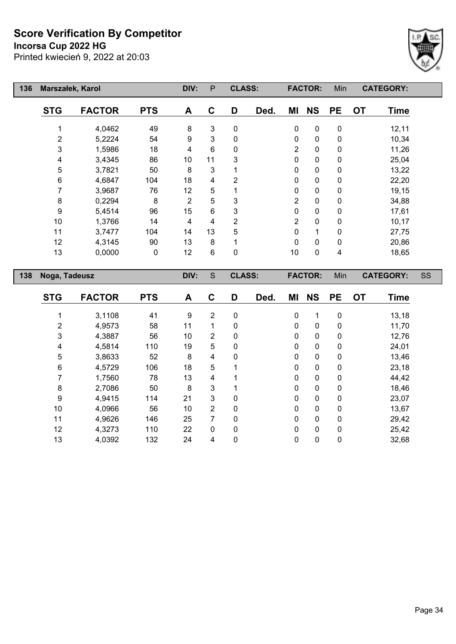**Incorsa Cup 2022 HG**



| 136 | Marszałek, Karol |                  |            | DIV:           | ${\sf P}$                 | <b>CLASS:</b>  |      |                | <b>FACTOR:</b>         | Min            |           | <b>CATEGORY:</b> |           |
|-----|------------------|------------------|------------|----------------|---------------------------|----------------|------|----------------|------------------------|----------------|-----------|------------------|-----------|
|     | <b>STG</b>       | <b>FACTOR</b>    | <b>PTS</b> | A              | $\mathbf C$               | D              | Ded. | ΜI             | <b>NS</b>              | <b>PE</b>      | <b>OT</b> | <b>Time</b>      |           |
|     | 1                | 4,0462           | 49         | 8              | $\ensuremath{\mathsf{3}}$ | $\mathbf 0$    |      | 0              | $\pmb{0}$              | $\pmb{0}$      |           | 12,11            |           |
|     | 2                | 5,2224           | 54         | 9              | $\mathbf{3}$              | $\pmb{0}$      |      | 0              | $\pmb{0}$              | $\pmb{0}$      |           | 10,34            |           |
|     | 3                | 1,5986           | 18         | 4              | 6                         | 0              |      | $\overline{2}$ | $\pmb{0}$              | $\pmb{0}$      |           | 11,26            |           |
|     | 4                | 3,4345           | 86         | 10             | 11                        | 3              |      | 0              | $\mathbf 0$            | 0              |           | 25,04            |           |
|     | 5                | 3,7821           | 50         | 8              | $\mathbf 3$               | 1              |      | 0              | $\pmb{0}$              | 0              |           | 13,22            |           |
|     | $\,6$            | 4,6847           | 104        | 18             | 4                         | $\overline{2}$ |      | 0              | $\pmb{0}$              | 0              |           | 22,20            |           |
|     | $\overline{7}$   | 3,9687           | 76         | 12             | 5                         | $\mathbf{1}$   |      | 0              | $\pmb{0}$              | 0              |           | 19,15            |           |
|     | $\bf 8$          | 0,2294           | 8          | $\overline{2}$ | 5                         | 3              |      | $\overline{2}$ | $\pmb{0}$              | $\pmb{0}$      |           | 34,88            |           |
|     | $\boldsymbol{9}$ | 5,4514           | 96         | 15             | 6                         | 3              |      | 0              | $\pmb{0}$              | $\pmb{0}$      |           | 17,61            |           |
|     | 10               | 1,3766           | 14         | 4              | 4                         | $\overline{2}$ |      | $\overline{2}$ | $\pmb{0}$              | $\mathbf 0$    |           | 10,17            |           |
|     | 11               | 3,7477           | 104        | 14             | 13                        | 5              |      | 0              | $\mathbf 1$            | 0              |           | 27,75            |           |
|     | 12               | 4,3145           | 90         | 13             | $\,8\,$                   | 1              |      | $\pmb{0}$      | $\pmb{0}$              | $\pmb{0}$      |           | 20,86            |           |
|     | 13               | 0,0000           | 0          | 12             | 6                         | $\pmb{0}$      |      | $10$           | $\pmb{0}$              | 4              |           | 18,65            |           |
|     |                  |                  |            |                |                           |                |      |                |                        |                |           |                  |           |
|     |                  |                  |            |                |                           |                |      |                |                        |                |           |                  |           |
| 138 | Noga, Tadeusz    |                  |            | DIV:           | S                         | <b>CLASS:</b>  |      |                | <b>FACTOR:</b>         | Min            |           | <b>CATEGORY:</b> | <b>SS</b> |
|     | <b>STG</b>       | <b>FACTOR</b>    | <b>PTS</b> | A              | $\mathbf C$               | D              | Ded. | MI             | <b>NS</b>              | <b>PE</b>      | <b>OT</b> | <b>Time</b>      |           |
|     |                  |                  |            |                |                           |                |      |                |                        |                |           |                  |           |
|     | 1                | 3,1108           | 41<br>58   | 9<br>11        | $\overline{2}$<br>1       | $\pmb{0}$<br>0 |      | 0              | 1                      | $\pmb{0}$      |           | 13,18            |           |
|     | 2                | 4,9573           | 56         | 10             | $\overline{2}$            | 0              |      | 0<br>0         | $\pmb{0}$<br>$\pmb{0}$ | $\pmb{0}$<br>0 |           | 11,70            |           |
|     | 3                | 4,3887           |            |                | 5                         | 0              |      | 0              | $\pmb{0}$              | 0              |           | 12,76            |           |
|     | 4                | 4,5814<br>3,8633 | 110<br>52  | 19<br>8        | $\overline{\mathbf{4}}$   | 0              |      | 0              | $\pmb{0}$              | $\pmb{0}$      |           | 24,01            |           |
|     | 5<br>$\,6$       | 4,5729           | 106        | 18             | $\mathbf 5$               | $\mathbf{1}$   |      | 0              | $\pmb{0}$              | $\pmb{0}$      |           | 13,46<br>23,18   |           |
|     | $\overline{7}$   | 1,7560           | 78         | 13             | 4                         | 1              |      | 0              | $\pmb{0}$              | $\pmb{0}$      |           | 44,42            |           |
|     | 8                | 2,7086           | 50         | 8              | $\mathbf{3}$              | 1              |      | 0              | 0                      | $\pmb{0}$      |           | 18,46            |           |
|     | $\boldsymbol{9}$ | 4,9415           | 114        | 21             | $\mathbf{3}$              | 0              |      | 0              | $\mathbf 0$            | $\pmb{0}$      |           | 23,07            |           |
|     | 10               | 4,0966           | 56         | 10             | $\overline{2}$            | 0              |      | 0              | $\pmb{0}$              | 0              |           | 13,67            |           |
|     | 11               | 4,9626           | 146        | 25             | $\overline{7}$            | 0              |      | 0              | $\pmb{0}$              | 0              |           | 29,42            |           |
|     | 12               | 4,3273           | 110        | 22             | $\pmb{0}$                 | 0              |      | 0              | $\pmb{0}$              | 0              |           | 25,42            |           |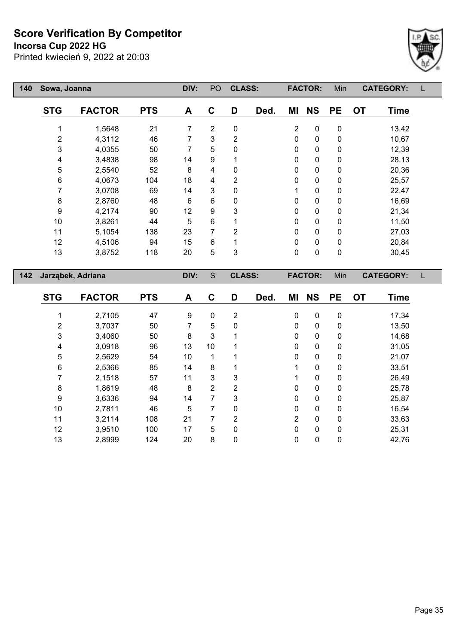**Incorsa Cup 2022 HG**

Printed kwiecień 9, 2022 at 20:03



| 140 | Sowa, Joanna            |                   |            | DIV:           | PO             | <b>CLASS:</b>  |      |                | <b>FACTOR:</b> | Min       | <b>CATEGORY:</b> |             | L |
|-----|-------------------------|-------------------|------------|----------------|----------------|----------------|------|----------------|----------------|-----------|------------------|-------------|---|
|     | <b>STG</b>              | <b>FACTOR</b>     | <b>PTS</b> | A              | $\mathbf c$    | D              | Ded. | ΜI             | <b>NS</b>      | <b>PE</b> | <b>OT</b>        | <b>Time</b> |   |
|     | 1                       | 1,5648            | 21         | $\overline{7}$ | $\overline{2}$ | $\pmb{0}$      |      | $\overline{2}$ | $\pmb{0}$      | $\pmb{0}$ |                  | 13,42       |   |
|     | 2                       | 4,3112            | 46         | 7              | 3              | $\overline{2}$ |      | 0              | $\pmb{0}$      | $\pmb{0}$ |                  | 10,67       |   |
|     | 3                       | 4,0355            | 50         | 7              | 5              | $\pmb{0}$      |      | $\pmb{0}$      | $\pmb{0}$      | $\pmb{0}$ |                  | 12,39       |   |
|     | 4                       | 3,4838            | 98         | 14             | 9              | 1              |      | 0              | $\pmb{0}$      | $\pmb{0}$ |                  | 28,13       |   |
|     | 5                       | 2,5540            | 52         | 8              | 4              | 0              |      | $\pmb{0}$      | $\pmb{0}$      | $\pmb{0}$ |                  | 20,36       |   |
|     | $\,6$                   | 4,0673            | 104        | 18             | 4              | $\overline{2}$ |      | 0              | $\pmb{0}$      | $\pmb{0}$ |                  | 25,57       |   |
|     | 7                       | 3,0708            | 69         | 14             | $\mathbf{3}$   | 0              |      | 1              | $\pmb{0}$      | $\pmb{0}$ |                  | 22,47       |   |
|     | $\bf 8$                 | 2,8760            | 48         | 6              | 6              | 0              |      | 0              | $\pmb{0}$      | $\pmb{0}$ |                  | 16,69       |   |
|     | $\boldsymbol{9}$        | 4,2174            | $90\,$     | 12             | 9              | 3              |      | 0              | $\pmb{0}$      | $\pmb{0}$ |                  | 21,34       |   |
|     | 10                      | 3,8261            | 44         | 5              | $\,6\,$        | 1              |      | 0              | $\pmb{0}$      | $\pmb{0}$ |                  | 11,50       |   |
|     | 11                      | 5,1054            | 138        | 23             | $\overline{7}$ | $\overline{2}$ |      | $\pmb{0}$      | $\mathbf 0$    | $\pmb{0}$ |                  | 27,03       |   |
|     | 12                      | 4,5106            | 94         | 15             | 6              | 1              |      | $\pmb{0}$      | $\pmb{0}$      | $\pmb{0}$ |                  | 20,84       |   |
|     | 13                      | 3,8752            | 118        | 20             | 5              | 3              |      | $\pmb{0}$      | $\pmb{0}$      | $\pmb{0}$ |                  | 30,45       |   |
| 142 |                         | Jarząbek, Adriana |            | DIV:           | $\mathbf S$    | <b>CLASS:</b>  |      |                | <b>FACTOR:</b> | Min       | <b>CATEGORY:</b> |             | L |
|     | <b>STG</b>              | <b>FACTOR</b>     | <b>PTS</b> | A              | $\mathbf C$    | D              | Ded. | ΜI             | <b>NS</b>      | <b>PE</b> | <b>OT</b>        | <b>Time</b> |   |
|     | 1                       | 2,7105            | 47         | 9              | $\mathbf 0$    | $\overline{2}$ |      | $\pmb{0}$      | $\pmb{0}$      | $\pmb{0}$ |                  | 17,34       |   |
|     | $\overline{\mathbf{c}}$ | 3,7037            | 50         | 7              | 5              | 0              |      | 0              | $\pmb{0}$      | $\pmb{0}$ |                  | 13,50       |   |
|     | 3                       | 3,4060            | 50         | 8              | 3              | 1              |      | 0              | $\pmb{0}$      | $\pmb{0}$ |                  | 14,68       |   |
|     | 4                       | 3,0918            | 96         | 13             | 10             | 1              |      | 0              | $\pmb{0}$      | $\pmb{0}$ |                  | 31,05       |   |
|     | 5                       | 2,5629            | 54         | 10             | 1              |                |      | 0              | $\pmb{0}$      | $\pmb{0}$ |                  | 21,07       |   |
|     | 6                       | 2,5366            | 85         | 14             | 8              | 1              |      | 1              | $\pmb{0}$      | $\pmb{0}$ |                  | 33,51       |   |
|     | 7                       | 2,1518            | 57         | 11             | 3              | 3              |      | 1              | $\pmb{0}$      | $\pmb{0}$ |                  | 26,49       |   |
|     | 8                       | 1,8619            | 48         | 8              | $\overline{2}$ | $\overline{2}$ |      | $\pmb{0}$      | 0              | $\pmb{0}$ |                  | 25,78       |   |

 3,6336 94 14 7 3 0 0 0 25,87 2,7811 46 5 7 0 0 0 0 16,54 3,2114 108 21 7 2 2 0 0 33,63 3,9510 100 17 5 0 0 0 0 25,31 2,8999 124 20 8 0 0 0 0 42,76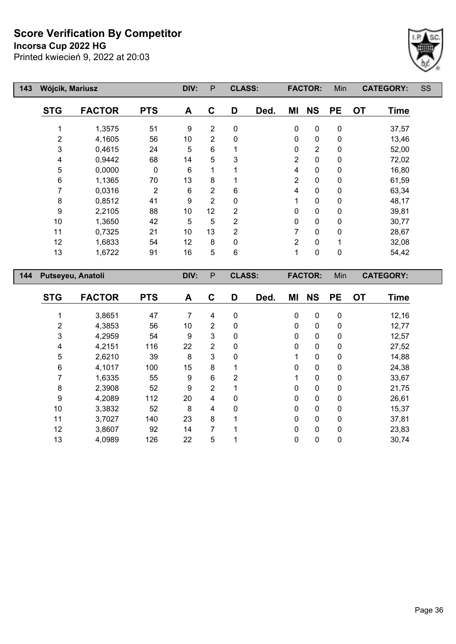**Incorsa Cup 2022 HG**



| 143 | Wójcik, Mariusz   |               |                | DIV: | P              | <b>CLASS:</b> |      |                | <b>FACTOR:</b> | Min         |           | <b>CATEGORY:</b> | SS |
|-----|-------------------|---------------|----------------|------|----------------|---------------|------|----------------|----------------|-------------|-----------|------------------|----|
|     | <b>STG</b>        | <b>FACTOR</b> | <b>PTS</b>     | A    | C              | D             | Ded. | ΜI             | <b>NS</b>      | <b>PE</b>   | <b>OT</b> | <b>Time</b>      |    |
|     |                   | 1,3575        | 51             | 9    | $\overline{2}$ | $\mathbf 0$   |      | 0              | $\pmb{0}$      | $\mathbf 0$ |           | 37,57            |    |
|     | 2                 | 4,1605        | 56             | 10   | $\overline{2}$ | 0             |      | 0              | $\mathbf 0$    | 0           |           | 13,46            |    |
|     | 3                 | 0,4615        | 24             | 5    | 6              |               |      | $\pmb{0}$      | $\overline{2}$ | $\pmb{0}$   |           | 52,00            |    |
|     | 4                 | 0,9442        | 68             | 14   | 5              | 3             |      | $\overline{2}$ | $\mathbf 0$    | 0           |           | 72,02            |    |
|     | 5                 | 0,0000        | $\mathbf 0$    | 6    |                |               |      | 4              | $\pmb{0}$      | $\mathbf 0$ |           | 16,80            |    |
|     | 6                 | 1,1365        | 70             | 13   | 8              |               |      | $\overline{2}$ | 0              | 0           |           | 61,59            |    |
|     | 7                 | 0,0316        | $\overline{2}$ | 6    | $\overline{2}$ | 6             |      | 4              | $\mathbf 0$    | 0           |           | 63,34            |    |
|     | 8                 | 0,8512        | 41             | 9    | $\overline{2}$ | 0             |      | 1              | $\mathbf 0$    | 0           |           | 48,17            |    |
|     | 9                 | 2,2105        | 88             | 10   | 12             | 2             |      | 0              | $\mathbf 0$    | 0           |           | 39,81            |    |
|     | 10                | 1,3650        | 42             | 5    | 5              | 2             |      | 0              | $\pmb{0}$      | $\mathbf 0$ |           | 30,77            |    |
|     | 11                | 0,7325        | 21             | 10   | 13             | 2             |      | 7              | $\mathbf 0$    | 0           |           | 28,67            |    |
|     | 12                | 1,6833        | 54             | 12   | 8              | $\Omega$      |      | $\overline{2}$ | $\mathbf 0$    |             |           | 32,08            |    |
|     | 13                | 1,6722        | 91             | 16   | 5              | 6             |      | 1              | $\pmb{0}$      | $\pmb{0}$   |           | 54,42            |    |
| 144 | Putseyeu, Anatoli |               |                | DIV: | $\mathsf{P}$   | <b>CLASS:</b> |      |                | <b>FACTOR:</b> | Min         |           | <b>CATEGORY:</b> |    |
|     | <b>STG</b>        | <b>FACTOR</b> | <b>PTS</b>     | Δ    | C              | D             | Ded  | МI             | <b>NS</b>      | PF          | <b>OT</b> | Time             |    |

| <b>STG</b> | <b>FACTOR</b> | <b>PTS</b> | Α  | C              | D | Ded. | MI           | <b>NS</b>    | PE          | <b>OT</b> | <b>Time</b> |
|------------|---------------|------------|----|----------------|---|------|--------------|--------------|-------------|-----------|-------------|
|            | 3,8651        | 47         | 7  | 4              | 0 |      | $\mathbf{0}$ | $\mathbf{0}$ | 0           |           | 12,16       |
| 2          | 4,3853        | 56         | 10 | 2              | 0 |      | 0            | 0            | 0           |           | 12,77       |
| 3          | 4,2959        | 54         | 9  | 3              | 0 |      | 0            | 0            | 0           |           | 12,57       |
| 4          | 4,2151        | 116        | 22 | 2              | 0 |      | $\Omega$     | 0            | 0           |           | 27,52       |
| 5          | 2,6210        | 39         | 8  | 3              | 0 |      |              | 0            | 0           |           | 14,88       |
| 6          | 4,1017        | 100        | 15 | 8              |   |      | $\Omega$     | $\mathbf{0}$ | 0           |           | 24,38       |
|            | 1,6335        | 55         | 9  | 6              | 2 |      |              | 0            | 0           |           | 33,67       |
| 8          | 2,3908        | 52         | 9  | $\overline{2}$ |   |      | 0            | 0            | 0           |           | 21,75       |
| 9          | 4,2089        | 112        | 20 | 4              | 0 |      | $\Omega$     | 0            | 0           |           | 26,61       |
| 10         | 3,3832        | 52         | 8  | 4              | 0 |      | 0            | 0            | 0           |           | 15,37       |
| 11         | 3,7027        | 140        | 23 | 8              |   |      | $\Omega$     | 0            | $\mathbf 0$ |           | 37,81       |
| 12         | 3,8607        | 92         | 14 |                |   |      | 0            | 0            | 0           |           | 23,83       |
| 13         | 4,0989        | 126        | 22 | 5              |   |      | 0            | 0            | 0           |           | 30,74       |